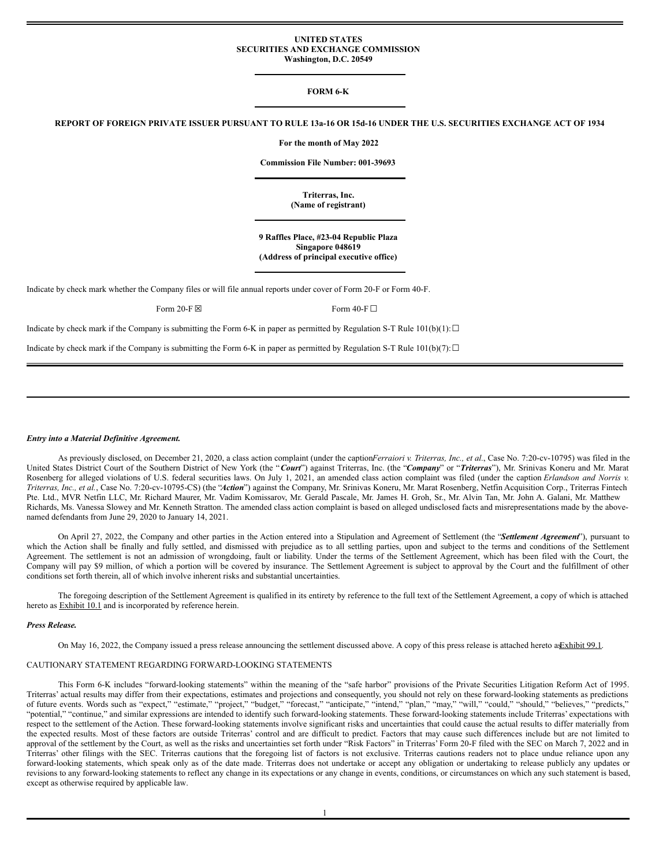#### **UNITED STATES SECURITIES AND EXCHANGE COMMISSION Washington, D.C. 20549**

# **FORM 6-K**

REPORT OF FOREIGN PRIVATE ISSUER PURSUANT TO RULE 13a-16 OR 15d-16 UNDER THE U.S. SECURITIES EXCHANGE ACT OF 1934

**For the month of May 2022**

**Commission File Number: 001-39693**

**Triterras, Inc. (Name of registrant)**

**9 Raffles Place, #23-04 Republic Plaza Singapore 048619 (Address of principal executive office)**

Indicate by check mark whether the Company files or will file annual reports under cover of Form 20-F or Form 40-F.

Form 20-F  $\boxtimes$  Form 40-F  $\Box$ 

Indicate by check mark if the Company is submitting the Form 6-K in paper as permitted by Regulation S-T Rule  $101(b)(1): \Box$ 

Indicate by check mark if the Company is submitting the Form 6-K in paper as permitted by Regulation S-T Rule 101(b)(7): $\Box$ 

#### *Entry into a Material Definitive Agreement.*

As previously disclosed, on December 21, 2020, a class action complaint (under the caption*Ferraiori v. Triterras, Inc., et al.*, Case No. 7:20-cv-10795) was filed in the United States District Court of the Southern District of New York (the "*Court*") against Triterras, Inc. (the "*Company*" or "*Triterras*"), Mr. Srinivas Koneru and Mr. Marat Rosenberg for alleged violations of U.S. federal securities laws. On July 1, 2021, an amended class action complaint was filed (under the caption *Erlandson and Norrisv. Triterras, Inc., et al.*, Case No. 7:20-cv-10795-CS) (the "*Action*") against the Company, Mr. Srinivas Koneru, Mr. Marat Rosenberg, Netfin Acquisition Corp., Triterras Fintech Pte. Ltd., MVR Netfin LLC, Mr. Richard Maurer, Mr. Vadim Komissarov, Mr. Gerald Pascale, Mr. James H. Groh, Sr., Mr. Alvin Tan, Mr. John A. Galani, Mr. Matthew Richards, Ms. Vanessa Slowey and Mr. Kenneth Stratton. The amended class action complaint is based on alleged undisclosed facts and misrepresentations made by the abovenamed defendants from June 29, 2020 to January 14, 2021.

On April 27, 2022, the Company and other parties in the Action entered into a Stipulation and Agreement of Settlement (the "*Settlement Agreement*"), pursuant to which the Action shall be finally and fully settled, and dismissed with prejudice as to all settling parties, upon and subject to the terms and conditions of the Settlement Agreement. The settlement is not an admission of wrongdoing, fault or liability. Under the terms of the Settlement Agreement, which has been filed with the Court, the Company will pay \$9 million, of which a portion will be covered by insurance. The Settlement Agreement is subject to approval by the Court and the fulfillment of other conditions set forth therein, all of which involve inherent risks and substantial uncertainties.

The foregoing description of the Settlement Agreement is qualified in its entirety by reference to the full text of the Settlement Agreement, a copy of which is attached hereto as **Exhibit 10.1** and is incorporated by reference herein.

### *Press Release.*

On May 16, 2022, the Company issued a press release announcing the settlement discussed above. A copy of this press release is attached hereto asExhibit 99.1.

#### CAUTIONARY STATEMENT REGARDING FORWARD-LOOKING STATEMENTS

This Form 6-K includes "forward-looking statements" within the meaning of the "safe harbor" provisions of the Private Securities Litigation Reform Act of 1995. Triterras' actual results may differ from their expectations, estimates and projections and consequently, you should not rely on these forward-looking statements as predictions of future events. Words such as "expect," "es of future events. Words such as "expect," "estimate," "project," "budget," "forecast," "anticipate," "intend," "plan," "may," "will," "could," "should," "believes," "predicts," "potential," "continue," and similar expressions are intended to identify such forward-looking statements. These forward-looking statements include Triterras' expectations with respect to the settlement of the Action. These forward-looking statements involve significant risks and uncertainties that could cause the actual results to differ materially from the expected results. Most of these factors are outside Triterras' control and are difficult to predict. Factors that may cause such differences include but are not limited to approval of the settlement by the Court, as well as the risks and uncertainties set forth under "Risk Factors" in Triterras' Form 20-F filed with the SEC on March 7, 2022 and in Triterras' other filings with the SEC. Triterras cautions that the foregoing list of factors is not exclusive. Triterras cautions readers not to place undue reliance upon any forward-looking statements, which speak only as of the date made. Triterras does not undertake or accept any obligation or undertaking to release publicly any updates or revisions to any forward-looking statements to reflect any change in its expectations or any change in events, conditions, or circumstances on which any such statement is based, except as otherwise required by applicable law.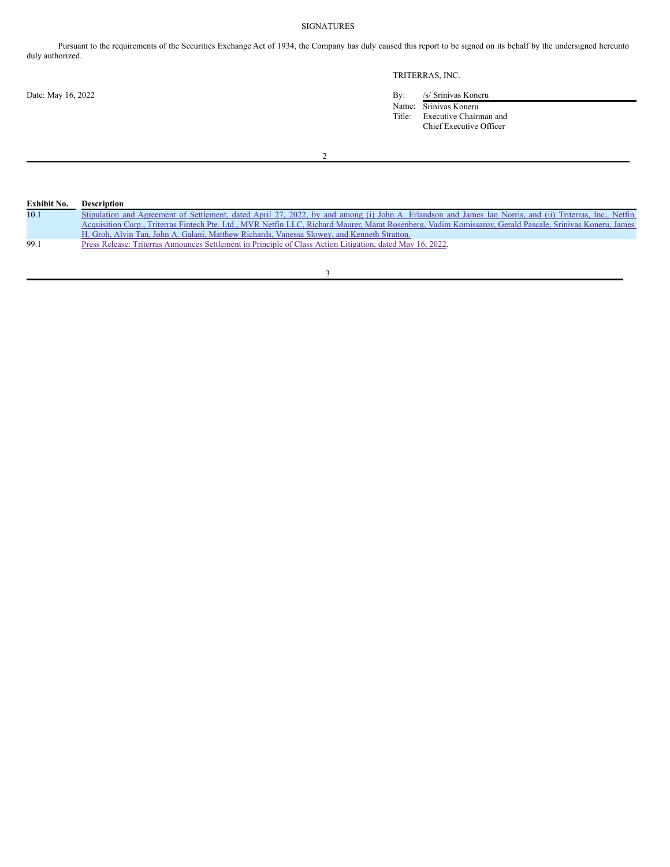# SIGNATURES

Pursuant to the requirements of the Securities Exchange Act of 1934, the Company has duly caused this report to be signed on its behalf by the undersigned hereunto duly authorized.

# TRITERRAS, INC.

Date: May 16, 2022 By: /s/ Srinivas Koneru Name: Srinivas Koneru

Title: Executive Chairman and Chief Executive Officer

2

| Exhibit No. | <b>Description</b>                                                                                                                                        |
|-------------|-----------------------------------------------------------------------------------------------------------------------------------------------------------|
| 10.1        | Stipulation and Agreement of Settlement, dated April 27, 2022, by and among (i) John A. Erlandson and James Ian Norris, and (ii) Triterras, Inc., Netfin  |
|             | Acquisition Corp., Triterras Fintech Pte. Ltd., MVR Netfin LLC, Richard Maurer, Marat Rosenberg, Vadim Komissarov, Gerald Pascale, Srinivas Koneru, James |
|             | H. Groh, Alvin Tan, John A. Galani, Matthew Richards, Vanessa Slowey, and Kenneth Stratton.                                                               |
| 99.1        | Press Release: Triterras Announces Settlement in Principle of Class Action Litigation, dated May 16, 2022.                                                |

3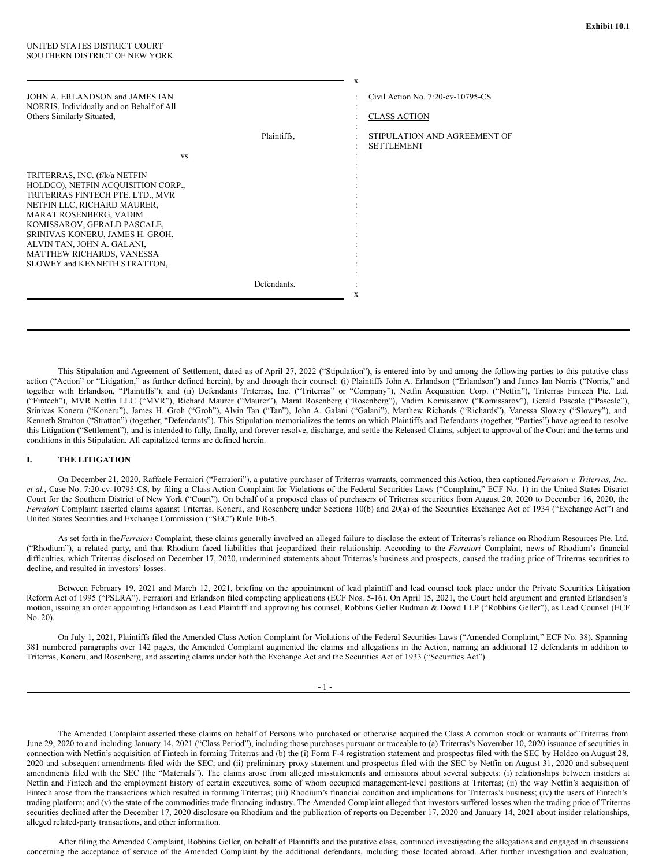| JOHN A. ERLANDSON and JAMES JAN<br>NORRIS, Individually and on Behalf of All<br>Others Similarly Situated,                                                                                                                                                                                                                    |             | Civil Action No. 7:20-cv-10795-CS<br><b>CLASS ACTION</b> |
|-------------------------------------------------------------------------------------------------------------------------------------------------------------------------------------------------------------------------------------------------------------------------------------------------------------------------------|-------------|----------------------------------------------------------|
|                                                                                                                                                                                                                                                                                                                               | Plaintiffs. | STIPULATION AND AGREEMENT OF<br><b>SETTLEMENT</b>        |
| VS.                                                                                                                                                                                                                                                                                                                           |             |                                                          |
| TRITERRAS, INC. (f/k/a NETFIN<br>HOLDCO), NETFIN ACQUISITION CORP.,<br>TRITERRAS FINTECH PTE, LTD., MVR<br>NETFIN LLC, RICHARD MAURER,<br>MARAT ROSENBERG, VADIM<br>KOMISSAROV, GERALD PASCALE,<br>SRINIVAS KONERU, JAMES H. GROH,<br>ALVIN TAN, JOHN A. GALANI,<br>MATTHEW RICHARDS, VANESSA<br>SLOWEY and KENNETH STRATTON, |             |                                                          |
|                                                                                                                                                                                                                                                                                                                               | Defendants. |                                                          |
|                                                                                                                                                                                                                                                                                                                               |             | X                                                        |

This Stipulation and Agreement of Settlement, dated as of April 27, 2022 ("Stipulation"), is entered into by and among the following parties to this putative class action ("Action" or "Litigation," as further defined herein), by and through their counsel: (i) Plaintiffs John A. Erlandson ("Erlandson") and James Ian Norris ("Norris," and together with Erlandson, "Plaintiffs"); and (ii) Defendants Triterras, Inc. ("Triterras" or "Company"), Netfin Acquisition Corp. ("Netfin"), Triterras Fintech Pte. Ltd. ("Fintech"), MVR Netfin LLC ("MVR"), Richard Maurer ("Maurer"), Marat Rosenberg ("Rosenberg"), Vadim Komissarov ("Komissarov"), Gerald Pascale ("Pascale"), Srinivas Koneru ("Koneru"), James H. Groh ("Groh"), Alvin Tan ("Tan"), John A. Galani ("Galani"), Matthew Richards ("Richards"), Vanessa Slowey ("Slowey"), and Kenneth Stratton ("Stratton") (together, "Defendants"). This Stipulation memorializes the terms on which Plaintiffs and Defendants (together, "Parties") have agreed to resolve this Litigation ("Settlement"), and is intended to fully, finally, and forever resolve, discharge, and settle the Released Claims, subject to approval of the Court and the terms and conditions in this Stipulation. All capitalized terms are defined herein.

#### **I. THE LITIGATION**

On December 21, 2020, Raffaele Ferraiori ("Ferraiori"), a putative purchaser of Triterras warrants, commenced this Action, then captioned*Ferraiori v. Triterras, Inc., et al.*, Case No. 7:20-cv-10795-CS, by filing a Class Action Complaint for Violations of the Federal Securities Laws ("Complaint," ECF No. 1) in the United States District Court for the Southern District of New York ("Court"). On behalf of a proposed class of purchasers of Triterras securities from August 20, 2020 to December 16, 2020, the *Ferraiori* Complaint asserted claims against Triterras, Koneru, and Rosenberg under Sections 10(b) and 20(a) of the Securities Exchange Act of 1934 ("Exchange Act") and United States Securities and Exchange Commission ("SEC") Rule 10b-5.

As set forth in the*Ferraiori* Complaint, these claims generally involved an alleged failure to disclose the extent of Triterras's reliance on Rhodium Resources Pte. Ltd. ("Rhodium"), a related party, and that Rhodium faced liabilities that jeopardized their relationship. According to the *Ferraiori* Complaint, news of Rhodium's financial difficulties, which Triterras disclosed on December 17, 2020, undermined statements about Triterras's business and prospects, caused the trading price of Triterras securities to decline, and resulted in investors' losses.

Between February 19, 2021 and March 12, 2021, briefing on the appointment of lead plaintiff and lead counsel took place under the Private Securities Litigation Reform Act of 1995 ("PSLRA"). Ferraiori and Erlandson filed competing applications (ECF Nos. 5-16). On April 15, 2021, the Court held argument and granted Erlandson's motion, issuing an order appointing Erlandson as Lead Plaintiff and approving his counsel, Robbins Geller Rudman & Dowd LLP ("Robbins Geller"), as Lead Counsel (ECF No. 20).

On July 1, 2021, Plaintiffs filed the Amended Class Action Complaint for Violations of the Federal Securities Laws ("Amended Complaint," ECF No. 38). Spanning 381 numbered paragraphs over 142 pages, the Amended Complaint augmented the claims and allegations in the Action, naming an additional 12 defendants in addition to Triterras, Koneru, and Rosenberg, and asserting claims under both the Exchange Act and the Securities Act of 1933 ("Securities Act").

 $-1 -$ 

The Amended Complaint asserted these claims on behalf of Persons who purchased or otherwise acquired the Class A common stock or warrants of Triterras from June 29, 2020 to and including January 14, 2021 ("Class Period"), including those purchases pursuant or traceable to (a) Triterras's November 10, 2020 issuance of securities in connection with Netfin's acquisition of Fintech in forming Triterras and (b) the (i) Form F-4 registration statement and prospectus filed with the SEC by Holdco on August 28, 2020 and subsequent amendments filed with the SEC; and (ii) preliminary proxy statement and prospectus filed with the SEC by Netfin on August 31, 2020 and subsequent amendments filed with the SEC (the "Materials"). The claims arose from alleged misstatements and omissions about several subjects: (i) relationships between insiders at Netfin and Fintech and the employment history of certain executives, some of whom occupied management-level positions at Triterras; (ii) the way Netfin's acquisition of Fintech arose from the transactions which resulted in forming Triterras; (iii) Rhodium's financial condition and implications for Triterras's business; (iv) the users of Fintech's trading platform; and (v) the state of the commodities trade financing industry. The Amended Complaint alleged that investors suffered losses when the trading price of Triterras securities declined after the December 17, 2020 disclosure on Rhodium and the publication of reports on December 17, 2020 and January 14, 2021 about insider relationships, alleged related-party transactions, and other information.

After filing the Amended Complaint, Robbins Geller, on behalf of Plaintiffs and the putative class, continued investigating the allegations and engaged in discussions concerning the acceptance of service of the Amended Complaint by the additional defendants, including those located abroad. After further investigation and evaluation,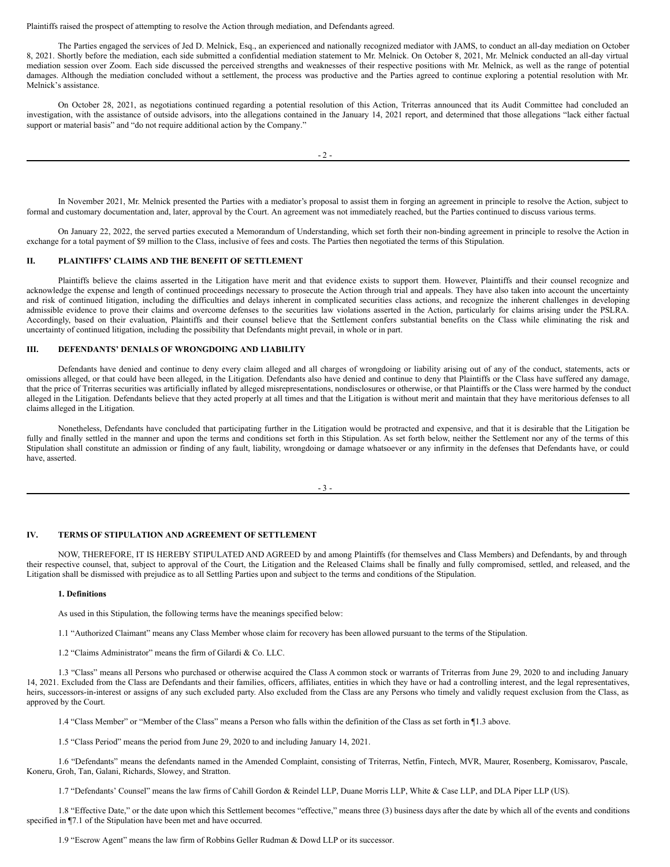Plaintiffs raised the prospect of attempting to resolve the Action through mediation, and Defendants agreed.

The Parties engaged the services of Jed D. Melnick, Esq., an experienced and nationally recognized mediator with JAMS, to conduct an all-day mediation on October 8, 2021. Shortly before the mediation, each side submitted a confidential mediation statement to Mr. Melnick. On October 8, 2021, Mr. Melnick conducted an all-day virtual mediation session over Zoom. Each side discussed the perceived strengths and weaknesses of their respective positions with Mr. Melnick, as well as the range of potential damages. Although the mediation concluded without a settlement, the process was productive and the Parties agreed to continue exploring a potential resolution with Mr. Melnick's assistance.

On October 28, 2021, as negotiations continued regarding a potential resolution of this Action, Triterras announced that its Audit Committee had concluded an investigation, with the assistance of outside advisors, into the allegations contained in the January 14, 2021 report, and determined that those allegations "lack either factual support or material basis" and "do not require additional action by the Company."

In November 2021, Mr. Melnick presented the Parties with a mediator's proposal to assist them in forging an agreement in principle to resolve the Action, subject to formal and customary documentation and, later, approval by the Court. An agreement was not immediately reached, but the Parties continued to discuss various terms.

On January 22, 2022, the served parties executed a Memorandum of Understanding, which set forth their non-binding agreement in principle to resolve the Action in exchange for a total payment of \$9 million to the Class, inclusive of fees and costs. The Parties then negotiated the terms of this Stipulation.

#### **II. PLAINTIFFS' CLAIMS AND THE BENEFIT OF SETTLEMENT**

Plaintiffs believe the claims asserted in the Litigation have merit and that evidence exists to support them. However, Plaintiffs and their counsel recognize and acknowledge the expense and length of continued proceedings necessary to prosecute the Action through trial and appeals. They have also taken into account the uncertainty and risk of continued litigation, including the difficulties and delays inherent in complicated securities class actions, and recognize the inherent challenges in developing admissible evidence to prove their claims and overcome defenses to the securities law violations asserted in the Action, particularly for claims arising under the PSLRA. Accordingly, based on their evaluation, Plaintiffs and their counsel believe that the Settlement confers substantial benefits on the Class while eliminating the risk and uncertainty of continued litigation, including the possibility that Defendants might prevail, in whole or in part.

#### **III. DEFENDANTS' DENIALS OF WRONGDOING AND LIABILITY**

Defendants have denied and continue to deny every claim alleged and all charges of wrongdoing or liability arising out of any of the conduct, statements, acts or omissions alleged, or that could have been alleged, in the Litigation. Defendants also have denied and continue to deny that Plaintiffs or the Class have suffered any damage, that the price of Triterras securities was artificially inflated by alleged misrepresentations, nondisclosures or otherwise, or that Plaintiffs or the Class were harmed by the conduct alleged in the Litigation. Defendants believe that they acted properly at all times and that the Litigation is without merit and maintain that they have meritorious defenses to all claims alleged in the Litigation.

Nonetheless, Defendants have concluded that participating further in the Litigation would be protracted and expensive, and that it is desirable that the Litigation be fully and finally settled in the manner and upon the terms and conditions set forth in this Stipulation. As set forth below, neither the Settlement nor any of the terms of this Stipulation shall constitute an admission or finding of any fault, liability, wrongdoing or damage whatsoever or any infirmity in the defenses that Defendants have, or could have, asserted.

- 3 -

# **IV. TERMS OF STIPULATION AND AGREEMENT OF SETTLEMENT**

NOW, THEREFORE, IT IS HEREBY STIPULATED AND AGREED by and among Plaintiffs (for themselves and Class Members) and Defendants, by and through their respective counsel, that, subject to approval of the Court, the Litigation and the Released Claims shall be finally and fully compromised, settled, and released, and the Litigation shall be dismissed with prejudice as to all Settling Parties upon and subject to the terms and conditions of the Stipulation.

# **1. Definitions**

As used in this Stipulation, the following terms have the meanings specified below:

1.1 "Authorized Claimant" means any Class Member whose claim for recovery has been allowed pursuant to the terms of the Stipulation.

1.2 "Claims Administrator" means the firm of Gilardi & Co. LLC.

1.3 "Class" means all Persons who purchased or otherwise acquired the Class A common stock or warrants of Triterras from June 29, 2020 to and including January 14, 2021. Excluded from the Class are Defendants and their families, officers, affiliates, entities in which they have or had a controlling interest, and the legal representatives, heirs, successors-in-interest or assigns of any such excluded party. Also excluded from the Class are any Persons who timely and validly request exclusion from the Class, as approved by the Court.

1.4 "Class Member" or "Member of the Class" means a Person who falls within the definition of the Class as set forth in ¶1.3 above.

1.5 "Class Period" means the period from June 29, 2020 to and including January 14, 2021.

1.6 "Defendants" means the defendants named in the Amended Complaint, consisting of Triterras, Netfin, Fintech, MVR, Maurer, Rosenberg, Komissarov, Pascale, Koneru, Groh, Tan, Galani, Richards, Slowey, and Stratton.

1.7 "Defendants' Counsel" means the law firms of Cahill Gordon & Reindel LLP, Duane Morris LLP, White & Case LLP, and DLA Piper LLP (US).

1.8 "Effective Date," or the date upon which this Settlement becomes "effective," means three (3) business days after the date by which all of the events and conditions specified in ¶7.1 of the Stipulation have been met and have occurred.

1.9 "Escrow Agent" means the law firm of Robbins Geller Rudman & Dowd LLP or its successor.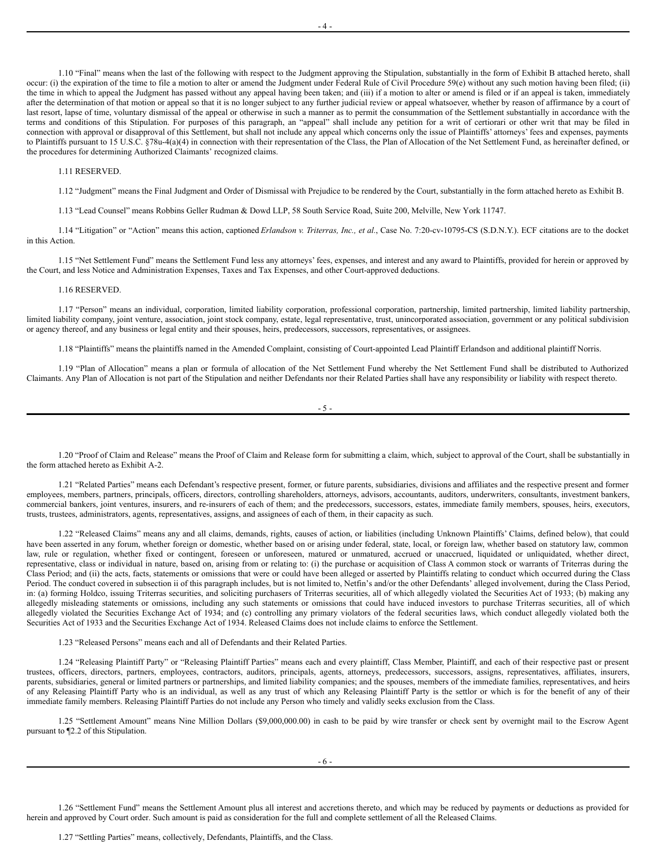1.10 "Final" means when the last of the following with respect to the Judgment approving the Stipulation, substantially in the form of Exhibit B attached hereto, shall occur: (i) the expiration of the time to file a motion to alter or amend the Judgment under Federal Rule of Civil Procedure 59(e) without any such motion having been filed; (ii) the time in which to appeal the Judgment has passed without any appeal having been taken; and (iii) if a motion to alter or amend is filed or if an appeal is taken, immediately after the determination of that motion or appeal so that it is no longer subject to any further judicial review or appeal whatsoever, whether by reason of affirmance by a court of last resort, lapse of time, voluntary dismissal of the appeal or otherwise in such a manner as to permit the consummation of the Settlement substantially in accordance with the terms and conditions of this Stipulation. For purposes of this paragraph, an "appeal" shall include any petition for a writ of certiorari or other writ that may be filed in connection with approval or disapproval of this Settlement, but shall not include any appeal which concerns only the issue of Plaintiffs' attorneys' fees and expenses, payments to Plaintiffs pursuant to 15 U.S.C. §78u-4(a)(4) in connection with their representation of the Class, the Plan of Allocation of the Net Settlement Fund, as hereinafter defined, or the procedures for determining Authorized Claimants' recognized claims.

#### 1.11 RESERVED.

1.12 "Judgment" means the Final Judgment and Order of Dismissal with Prejudice to be rendered by the Court, substantially in the form attached hereto as Exhibit B.

1.13 "Lead Counsel" means Robbins Geller Rudman & Dowd LLP, 58 South Service Road, Suite 200, Melville, New York 11747.

1.14 "Litigation" or "Action" means this action, captioned *Erlandson v. Triterras, Inc., et al.*, Case No. 7:20-cv-10795-CS (S.D.N.Y.). ECF citations are to the docket in this Action.

1.15 "Net Settlement Fund" means the Settlement Fund less any attorneys' fees, expenses, and interest and any award to Plaintiffs, provided for herein or approved by the Court, and less Notice and Administration Expenses, Taxes and Tax Expenses, and other Court-approved deductions.

#### 1.16 RESERVED.

1.17 "Person" means an individual, corporation, limited liability corporation, professional corporation, partnership, limited partnership, limited liability partnership, limited liability company, joint venture, association, joint stock company, estate, legal representative, trust, unincorporated association, government or any political subdivision or agency thereof, and any business or legal entity and their spouses, heirs, predecessors, successors, representatives, or assignees.

1.18 "Plaintiffs" means the plaintiffs named in the Amended Complaint, consisting of Court-appointed Lead Plaintiff Erlandson and additional plaintiff Norris.

1.19 "Plan of Allocation" means a plan or formula of allocation of the Net Settlement Fund whereby the Net Settlement Fund shall be distributed to Authorized Claimants. Any Plan of Allocation is not part of the Stipulation and neither Defendants nor their Related Parties shall have any responsibility or liability with respect thereto.

1.20 "Proof of Claim and Release" means the Proof of Claim and Release form for submitting a claim, which, subject to approval of the Court, shall be substantially in the form attached hereto as Exhibit A-2.

1.21 "Related Parties" means each Defendant's respective present, former, or future parents, subsidiaries, divisions and affiliates and the respective present and former employees, members, partners, principals, officers, directors, controlling shareholders, attorneys, advisors, accountants, auditors, underwriters, consultants, investment bankers, commercial bankers, joint ventures, insurers, and re-insurers of each of them; and the predecessors, successors, estates, immediate family members, spouses, heirs, executors, trusts, trustees, administrators, agents, representatives, assigns, and assignees of each of them, in their capacity as such.

1.22 "Released Claims" means any and all claims, demands, rights, causes of action, or liabilities (including Unknown Plaintiffs' Claims, defined below), that could have been asserted in any forum, whether foreign or domestic, whether based on or arising under federal, state, local, or foreign law, whether based on statutory law, common law, rule or regulation, whether fixed or contingent, foreseen or unforeseen, matured or unmatured, accrued or unaccrued, liquidated or unliquidated, whether direct, representative, class or individual in nature, based on, arising from or relating to: (i) the purchase or acquisition of Class A common stock or warrants of Triterras during the Class Period; and (ii) the acts, facts, statements or omissions that were or could have been alleged or asserted by Plaintiffs relating to conduct which occurred during the Class Period. The conduct covered in subsection ii of this paragraph includes, but is not limited to, Netfin's and/or the other Defendants' alleged involvement, during the Class Period, in: (a) forming Holdco, issuing Triterras securities, and soliciting purchasers of Triterras securities, all of which allegedly violated the Securities Act of 1933; (b) making any allegedly misleading statements or omissions, including any such statements or omissions that could have induced investors to purchase Triterras securities, all of which allegedly violated the Securities Exchange Act of 1934; and (c) controlling any primary violators of the federal securities laws, which conduct allegedly violated both the Securities Act of 1933 and the Securities Exchange Act of 1934. Released Claims does not include claims to enforce the Settlement.

1.23 "Released Persons" means each and all of Defendants and their Related Parties.

1.24 "Releasing Plaintiff Party" or "Releasing Plaintiff Parties" means each and every plaintiff, Class Member, Plaintiff, and each of their respective past or present trustees, officers, directors, partners, employees, contractors, auditors, principals, agents, attorneys, predecessors, successors, assigns, representatives, affiliates, insurers, parents, subsidiaries, general or limited partners or partnerships, and limited liability companies; and the spouses, members of the immediate families, representatives, and heirs of any Releasing Plaintiff Party who is an individual, as well as any trust of which any Releasing Plaintiff Party is the settlor or which is for the benefit of any of their immediate family members. Releasing Plaintiff Parties do not include any Person who timely and validly seeks exclusion from the Class.

1.25 "Settlement Amount" means Nine Million Dollars (\$9,000,000.00) in cash to be paid by wire transfer or check sent by overnight mail to the Escrow Agent pursuant to ¶2.2 of this Stipulation.

1.26 "Settlement Fund" means the Settlement Amount plus all interest and accretions thereto, and which may be reduced by payments or deductions as provided for herein and approved by Court order. Such amount is paid as consideration for the full and complete settlement of all the Released Claims.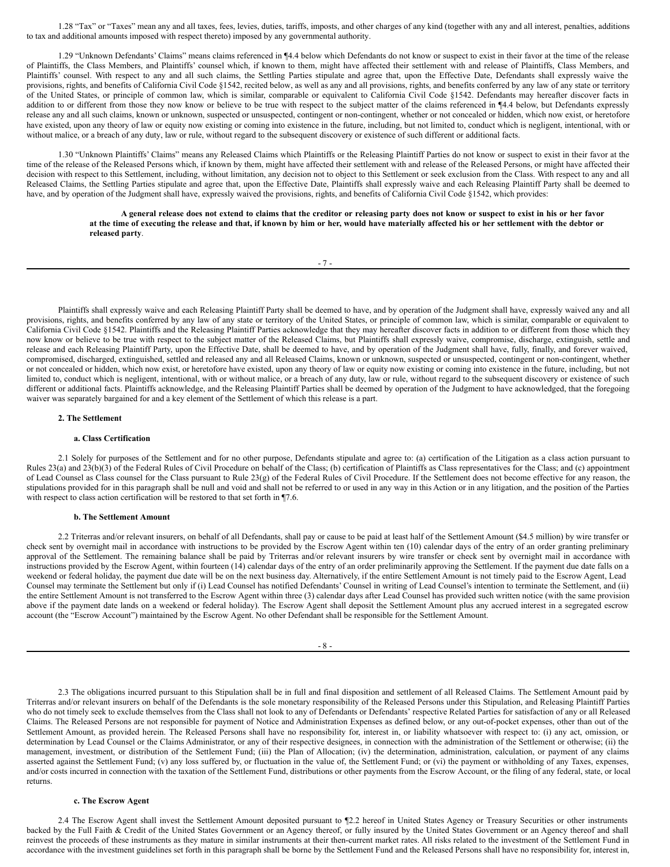1.28 "Tax" or "Taxes" mean any and all taxes, fees, levies, duties, tariffs, imposts, and other charges of any kind (together with any and all interest, penalties, additions to tax and additional amounts imposed with respect thereto) imposed by any governmental authority.

1.29 "Unknown Defendants' Claims" means claims referenced in ¶4.4 below which Defendants do not know or suspect to exist in their favor at the time of the release of Plaintiffs, the Class Members, and Plaintiffs' counsel which, if known to them, might have affected their settlement with and release of Plaintiffs, Class Members, and Plaintiffs' counsel. With respect to any and all such claims, the Settling Parties stipulate and agree that, upon the Effective Date, Defendants shall expressly waive the provisions, rights, and benefits of California Civil Code §1542, recited below, as well as any and all provisions, rights, and benefits conferred by any law of any state or territory of the United States, or principle of common law, which is similar, comparable or equivalent to California Civil Code §1542. Defendants may hereafter discover facts in addition to or different from those they now know or believe to be true with respect to the subject matter of the claims referenced in ¶4.4 below, but Defendants expressly release any and all such claims, known or unknown, suspected or unsuspected, contingent or non-contingent, whether or not concealed or hidden, which now exist, or heretofore have existed, upon any theory of law or equity now existing or coming into existence in the future, including, but not limited to, conduct which is negligent, intentional, with or without malice, or a breach of any duty, law or rule, without regard to the subsequent discovery or existence of such different or additional facts.

1.30 "Unknown Plaintiffs' Claims" means any Released Claims which Plaintiffs or the Releasing Plaintiff Parties do not know or suspect to exist in their favor at the time of the release of the Released Persons which, if known by them, might have affected their settlement with and release of the Released Persons, or might have affected their decision with respect to this Settlement, including, without limitation, any decision not to object to this Settlement or seek exclusion from the Class. With respect to any and all Released Claims, the Settling Parties stipulate and agree that, upon the Effective Date, Plaintiffs shall expressly waive and each Releasing Plaintiff Party shall be deemed to have, and by operation of the Judgment shall have, expressly waived the provisions, rights, and benefits of California Civil Code §1542, which provides:

> A general release does not extend to claims that the creditor or releasing party does not know or suspect to exist in his or her favor at the time of executing the release and that, if known by him or her, would have materially affected his or her settlement with the debtor or **released party**.

> > $-7 -$

Plaintiffs shall expressly waive and each Releasing Plaintiff Party shall be deemed to have, and by operation of the Judgment shall have, expressly waived any and all provisions, rights, and benefits conferred by any law of any state or territory of the United States, or principle of common law, which is similar, comparable or equivalent to California Civil Code §1542. Plaintiffs and the Releasing Plaintiff Parties acknowledge that they may hereafter discover facts in addition to or different from those which they now know or believe to be true with respect to the subject matter of the Released Claims, but Plaintiffs shall expressly waive, compromise, discharge, extinguish, settle and release and each Releasing Plaintiff Party, upon the Effective Date, shall be deemed to have, and by operation of the Judgment shall have, fully, finally, and forever waived, compromised, discharged, extinguished, settled and released any and all Released Claims, known or unknown, suspected or unsuspected, contingent or non-contingent, whether or not concealed or hidden, which now exist, or heretofore have existed, upon any theory of law or equity now existing or coming into existence in the future, including, but not limited to, conduct which is negligent, intentional, with or without malice, or a breach of any duty, law or rule, without regard to the subsequent discovery or existence of such different or additional facts. Plaintiffs acknowledge, and the Releasing Plaintiff Parties shall be deemed by operation of the Judgment to have acknowledged, that the foregoing waiver was separately bargained for and a key element of the Settlement of which this release is a part.

#### **2. The Settlement**

#### **a. Class Certification**

2.1 Solely for purposes of the Settlement and for no other purpose, Defendants stipulate and agree to: (a) certification of the Litigation as a class action pursuant to Rules 23(a) and 23(b)(3) of the Federal Rules of Civil Procedure on behalf of the Class; (b) certification of Plaintiffs as Class representatives for the Class; and (c) appointment of Lead Counsel as Class counsel for the Class pursuant to Rule 23(g) of the Federal Rules of Civil Procedure. If the Settlement does not become effective for any reason, the stipulations provided for in this paragraph shall be null and void and shall not be referred to or used in any way in this Action or in any litigation, and the position of the Parties with respect to class action certification will be restored to that set forth in  $\P$ 7.6.

### **b. The Settlement Amount**

2.2 Triterras and/or relevant insurers, on behalf of all Defendants, shall pay or cause to be paid at least half of the Settlement Amount (\$4.5 million) by wire transfer or check sent by overnight mail in accordance with instructions to be provided by the Escrow Agent within ten (10) calendar days of the entry of an order granting preliminary approval of the Settlement. The remaining balance shall be paid by Triterras and/or relevant insurers by wire transfer or check sent by overnight mail in accordance with instructions provided by the Escrow Agent, within fourteen (14) calendar days of the entry of an order preliminarily approving the Settlement. If the payment due date falls on a weekend or federal holiday, the payment due date will be on the next business day. Alternatively, if the entire Settlement Amount is not timely paid to the Escrow Agent, Lead Counsel may terminate the Settlement but only if (i) Lead Counsel has notified Defendants' Counsel in writing of Lead Counsel's intention to terminate the Settlement, and (ii) the entire Settlement Amount is not transferred to the Escrow Agent within three (3) calendar days after Lead Counsel has provided such written notice (with the same provision above if the payment date lands on a weekend or federal holiday). The Escrow Agent shall deposit the Settlement Amount plus any accrued interest in a segregated escrow account (the "Escrow Account") maintained by the Escrow Agent. No other Defendant shall be responsible for the Settlement Amount.

- 8 -

2.3 The obligations incurred pursuant to this Stipulation shall be in full and final disposition and settlement of all Released Claims. The Settlement Amount paid by Triterras and/or relevant insurers on behalf of the Defendants is the sole monetary responsibility of the Released Persons under this Stipulation, and Releasing Plaintiff Parties who do not timely seek to exclude themselves from the Class shall not look to any of Defendants or Defendants' respective Related Parties for satisfaction of any or all Released Claims. The Released Persons are not responsible for payment of Notice and Administration Expenses as defined below, or any out-of-pocket expenses, other than out of the Settlement Amount, as provided herein. The Released Persons shall have no responsibility for, interest in, or liability whatsoever with respect to: (i) any act, omission, or determination by Lead Counsel or the Claims Administrator, or any of their respective designees, in connection with the administration of the Settlement or otherwise; (ii) the management, investment, or distribution of the Settlement Fund; (iii) the Plan of Allocation; (iv) the determination, administration, calculation, or payment of any claims asserted against the Settlement Fund; (v) any loss suffered by, or fluctuation in the value of, the Settlement Fund; or (vi) the payment or withholding of any Taxes, expenses, and/or costs incurred in connection with the taxation of the Settlement Fund, distributions or other payments from the Escrow Account, or the filing of any federal, state, or local returns.

#### **c. The Escrow Agent**

2.4 The Escrow Agent shall invest the Settlement Amount deposited pursuant to ¶2.2 hereof in United States Agency or Treasury Securities or other instruments backed by the Full Faith & Credit of the United States Government or an Agency thereof, or fully insured by the United States Government or an Agency thereof and shall reinvest the proceeds of these instruments as they mature in similar instruments at their then-current market rates. All risks related to the investment of the Settlement Fund in accordance with the investment guidelines set forth in this paragraph shall be borne by the Settlement Fund and the Released Persons shall have no responsibility for, interest in,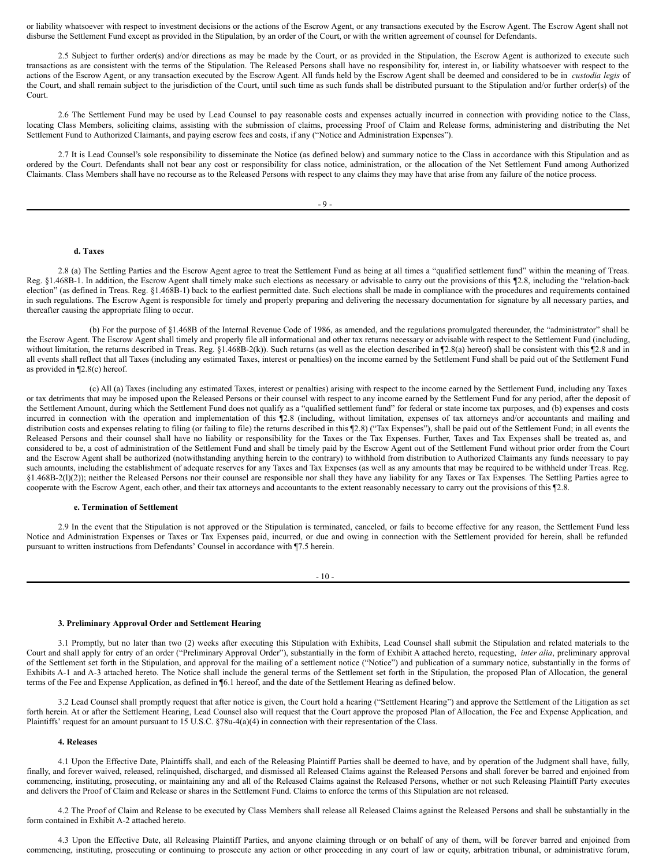or liability whatsoever with respect to investment decisions or the actions of the Escrow Agent, or any transactions executed by the Escrow Agent. The Escrow Agent shall not disburse the Settlement Fund except as provided in the Stipulation, by an order of the Court, or with the written agreement of counsel for Defendants.

2.5 Subject to further order(s) and/or directions as may be made by the Court, or as provided in the Stipulation, the Escrow Agent is authorized to execute such transactions as are consistent with the terms of the Stipulation. The Released Persons shall have no responsibility for, interest in, or liability whatsoever with respect to the actions of the Escrow Agent, or any transaction executed by the Escrow Agent. All funds held by the Escrow Agent shall be deemed and considered to be in *custodia legis* of the Court, and shall remain subject to the jurisdiction of the Court, until such time as such funds shall be distributed pursuant to the Stipulation and/or further order(s) of the Court.

2.6 The Settlement Fund may be used by Lead Counsel to pay reasonable costs and expenses actually incurred in connection with providing notice to the Class, locating Class Members, soliciting claims, assisting with the submission of claims, processing Proof of Claim and Release forms, administering and distributing the Net Settlement Fund to Authorized Claimants, and paying escrow fees and costs, if any ("Notice and Administration Expenses").

2.7 It is Lead Counsel's sole responsibility to disseminate the Notice (as defined below) and summary notice to the Class in accordance with this Stipulation and as ordered by the Court. Defendants shall not bear any cost or responsibility for class notice, administration, or the allocation of the Net Settlement Fund among Authorized Claimants. Class Members shall have no recourse as to the Released Persons with respect to any claims they may have that arise from any failure of the notice process.

# **d. Taxes**

2.8 (a) The Settling Parties and the Escrow Agent agree to treat the Settlement Fund as being at all times a "qualified settlement fund" within the meaning of Treas. Reg. §1.468B-1. In addition, the Escrow Agent shall timely make such elections as necessary or advisable to carry out the provisions of this ¶2.8, including the "relation-back election" (as defined in Treas. Reg. §1.468B-1) back to the earliest permitted date. Such elections shall be made in compliance with the procedures and requirements contained in such regulations. The Escrow Agent is responsible for timely and properly preparing and delivering the necessary documentation for signature by all necessary parties, and thereafter causing the appropriate filing to occur.

(b) For the purpose of §1.468B of the Internal Revenue Code of 1986, as amended, and the regulations promulgated thereunder, the "administrator" shall be the Escrow Agent. The Escrow Agent shall timely and properly file all informational and other tax returns necessary or advisable with respect to the Settlement Fund (including, without limitation, the returns described in Treas. Reg. §1.468B-2(k)). Such returns (as well as the election described in [2.8(a) hereof) shall be consistent with this [2.8 and in all events shall reflect that all Taxes (including any estimated Taxes, interest or penalties) on the income earned by the Settlement Fund shall be paid out of the Settlement Fund as provided in ¶2.8(c) hereof.

(c) All (a) Taxes (including any estimated Taxes, interest or penalties) arising with respect to the income earned by the Settlement Fund, including any Taxes or tax detriments that may be imposed upon the Released Persons or their counsel with respect to any income earned by the Settlement Fund for any period, after the deposit of the Settlement Amount, during which the Settlement Fund does not qualify as a "qualified settlement fund" for federal or state income tax purposes, and (b) expenses and costs incurred in connection with the operation and implementation of this ¶2.8 (including, without limitation, expenses of tax attorneys and/or accountants and mailing and distribution costs and expenses relating to filing (or failing to file) the returns described in this ¶2.8) ("Tax Expenses"), shall be paid out of the Settlement Fund; in all events the Released Persons and their counsel shall have no liability or responsibility for the Taxes or the Tax Expenses. Further, Taxes and Tax Expenses shall be treated as, and considered to be, a cost of administration of the Settlement Fund and shall be timely paid by the Escrow Agent out of the Settlement Fund without prior order from the Court and the Escrow Agent shall be authorized (notwithstanding anything herein to the contrary) to withhold from distribution to Authorized Claimants any funds necessary to pay such amounts, including the establishment of adequate reserves for any Taxes and Tax Expenses (as well as any amounts that may be required to be withheld under Treas. Reg. §1.468B-2(l)(2)); neither the Released Persons nor their counsel are responsible nor shall they have any liability for any Taxes or Tax Expenses. The Settling Parties agree to cooperate with the Escrow Agent, each other, and their tax attorneys and accountants to the extent reasonably necessary to carry out the provisions of this ¶2.8.

#### **e. Termination of Settlement**

2.9 In the event that the Stipulation is not approved or the Stipulation is terminated, canceled, or fails to become effective for any reason, the Settlement Fund less Notice and Administration Expenses or Taxes or Tax Expenses paid, incurred, or due and owing in connection with the Settlement provided for herein, shall be refunded pursuant to written instructions from Defendants' Counsel in accordance with ¶7.5 herein.

 $-10-$ 

#### **3. Preliminary Approval Order and Settlement Hearing**

3.1 Promptly, but no later than two (2) weeks after executing this Stipulation with Exhibits, Lead Counsel shall submit the Stipulation and related materials to the Court and shall apply for entry of an order ("Preliminary Approval Order"), substantially in the form of Exhibit A attached hereto, requesting, *inter alia*, preliminary approval of the Settlement set forth in the Stipulation, and approval for the mailing of a settlement notice ("Notice") and publication of a summary notice, substantially in the forms of Exhibits A-1 and A-3 attached hereto. The Notice shall include the general terms of the Settlement set forth in the Stipulation, the proposed Plan of Allocation, the general terms of the Fee and Expense Application, as defined in ¶6.1 hereof, and the date of the Settlement Hearing as defined below.

3.2 Lead Counsel shall promptly request that after notice is given, the Court hold a hearing ("Settlement Hearing") and approve the Settlement of the Litigation as set forth herein. At or after the Settlement Hearing, Lead Counsel also will request that the Court approve the proposed Plan of Allocation, the Fee and Expense Application, and Plaintiffs' request for an amount pursuant to 15 U.S.C. §78u-4(a)(4) in connection with their representation of the Class.

#### **4. Releases**

4.1 Upon the Effective Date, Plaintiffs shall, and each of the Releasing Plaintiff Parties shall be deemed to have, and by operation of the Judgment shall have, fully, finally, and forever waived, released, relinquished, discharged, and dismissed all Released Claims against the Released Persons and shall forever be barred and enjoined from commencing, instituting, prosecuting, or maintaining any and all of the Released Claims against the Released Persons, whether or not such Releasing Plaintiff Party executes and delivers the Proof of Claim and Release or shares in the Settlement Fund. Claims to enforce the terms of this Stipulation are not released.

4.2 The Proof of Claim and Release to be executed by Class Members shall release all Released Claims against the Released Persons and shall be substantially in the form contained in Exhibit A-2 attached hereto.

4.3 Upon the Effective Date, all Releasing Plaintiff Parties, and anyone claiming through or on behalf of any of them, will be forever barred and enjoined from commencing, instituting, prosecuting or continuing to prosecute any action or other proceeding in any court of law or equity, arbitration tribunal, or administrative forum,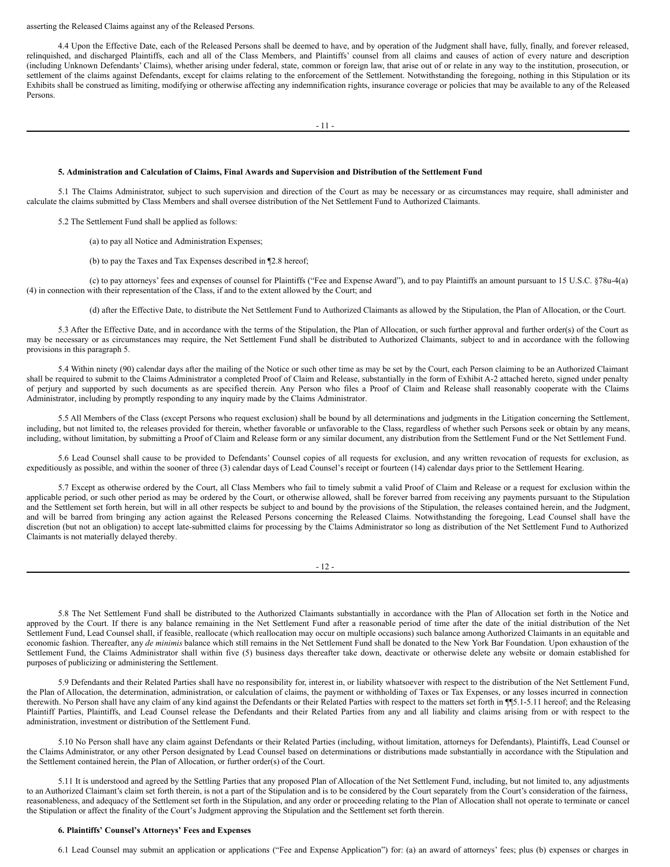asserting the Released Claims against any of the Released Persons.

4.4 Upon the Effective Date, each of the Released Persons shall be deemed to have, and by operation of the Judgment shall have, fully, finally, and forever released, relinquished, and discharged Plaintiffs, each and all of the Class Members, and Plaintiffs' counsel from all claims and causes of action of every nature and description (including Unknown Defendants' Claims), whether arising under federal, state, common or foreign law, that arise out of or relate in any way to the institution, prosecution, or settlement of the claims against Defendants, except for claims relating to the enforcement of the Settlement. Notwithstanding the foregoing, nothing in this Stipulation or its Exhibits shall be construed as limiting, modifying or otherwise affecting any indemnification rights, insurance coverage or policies that may be available to any of the Released Persons.

- 11 -

#### 5. Administration and Calculation of Claims, Final Awards and Supervision and Distribution of the Settlement Fund

5.1 The Claims Administrator, subject to such supervision and direction of the Court as may be necessary or as circumstances may require, shall administer and calculate the claims submitted by Class Members and shall oversee distribution of the Net Settlement Fund to Authorized Claimants.

5.2 The Settlement Fund shall be applied as follows:

(a) to pay all Notice and Administration Expenses;

(b) to pay the Taxes and Tax Expenses described in ¶2.8 hereof;

(c) to pay attorneys' fees and expenses of counsel for Plaintiffs ("Fee and Expense Award"), and to pay Plaintiffs an amount pursuant to 15 U.S.C. §78u-4(a) (4) in connection with their representation of the Class, if and to the extent allowed by the Court; and

(d) after the Effective Date, to distribute the Net Settlement Fund to Authorized Claimants as allowed by the Stipulation, the Plan of Allocation, or the Court.

5.3 After the Effective Date, and in accordance with the terms of the Stipulation, the Plan of Allocation, or such further approval and further order(s) of the Court as may be necessary or as circumstances may require, the Net Settlement Fund shall be distributed to Authorized Claimants, subject to and in accordance with the following provisions in this paragraph 5.

5.4 Within ninety (90) calendar days after the mailing of the Notice or such other time as may be set by the Court, each Person claiming to be an Authorized Claimant shall be required to submit to the Claims Administrator a completed Proof of Claim and Release, substantially in the form of Exhibit A-2 attached hereto, signed under penalty of perjury and supported by such documents as are specified therein. Any Person who files a Proof of Claim and Release shall reasonably cooperate with the Claims Administrator, including by promptly responding to any inquiry made by the Claims Administrator.

5.5 All Members of the Class (except Persons who request exclusion) shall be bound by all determinations and judgments in the Litigation concerning the Settlement, including, but not limited to, the releases provided for therein, whether favorable or unfavorable to the Class, regardless of whether such Persons seek or obtain by any means, including, without limitation, by submitting a Proof of Claim and Release form or any similar document, any distribution from the Settlement Fund or the Net Settlement Fund.

5.6 Lead Counsel shall cause to be provided to Defendants' Counsel copies of all requests for exclusion, and any written revocation of requests for exclusion, as expeditiously as possible, and within the sooner of three (3) calendar days of Lead Counsel's receipt or fourteen (14) calendar days prior to the Settlement Hearing.

5.7 Except as otherwise ordered by the Court, all Class Members who fail to timely submit a valid Proof of Claim and Release or a request for exclusion within the applicable period, or such other period as may be ordered by the Court, or otherwise allowed, shall be forever barred from receiving any payments pursuant to the Stipulation and the Settlement set forth herein, but will in all other respects be subject to and bound by the provisions of the Stipulation, the releases contained herein, and the Judgment, and will be barred from bringing any action against the Released Persons concerning the Released Claims. Notwithstanding the foregoing, Lead Counsel shall have the discretion (but not an obligation) to accept late-submitted claims for processing by the Claims Administrator so long as distribution of the Net Settlement Fund to Authorized Claimants is not materially delayed thereby.

- 12 -

5.8 The Net Settlement Fund shall be distributed to the Authorized Claimants substantially in accordance with the Plan of Allocation set forth in the Notice and approved by the Court. If there is any balance remaining in the Net Settlement Fund after a reasonable period of time after the date of the initial distribution of the Net Settlement Fund, Lead Counsel shall, if feasible, reallocate (which reallocation may occur on multiple occasions) such balance among Authorized Claimants in an equitable and economic fashion. Thereafter, any *de minimis* balance which still remains in the Net Settlement Fund shall be donated to the New York Bar Foundation. Upon exhaustion of the Settlement Fund, the Claims Administrator shall within five (5) business days thereafter take down, deactivate or otherwise delete any website or domain established for purposes of publicizing or administering the Settlement.

5.9 Defendants and their Related Parties shall have no responsibility for, interest in, or liability whatsoever with respect to the distribution of the Net Settlement Fund, the Plan of Allocation, the determination, administration, or calculation of claims, the payment or withholding of Taxes or Tax Expenses, or any losses incurred in connection therewith. No Person shall have any claim of any kind against the Defendants or their Related Parties with respect to the matters set forth in ¶¶5.1-5.11 hereof; and the Releasing Plaintiff Parties, Plaintiffs, and Lead Counsel release the Defendants and their Related Parties from any and all liability and claims arising from or with respect to the administration, investment or distribution of the Settlement Fund.

5.10 No Person shall have any claim against Defendants or their Related Parties (including, without limitation, attorneys for Defendants), Plaintiffs, Lead Counsel or the Claims Administrator, or any other Person designated by Lead Counsel based on determinations or distributions made substantially in accordance with the Stipulation and the Settlement contained herein, the Plan of Allocation, or further order(s) of the Court.

5.11 It is understood and agreed by the Settling Parties that any proposed Plan of Allocation of the Net Settlement Fund, including, but not limited to, any adjustments to an Authorized Claimant's claim set forth therein, is not a part of the Stipulation and is to be considered by the Court separately from the Court's consideration of the fairness, reasonableness, and adequacy of the Settlement set forth in the Stipulation, and any order or proceeding relating to the Plan of Allocation shall not operate to terminate or cancel the Stipulation or affect the finality of the Court's Judgment approving the Stipulation and the Settlement set forth therein.

#### **6. Plaintiffs' Counsel's Attorneys' Fees and Expenses**

6.1 Lead Counsel may submit an application or applications ("Fee and Expense Application") for: (a) an award of attorneys' fees; plus (b) expenses or charges in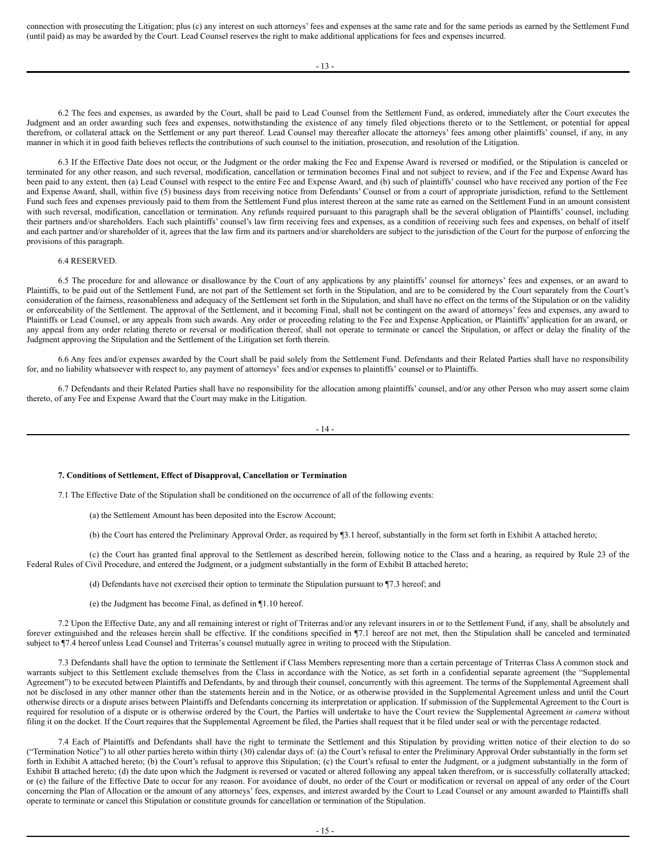connection with prosecuting the Litigation; plus (c) any interest on such attorneys' fees and expenses at the same rate and for the same periods as earned by the Settlement Fund (until paid) as may be awarded by the Court. Lead Counsel reserves the right to make additional applications for fees and expenses incurred.

- 13 -

6.2 The fees and expenses, as awarded by the Court, shall be paid to Lead Counsel from the Settlement Fund, as ordered, immediately after the Court executes the Judgment and an order awarding such fees and expenses, notwithstanding the existence of any timely filed objections thereto or to the Settlement, or potential for appeal therefrom, or collateral attack on the Settlement or any part thereof. Lead Counsel may thereafter allocate the attorneys' fees among other plaintiffs' counsel, if any, in any manner in which it in good faith believes reflects the contributions of such counsel to the initiation, prosecution, and resolution of the Litigation.

6.3 If the Effective Date does not occur, or the Judgment or the order making the Fee and Expense Award is reversed or modified, or the Stipulation is canceled or terminated for any other reason, and such reversal, modification, cancellation or termination becomes Final and not subject to review, and if the Fee and Expense Award has been paid to any extent, then (a) Lead Counsel with respect to the entire Fee and Expense Award, and (b) such of plaintiffs' counsel who have received any portion of the Fee and Expense Award, shall, within five (5) business days from receiving notice from Defendants' Counsel or from a court of appropriate jurisdiction, refund to the Settlement Fund such fees and expenses previously paid to them from the Settlement Fund plus interest thereon at the same rate as earned on the Settlement Fund in an amount consistent with such reversal, modification, cancellation or termination. Any refunds required pursuant to this paragraph shall be the several obligation of Plaintiffs' counsel, including their partners and/or shareholders. Each such plaintiffs' counsel's law firm receiving fees and expenses, as a condition of receiving such fees and expenses, on behalf of itself and each partner and/or shareholder of it, agrees that the law firm and its partners and/or shareholders are subject to the jurisdiction of the Court for the purpose of enforcing the provisions of this paragraph.

#### 6.4 RESERVED.

6.5 The procedure for and allowance or disallowance by the Court of any applications by any plaintiffs' counsel for attorneys' fees and expenses, or an award to Plaintiffs, to be paid out of the Settlement Fund, are not part of the Settlement set forth in the Stipulation, and are to be considered by the Court separately from the Court's consideration of the fairness, reasonableness and adequacy of the Settlement set forth in the Stipulation, and shall have no effect on the terms of the Stipulation or on the validity or enforceability of the Settlement. The approval of the Settlement, and it becoming Final, shall not be contingent on the award of attorneys' fees and expenses, any award to Plaintiffs or Lead Counsel, or any appeals from such awards. Any order or proceeding relating to the Fee and Expense Application, or Plaintiffs' application for an award, or any appeal from any order relating thereto or reversal or modification thereof, shall not operate to terminate or cancel the Stipulation, or affect or delay the finality of the Judgment approving the Stipulation and the Settlement of the Litigation set forth therein.

6.6 Any fees and/or expenses awarded by the Court shall be paid solely from the Settlement Fund. Defendants and their Related Parties shall have no responsibility for, and no liability whatsoever with respect to, any payment of attorneys' fees and/or expenses to plaintiffs' counsel or to Plaintiffs.

6.7 Defendants and their Related Parties shall have no responsibility for the allocation among plaintiffs' counsel, and/or any other Person who may assert some claim thereto, of any Fee and Expense Award that the Court may make in the Litigation.

- 14 -

#### **7. Conditions of Settlement, Effect of Disapproval, Cancellation or Termination**

7.1 The Effective Date of the Stipulation shall be conditioned on the occurrence of all of the following events:

(a) the Settlement Amount has been deposited into the Escrow Account;

(b) the Court has entered the Preliminary Approval Order, as required by ¶3.1 hereof, substantially in the form set forth in Exhibit A attached hereto;

(c) the Court has granted final approval to the Settlement as described herein, following notice to the Class and a hearing, as required by Rule 23 of the Federal Rules of Civil Procedure, and entered the Judgment, or a judgment substantially in the form of Exhibit B attached hereto;

(d) Defendants have not exercised their option to terminate the Stipulation pursuant to ¶7.3 hereof; and

(e) the Judgment has become Final, as defined in ¶1.10 hereof.

7.2 Upon the Effective Date, any and all remaining interest or right of Triterras and/or any relevant insurers in or to the Settlement Fund, if any, shall be absolutely and forever extinguished and the releases herein shall be effective. If the conditions specified in ¶7.1 hereof are not met, then the Stipulation shall be canceled and terminated subject to ¶7.4 hereof unless Lead Counsel and Triterras's counsel mutually agree in writing to proceed with the Stipulation.

7.3 Defendants shall have the option to terminate the Settlement if Class Members representing more than a certain percentage of Triterras Class A common stock and warrants subject to this Settlement exclude themselves from the Class in accordance with the Notice, as set forth in a confidential separate agreement (the "Supplemental Agreement") to be executed between Plaintiffs and Defendants, by and through their counsel, concurrently with this agreement. The terms of the Supplemental Agreement shall not be disclosed in any other manner other than the statements herein and in the Notice, or as otherwise provided in the Supplemental Agreement unless and until the Court otherwise directs or a dispute arises between Plaintiffs and Defendants concerning its interpretation or application. If submission of the Supplemental Agreement to the Court is required for resolution of a dispute or is otherwise ordered by the Court, the Parties will undertake to have the Court review the Supplemental Agreement *in camera* without filing it on the docket. If the Court requires that the Supplemental Agreement be filed, the Parties shall request that it be filed under seal or with the percentage redacted.

7.4 Each of Plaintiffs and Defendants shall have the right to terminate the Settlement and this Stipulation by providing written notice of their election to do so ("Termination Notice") to all other parties hereto within thirty (30) calendar days of: (a) the Court's refusal to enter the Preliminary Approval Order substantially in the form set forth in Exhibit A attached hereto; (b) the Court's refusal to approve this Stipulation; (c) the Court's refusal to enter the Judgment, or a judgment substantially in the form of Exhibit B attached hereto; (d) the date upon which the Judgment is reversed or vacated or altered following any appeal taken therefrom, or is successfully collaterally attacked; or (e) the failure of the Effective Date to occur for any reason. For avoidance of doubt, no order of the Court or modification or reversal on appeal of any order of the Court concerning the Plan of Allocation or the amount of any attorneys' fees, expenses, and interest awarded by the Court to Lead Counsel or any amount awarded to Plaintiffs shall operate to terminate or cancel this Stipulation or constitute grounds for cancellation or termination of the Stipulation.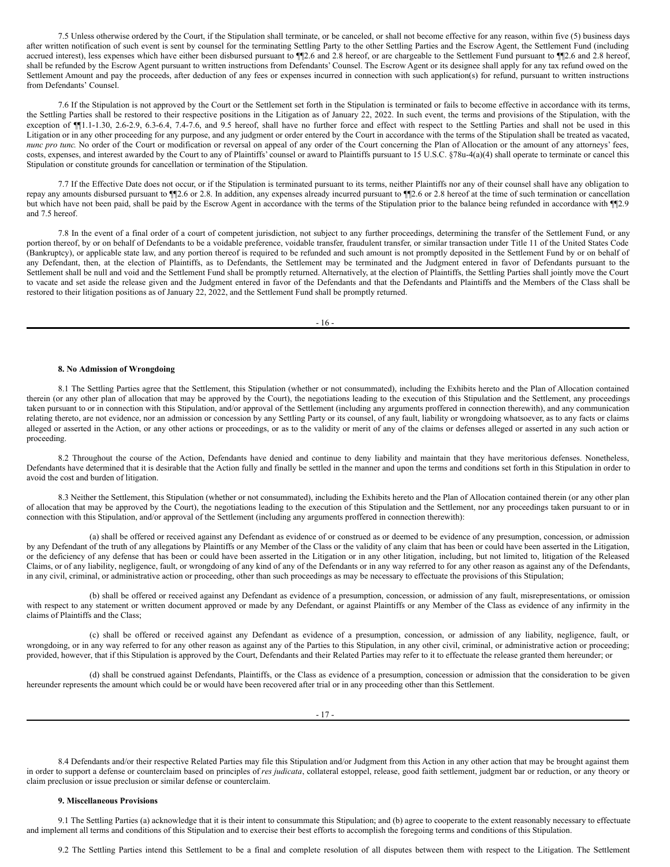7.5 Unless otherwise ordered by the Court, if the Stipulation shall terminate, or be canceled, or shall not become effective for any reason, within five (5) business days after written notification of such event is sent by counsel for the terminating Settling Party to the other Settling Parties and the Escrow Agent, the Settlement Fund (including accrued interest), less expenses which have either been disbursed pursuant to  $\P$ 2.6 and 2.8 hereof, or are chargeable to the Settlement Fund pursuant to  $\P$ 2.6 and 2.8 hereof, shall be refunded by the Escrow Agent pursuant to written instructions from Defendants' Counsel. The Escrow Agent or its designee shall apply for any tax refund owed on the Settlement Amount and pay the proceeds, after deduction of any fees or expenses incurred in connection with such application(s) for refund, pursuant to written instructions from Defendants' Counsel.

7.6 If the Stipulation is not approved by the Court or the Settlement set forth in the Stipulation is terminated or fails to become effective in accordance with its terms, the Settling Parties shall be restored to their respective positions in the Litigation as of January 22, 2022. In such event, the terms and provisions of the Stipulation, with the exception of  $\P$ 1.1-1.30, 2.6-2.9, 6.3-6.4, 7.4-7.6, and 9.5 hereof, shall have no further force and effect with respect to the Settling Parties and shall not be used in this Litigation or in any other proceeding for any purpose, and any judgment or order entered by the Court in accordance with the terms of the Stipulation shall be treated as vacated, *nunc pro tunc*. No order of the Court or modification or reversal on appeal of any order of the Court concerning the Plan of Allocation or the amount of any attorneys' fees, costs, expenses, and interest awarded by the Court to any of Plaintiffs' counsel or award to Plaintiffs pursuant to 15 U.S.C. §78u-4(a)(4) shall operate to terminate or cancel this Stipulation or constitute grounds for cancellation or termination of the Stipulation.

7.7 If the Effective Date does not occur, or if the Stipulation is terminated pursuant to its terms, neither Plaintiffs nor any of their counsel shall have any obligation to repay any amounts disbursed pursuant to  $\P$ 2.6 or 2.8. In addition, any expenses already incurred pursuant to  $\P$ 2.6 or 2.8 hereof at the time of such termination or cancellation but which have not been paid, shall be paid by the Escrow Agent in accordance with the terms of the Stipulation prior to the balance being refunded in accordance with  $\P$ 2.9 and 7.5 hereof.

7.8 In the event of a final order of a court of competent jurisdiction, not subject to any further proceedings, determining the transfer of the Settlement Fund, or any portion thereof, by or on behalf of Defendants to be a voidable preference, voidable transfer, fraudulent transfer, or similar transaction under Title 11 of the United States Code (Bankruptcy), or applicable state law, and any portion thereof is required to be refunded and such amount is not promptly deposited in the Settlement Fund by or on behalf of any Defendant, then, at the election of Plaintiffs, as to Defendants, the Settlement may be terminated and the Judgment entered in favor of Defendants pursuant to the Settlement shall be null and void and the Settlement Fund shall be promptly returned. Alternatively, at the election of Plaintiffs, the Settling Parties shall jointly move the Court to vacate and set aside the release given and the Judgment entered in favor of the Defendants and that the Defendants and Plaintiffs and the Members of the Class shall be restored to their litigation positions as of January 22, 2022, and the Settlement Fund shall be promptly returned.

- 16 -

#### **8. No Admission of Wrongdoing**

8.1 The Settling Parties agree that the Settlement, this Stipulation (whether or not consummated), including the Exhibits hereto and the Plan of Allocation contained therein (or any other plan of allocation that may be approved by the Court), the negotiations leading to the execution of this Stipulation and the Settlement, any proceedings taken pursuant to or in connection with this Stipulation, and/or approval of the Settlement (including any arguments proffered in connection therewith), and any communication relating thereto, are not evidence, nor an admission or concession by any Settling Party or its counsel, of any fault, liability or wrongdoing whatsoever, as to any facts or claims alleged or asserted in the Action, or any other actions or proceedings, or as to the validity or merit of any of the claims or defenses alleged or asserted in any such action or proceeding.

8.2 Throughout the course of the Action, Defendants have denied and continue to deny liability and maintain that they have meritorious defenses. Nonetheless, Defendants have determined that it is desirable that the Action fully and finally be settled in the manner and upon the terms and conditions set forth in this Stipulation in order to avoid the cost and burden of litigation.

8.3 Neither the Settlement, this Stipulation (whether or not consummated), including the Exhibits hereto and the Plan of Allocation contained therein (or any other plan of allocation that may be approved by the Court), the negotiations leading to the execution of this Stipulation and the Settlement, nor any proceedings taken pursuant to or in connection with this Stipulation, and/or approval of the Settlement (including any arguments proffered in connection therewith):

(a) shall be offered or received against any Defendant as evidence of or construed as or deemed to be evidence of any presumption, concession, or admission by any Defendant of the truth of any allegations by Plaintiffs or any Member of the Class or the validity of any claim that has been or could have been asserted in the Litigation, or the deficiency of any defense that has been or could have been asserted in the Litigation or in any other litigation, including, but not limited to, litigation of the Released Claims, or of any liability, negligence, fault, or wrongdoing of any kind of any of the Defendants or in any way referred to for any other reason as against any of the Defendants, in any civil, criminal, or administrative action or proceeding, other than such proceedings as may be necessary to effectuate the provisions of this Stipulation;

(b) shall be offered or received against any Defendant as evidence of a presumption, concession, or admission of any fault, misrepresentations, or omission with respect to any statement or written document approved or made by any Defendant, or against Plaintiffs or any Member of the Class as evidence of any infirmity in the claims of Plaintiffs and the Class;

(c) shall be offered or received against any Defendant as evidence of a presumption, concession, or admission of any liability, negligence, fault, or wrongdoing, or in any way referred to for any other reason as against any of the Parties to this Stipulation, in any other civil, criminal, or administrative action or proceeding; provided, however, that if this Stipulation is approved by the Court, Defendants and their Related Parties may refer to it to effectuate the release granted them hereunder; or

(d) shall be construed against Defendants, Plaintiffs, or the Class as evidence of a presumption, concession or admission that the consideration to be given hereunder represents the amount which could be or would have been recovered after trial or in any proceeding other than this Settlement.

8.4 Defendants and/or their respective Related Parties may file this Stipulation and/or Judgment from this Action in any other action that may be brought against them in order to support a defense or counterclaim based on principles of *res judicata*, collateral estoppel, release, good faith settlement, judgment bar or reduction, or any theory or claim preclusion or issue preclusion or similar defense or counterclaim.

#### **9. Miscellaneous Provisions**

9.1 The Settling Parties (a) acknowledge that it is their intent to consummate this Stipulation; and (b) agree to cooperate to the extent reasonably necessary to effectuate and implement all terms and conditions of this Stipulation and to exercise their best efforts to accomplish the foregoing terms and conditions of this Stipulation.

9.2 The Settling Parties intend this Settlement to be a final and complete resolution of all disputes between them with respect to the Litigation. The Settlement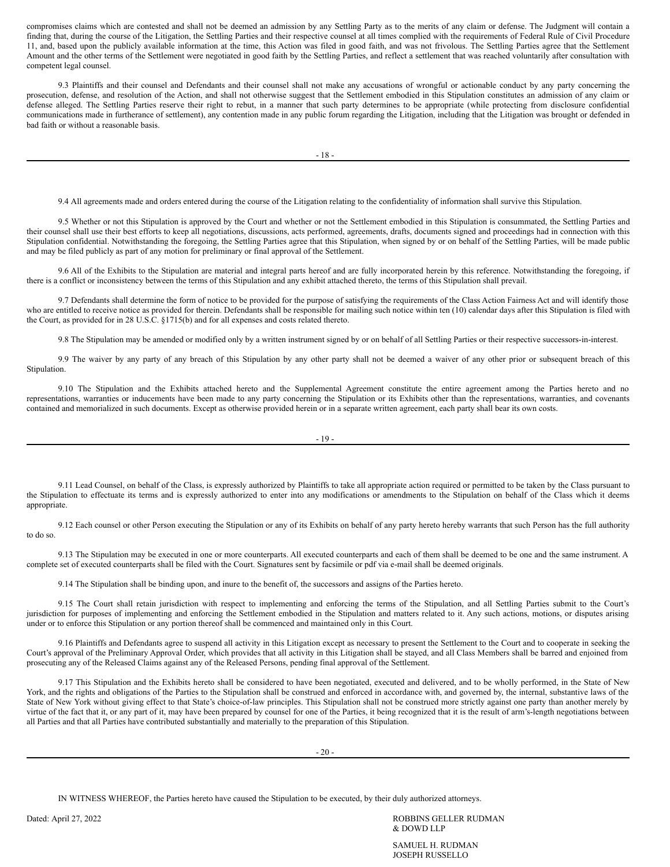compromises claims which are contested and shall not be deemed an admission by any Settling Party as to the merits of any claim or defense. The Judgment will contain a finding that, during the course of the Litigation, the Settling Parties and their respective counsel at all times complied with the requirements of Federal Rule of Civil Procedure 11, and, based upon the publicly available information at the time, this Action was filed in good faith, and was not frivolous. The Settling Parties agree that the Settlement Amount and the other terms of the Settlement were negotiated in good faith by the Settling Parties, and reflect a settlement that was reached voluntarily after consultation with competent legal counsel.

9.3 Plaintiffs and their counsel and Defendants and their counsel shall not make any accusations of wrongful or actionable conduct by any party concerning the prosecution, defense, and resolution of the Action, and shall not otherwise suggest that the Settlement embodied in this Stipulation constitutes an admission of any claim or defense alleged. The Settling Parties reserve their right to rebut, in a manner that such party determines to be appropriate (while protecting from disclosure confidential communications made in furtherance of settlement), any contention made in any public forum regarding the Litigation, including that the Litigation was brought or defended in bad faith or without a reasonable basis.

9.4 All agreements made and orders entered during the course of the Litigation relating to the confidentiality of information shall survive this Stipulation.

9.5 Whether or not this Stipulation is approved by the Court and whether or not the Settlement embodied in this Stipulation is consummated, the Settling Parties and their counsel shall use their best efforts to keep all negotiations, discussions, acts performed, agreements, drafts, documents signed and proceedings had in connection with this Stipulation confidential. Notwithstanding the foregoing, the Settling Parties agree that this Stipulation, when signed by or on behalf of the Settling Parties, will be made public and may be filed publicly as part of any motion for preliminary or final approval of the Settlement.

9.6 All of the Exhibits to the Stipulation are material and integral parts hereof and are fully incorporated herein by this reference. Notwithstanding the foregoing, if there is a conflict or inconsistency between the terms of this Stipulation and any exhibit attached thereto, the terms of this Stipulation shall prevail.

9.7 Defendants shall determine the form of notice to be provided for the purpose of satisfying the requirements of the Class Action Fairness Act and will identify those who are entitled to receive notice as provided for therein. Defendants shall be responsible for mailing such notice within ten (10) calendar days after this Stipulation is filed with the Court, as provided for in 28 U.S.C. §1715(b) and for all expenses and costs related thereto.

9.8 The Stipulation may be amended or modified only by a written instrument signed by or on behalf of all Settling Parties or their respective successors-in-interest.

9.9 The waiver by any party of any breach of this Stipulation by any other party shall not be deemed a waiver of any other prior or subsequent breach of this Stipulation.

9.10 The Stipulation and the Exhibits attached hereto and the Supplemental Agreement constitute the entire agreement among the Parties hereto and no representations, warranties or inducements have been made to any party concerning the Stipulation or its Exhibits other than the representations, warranties, and covenants contained and memorialized in such documents. Except as otherwise provided herein or in a separate written agreement, each party shall bear its own costs.

$$
-19-
$$

9.11 Lead Counsel, on behalf of the Class, is expressly authorized by Plaintiffs to take all appropriate action required or permitted to be taken by the Class pursuant to the Stipulation to effectuate its terms and is expressly authorized to enter into any modifications or amendments to the Stipulation on behalf of the Class which it deems appropriate.

9.12 Each counsel or other Person executing the Stipulation or any of its Exhibits on behalf of any party hereto hereby warrants that such Person has the full authority to do so.

9.13 The Stipulation may be executed in one or more counterparts. All executed counterparts and each of them shall be deemed to be one and the same instrument. A complete set of executed counterparts shall be filed with the Court. Signatures sent by facsimile or pdf via e-mail shall be deemed originals.

9.14 The Stipulation shall be binding upon, and inure to the benefit of, the successors and assigns of the Parties hereto.

9.15 The Court shall retain jurisdiction with respect to implementing and enforcing the terms of the Stipulation, and all Settling Parties submit to the Court's jurisdiction for purposes of implementing and enforcing the Settlement embodied in the Stipulation and matters related to it. Any such actions, motions, or disputes arising under or to enforce this Stipulation or any portion thereof shall be commenced and maintained only in this Court.

9.16 Plaintiffs and Defendants agree to suspend all activity in this Litigation except as necessary to present the Settlement to the Court and to cooperate in seeking the Court's approval of the Preliminary Approval Order, which provides that all activity in this Litigation shall be stayed, and all Class Members shall be barred and enjoined from prosecuting any of the Released Claims against any of the Released Persons, pending final approval of the Settlement.

9.17 This Stipulation and the Exhibits hereto shall be considered to have been negotiated, executed and delivered, and to be wholly performed, in the State of New York, and the rights and obligations of the Parties to the Stipulation shall be construed and enforced in accordance with, and governed by, the internal, substantive laws of the State of New York without giving effect to that State's choice-of-law principles. This Stipulation shall not be construed more strictly against one party than another merely by virtue of the fact that it, or any part of it, may have been prepared by counsel for one of the Parties, it being recognized that it is the result of arm's-length negotiations between all Parties and that all Parties have contributed substantially and materially to the preparation of this Stipulation.

IN WITNESS WHEREOF, the Parties hereto have caused the Stipulation to be executed, by their duly authorized attorneys.

Dated: April 27, 2022 ROBBINS GELLER RUDMAN & DOWD LLP

> SAMUEL H. RUDMAN JOSEPH RUSSELLO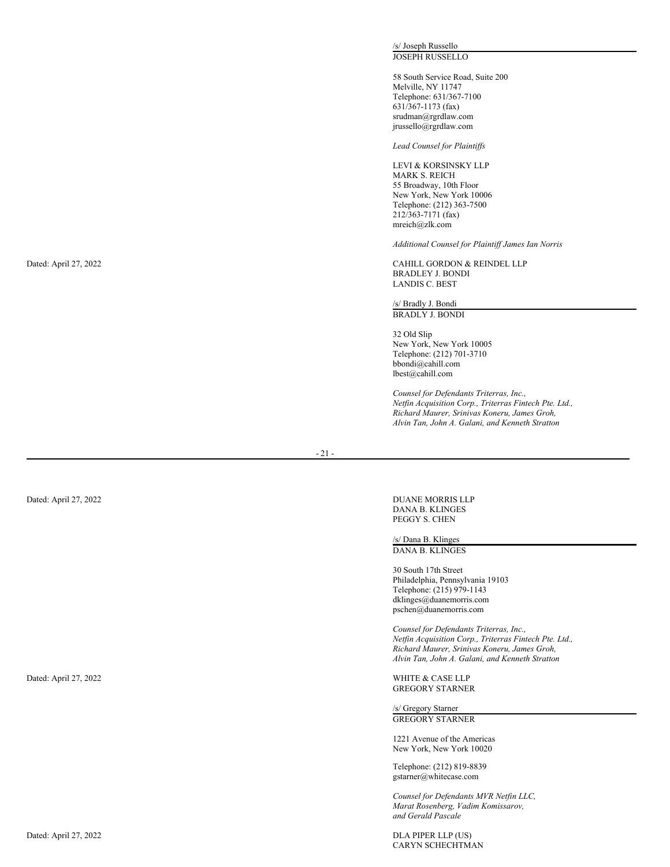/s/ Joseph Russello JOSEPH RUSSELLO

58 South Service Road, Suite 200 Melville, NY 11747 Telephone: 631/367-7100 631/367-1173 (fax) srudman@rgrdlaw.com jrussello@rgrdlaw.com

*Lead* Counsel for Plaintiffs

LEVI & KORSINSKY LLP MARK S. REICH 55 Broadway, 10th Floor New York, New York 10006 Telephone: (212) 363-7500 212/363-7171 (fax) mreich@zlk.com

Additional Counsel for Plaintiff James Ian Norris

CAHILL GORDON & REINDEL LLP BRADLEY J. BONDI BRADLEY J. BONDI<br>LANDIS C. BEST

/s/ Bradly J. Bondi BRADLY J. BONDI<br>32 Old Slip

2 O ld S li p New York, New York 10005 Telephone: (212) 701-3710 bbondi@cahill.com lbest@cahill.com

Counsel for Defendants Triterras, Inc., *Netfin Acquisition Corp., Triterras Fin t e c h P t e. L td., Richard Maurer, Srinivas Koneru, James Groh, Alvin Tan, John A. Galani, and Kenneth Stratton*

 $-21-$ 

DUANE MORRIS LLP D AN A B. K L I N G E S PEGGY S. CHEN

/s/ Dana B. Klinges D AN A B. K L I N G E S

30 South 17th Street Philadelphia, Pennsylvania 19103 Telephone: (215) 979-1143 dklinges@duanemorris.com pschen@duanemorris.com

Counsel for Defendants Triterras, Inc., *Netfin Acquisition Corp., Triterras Fin t e c h P t e. L td., Richard Maurer, Srinivas Koneru, James Groh, Alvin Tan, John A. Galani, and Kenneth Stratton*

WHITE & CASE LLP G R E G O RY S T A RN E R

/s/ Gregory Starner G R E G O RY S T A RN E R

1221 Avenue of the Americas New York, New York 10020

Telephone: (212) 819-8839 gstarner@whitecase.com

*Co u n s e l fo r D efe n da n ts M VR Ne tfi n L L C, Marat Rosenberg, Vadim Komissarov, and Gerald Pascale*

DLA PIPER LLP (US) CARYN SCHECHTMAN

Dated: April 27, 2022

Dated: April 27, 2022

Dated: April 27, 2022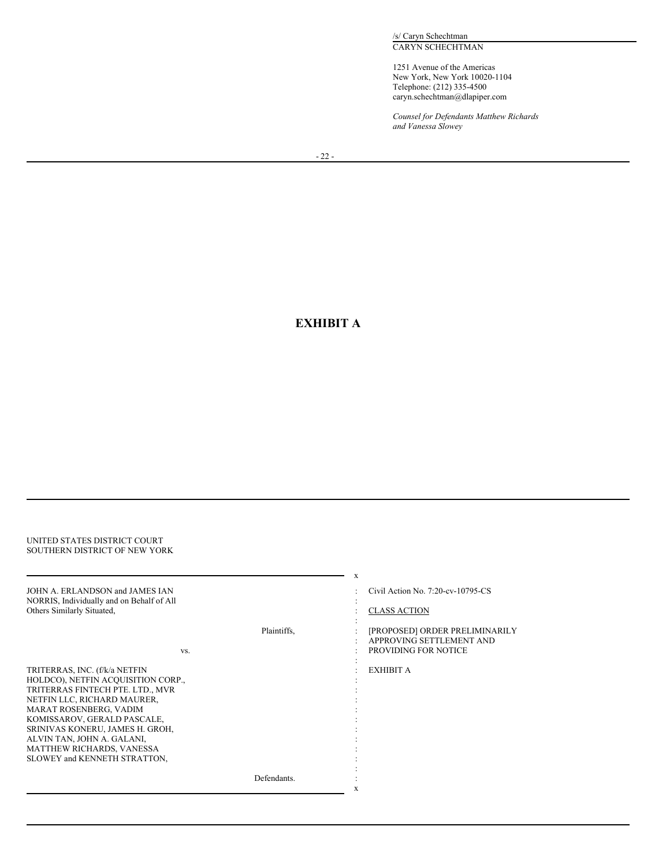/s/ Caryn Schechtman CARYN SCHECHTMAN

1251 Avenue of the Americas New York, New York 10020-1104 Telephone: (212) 335-4500 caryn.schechtman@dlapiper.com

*Counsel for Defendants Matthew Richards and Vanessa Slowey*

# **EXHIBIT A**

| UNITED STATES DISTRICT COURT<br>SOUTHERN DISTRICT OF NEW YORK                                                                                                                                                                                                                                                                 |             |                                                                                                                             |
|-------------------------------------------------------------------------------------------------------------------------------------------------------------------------------------------------------------------------------------------------------------------------------------------------------------------------------|-------------|-----------------------------------------------------------------------------------------------------------------------------|
| JOHN A. ERLANDSON and JAMES JAN<br>NORRIS, Individually and on Behalf of All<br>Others Similarly Situated,                                                                                                                                                                                                                    | Plaintiffs, | X<br>Civil Action No. 7:20-cv-10795-CS<br><b>CLASS ACTION</b><br>[PROPOSED] ORDER PRELIMINARILY<br>APPROVING SETTLEMENT AND |
| VS.                                                                                                                                                                                                                                                                                                                           |             | PROVIDING FOR NOTICE                                                                                                        |
| TRITERRAS, INC. (f/k/a NETFIN<br>HOLDCO), NETFIN ACQUISITION CORP.,<br>TRITERRAS FINTECH PTE. LTD., MVR<br>NETFIN LLC, RICHARD MAURER,<br>MARAT ROSENBERG, VADIM<br>KOMISSAROV, GERALD PASCALE,<br>SRINIVAS KONERU, JAMES H. GROH,<br>ALVIN TAN, JOHN A. GALANI,<br>MATTHEW RICHARDS, VANESSA<br>SLOWEY and KENNETH STRATTON, |             | EXHIBIT A                                                                                                                   |
|                                                                                                                                                                                                                                                                                                                               | Defendants. | X                                                                                                                           |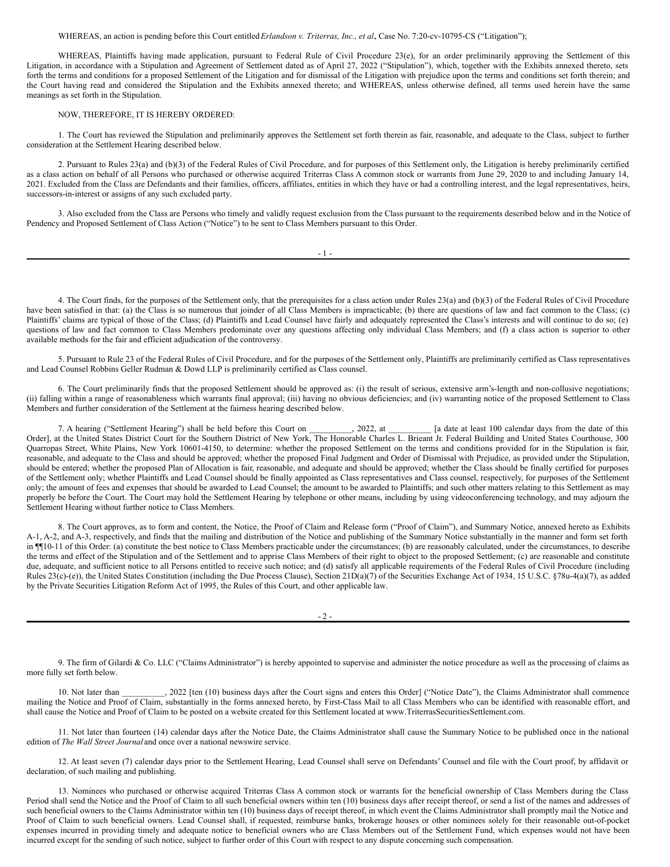WHEREAS, an action is pending before this Court entitled *Erlandson v. Triterras, Inc., et al.*, Case No. 7:20-cv-10795-CS ("Litigation");

WHEREAS, Plaintiffs having made application, pursuant to Federal Rule of Civil Procedure 23(e), for an order preliminarily approving the Settlement of this Litigation, in accordance with a Stipulation and Agreement of Settlement dated as of April 27, 2022 ("Stipulation"), which, together with the Exhibits annexed thereto, sets forth the terms and conditions for a proposed Settlement of the Litigation and for dismissal of the Litigation with prejudice upon the terms and conditions set forth therein; and the Court having read and considered the Stipulation and the Exhibits annexed thereto; and WHEREAS, unless otherwise defined, all terms used herein have the same meanings as set forth in the Stipulation.

#### NOW, THEREFORE, IT IS HEREBY ORDERED:

1. The Court has reviewed the Stipulation and preliminarily approves the Settlement set forth therein as fair, reasonable, and adequate to the Class, subject to further consideration at the Settlement Hearing described below.

2. Pursuant to Rules 23(a) and (b)(3) of the Federal Rules of Civil Procedure, and for purposes of this Settlement only, the Litigation is hereby preliminarily certified as a class action on behalf of all Persons who purchased or otherwise acquired Triterras Class A common stock or warrants from June 29, 2020 to and including January 14, 2021. Excluded from the Class are Defendants and their families, officers, affiliates, entities in which they have or had a controlling interest, and the legal representatives, heirs, successors-in-interest or assigns of any such excluded party.

3. Also excluded from the Class are Persons who timely and validly request exclusion from the Class pursuant to the requirements described below and in the Notice of Pendency and Proposed Settlement of Class Action ("Notice") to be sent to Class Members pursuant to this Order.

| _ |  |  |
|---|--|--|
|---|--|--|

4. The Court finds, for the purposes of the Settlement only, that the prerequisites for a class action under Rules 23(a) and (b)(3) of the Federal Rules of Civil Procedure have been satisfied in that: (a) the Class is so numerous that joinder of all Class Members is impracticable; (b) there are questions of law and fact common to the Class; (c) Plaintiffs' claims are typical of those of the Class; (d) Plaintiffs and Lead Counsel have fairly and adequately represented the Class's interests and will continue to do so; (e) questions of law and fact common to Class Members predominate over any questions affecting only individual Class Members; and (f) a class action is superior to other available methods for the fair and efficient adjudication of the controversy.

5. Pursuant to Rule 23 of the Federal Rules of Civil Procedure, and for the purposes of the Settlement only, Plaintiffs are preliminarily certified as Class representatives and Lead Counsel Robbins Geller Rudman & Dowd LLP is preliminarily certified as Class counsel.

6. The Court preliminarily finds that the proposed Settlement should be approved as: (i) the result of serious, extensive arm's-length and non-collusive negotiations; (ii) falling within a range of reasonableness which warrants final approval; (iii) having no obvious deficiencies; and (iv) warranting notice of the proposed Settlement to Class Members and further consideration of the Settlement at the fairness hearing described below.

7. A hearing ("Settlement Hearing") shall be held before this Court on \_\_\_\_\_\_\_\_, 2022, at \_\_\_\_\_\_\_\_ [a date at least 100 calendar days from the date of this Order], at the United States District Court for the Southern District of New York, The Honorable Charles L. Brieant Jr. Federal Building and United States Courthouse, 300 Quarropas Street, White Plains, New York 10601-4150, to determine: whether the proposed Settlement on the terms and conditions provided for in the Stipulation is fair, reasonable, and adequate to the Class and should be approved; whether the proposed Final Judgment and Order of Dismissal with Prejudice, as provided under the Stipulation, should be entered; whether the proposed Plan of Allocation is fair, reasonable, and adequate and should be approved; whether the Class should be finally certified for purposes of the Settlement only; whether Plaintiffs and Lead Counsel should be finally appointed as Class representatives and Class counsel, respectively, for purposes of the Settlement only; the amount of fees and expenses that should be awarded to Lead Counsel; the amount to be awarded to Plaintiffs; and such other matters relating to this Settlement as may properly be before the Court. The Court may hold the Settlement Hearing by telephone or other means, including by using videoconferencing technology, and may adjourn the Settlement Hearing without further notice to Class Members.

8. The Court approves, as to form and content, the Notice, the Proof of Claim and Release form ("Proof of Claim"), and Summary Notice, annexed hereto as Exhibits A-1, A-2, and A-3, respectively, and finds that the mailing and distribution of the Notice and publishing of the Summary Notice substantially in the manner and form set forth in ¶¶10-11 of this Order: (a) constitute the best notice to Class Members practicable under the circumstances; (b) are reasonably calculated, under the circumstances, to describe the terms and effect of the Stipulation and of the Settlement and to apprise Class Members of their right to object to the proposed Settlement; (c) are reasonable and constitute due, adequate, and sufficient notice to all Persons entitled to receive such notice; and (d) satisfy all applicable requirements of the Federal Rules of Civil Procedure (including Rules 23(c)-(e)), the United States Constitution (including the Due Process Clause), Section 21D(a)(7) of the Securities Exchange Act of 1934, 15 U.S.C. §78u-4(a)(7), as added by the Private Securities Litigation Reform Act of 1995, the Rules of this Court, and other applicable law.

 $-2 -$ 

9. The firm of Gilardi & Co. LLC ("Claims Administrator") is hereby appointed to supervise and administer the notice procedure as well as the processing of claims as more fully set forth below.

10. Not later than \_\_\_\_\_\_\_\_\_, 2022 [ten (10) business days after the Court signs and enters this Order] ("Notice Date"), the Claims Administrator shall commence mailing the Notice and Proof of Claim, substantially in the forms annexed hereto, by First-Class Mail to all Class Members who can be identified with reasonable effort, and shall cause the Notice and Proof of Claim to be posted on a website created for this Settlement located at www.TriterrasSecuritiesSettlement.com.

11. Not later than fourteen (14) calendar days after the Notice Date, the Claims Administrator shall cause the Summary Notice to be published once in the national edition of *The Wall Street Journal* and once over a national newswire service.

12. At least seven (7) calendar days prior to the Settlement Hearing, Lead Counsel shall serve on Defendants' Counsel and file with the Court proof, by affidavit or declaration, of such mailing and publishing.

13. Nominees who purchased or otherwise acquired Triterras Class A common stock or warrants for the beneficial ownership of Class Members during the Class Period shall send the Notice and the Proof of Claim to all such beneficial owners within ten (10) business days after receipt thereof, or send a list of the names and addresses of such beneficial owners to the Claims Administrator within ten (10) business days of receipt thereof, in which event the Claims Administrator shall promptly mail the Notice and Proof of Claim to such beneficial owners. Lead Counsel shall, if requested, reimburse banks, brokerage houses or other nominees solely for their reasonable out-of-pocket expenses incurred in providing timely and adequate notice to beneficial owners who are Class Members out of the Settlement Fund, which expenses would not have been incurred except for the sending of such notice, subject to further order of this Court with respect to any dispute concerning such compensation.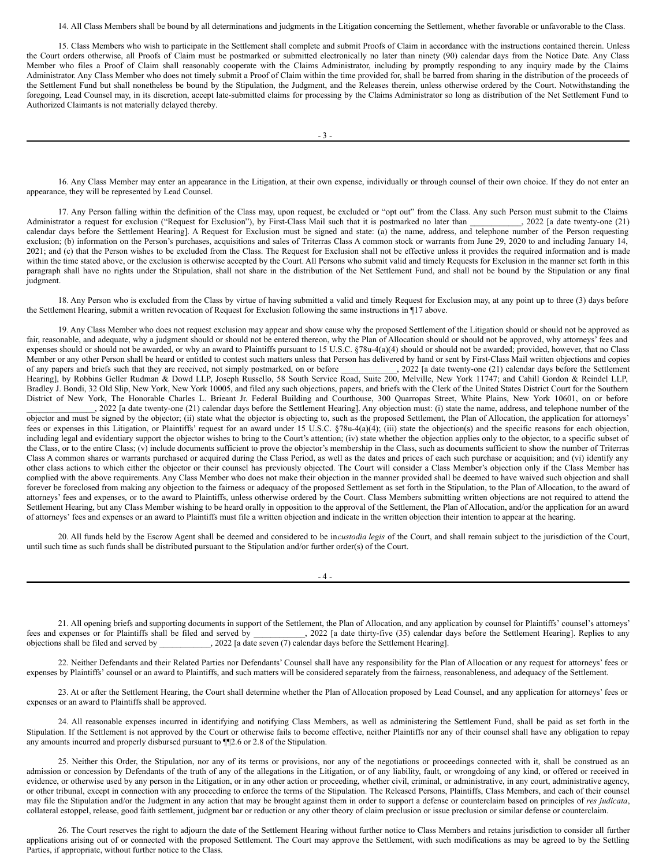#### 14. All Class Members shall be bound by all determinations and judgments in the Litigation concerning the Settlement, whether favorable or unfavorable to the Class.

15. Class Members who wish to participate in the Settlement shall complete and submit Proofs of Claim in accordance with the instructions contained therein. Unless the Court orders otherwise, all Proofs of Claim must be postmarked or submitted electronically no later than ninety (90) calendar days from the Notice Date. Any Class Member who files a Proof of Claim shall reasonably cooperate with the Claims Administrator, including by promptly responding to any inquiry made by the Claims Administrator. Any Class Member who does not timely submit a Proof of Claim within the time provided for, shall be barred from sharing in the distribution of the proceeds of the Settlement Fund but shall nonetheless be bound by the Stipulation, the Judgment, and the Releases therein, unless otherwise ordered by the Court. Notwithstanding the foregoing, Lead Counsel may, in its discretion, accept late-submitted claims for processing by the Claims Administrator so long as distribution of the Net Settlement Fund to Authorized Claimants is not materially delayed thereby.

16. Any Class Member may enter an appearance in the Litigation, at their own expense, individually or through counsel of their own choice. If they do not enter an appearance, they will be represented by Lead Counsel.

17. Any Person falling within the definition of the Class may, upon request, be excluded or "opt out" from the Class. Any such Person must submit to the Claims Administrator a request for exclusion ("Request for Exclusion"), by First-Class Mail such that it is postmarked no later than \_\_\_\_\_\_\_\_\_, 2022 [a date twenty-one (21) calendar days before the Settlement Hearing]. A Request for Exclusion must be signed and state: (a) the name, address, and telephone number of the Person requesting exclusion; (b) information on the Person's purchases, acquisitions and sales of Triterras Class A common stock or warrants from June 29, 2020 to and including January 14, 2021; and (c) that the Person wishes to be excluded from the Class. The Request for Exclusion shall not be effective unless it provides the required information and is made within the time stated above, or the exclusion is otherwise accepted by the Court. All Persons who submit valid and timely Requests for Exclusion in the manner set forth in this paragraph shall have no rights under the Stipulation, shall not share in the distribution of the Net Settlement Fund, and shall not be bound by the Stipulation or any final judgment.

18. Any Person who is excluded from the Class by virtue of having submitted a valid and timely Request for Exclusion may, at any point up to three (3) days before the Settlement Hearing, submit a written revocation of Request for Exclusion following the same instructions in ¶17 above.

19. Any Class Member who does not request exclusion may appear and show cause why the proposed Settlement of the Litigation should or should not be approved as fair, reasonable, and adequate, why a judgment should or should not be entered thereon, why the Plan of Allocation should or should not be approved, why attorneys' fees and expenses should or should not be awarded, or why an award to Plaintiffs pursuant to 15 U.S.C. §78u-4(a)(4) should or should not be awarded; provided, however, that no Class Member or any other Person shall be heard or entitled to contest such matters unless that Person has delivered by hand or sent by First-Class Mail written objections and copies of any papers and briefs such that they are received, not simply postmarked, on or before \_\_\_\_\_\_\_\_\_\_\_\_\_, 2022 [a date twenty-one (21) calendar days before the Settlement Hearing], by Robbins Geller Rudman & Dowd LLP, Joseph Russello, 58 South Service Road, Suite 200, Melville, New York 11747; and Cahill Gordon & Reindel LLP, Bradley J. Bondi, 32 Old Slip, New York, New York 10005, and filed any such objections, papers, and briefs with the Clerk of the United States District Court for the Southern District of New York, The Honorable Charles L. Brieant Jr. Federal Building and Courthouse, 300 Quarropas Street, White Plains, New York 10601, on or before

\_\_\_\_\_\_\_\_\_\_\_\_\_\_\_\_, 2022 [a date twenty-one (21) calendar days before the Settlement Hearing]. Any objection must: (i) state the name, address, and telephone number of the objector and must be signed by the objector; (ii) state what the objector is objecting to, such as the proposed Settlement, the Plan of Allocation, the application for attorneys' fees or expenses in this Litigation, or Plaintiffs' request for an award under 15 U.S.C. §78u-4(a)(4); (iii) state the objection(s) and the specific reasons for each objection, including legal and evidentiary support the objector wishes to bring to the Court's attention; (iv) state whether the objection applies only to the objector, to a specific subset of the Class, or to the entire Class; (v) include documents sufficient to prove the objector's membership in the Class, such as documents sufficient to show the number of Triterras Class A common shares or warrants purchased or acquired during the Class Period, as well as the dates and prices of each such purchase or acquisition; and (vi) identify any other class actions to which either the objector or their counsel has previously objected. The Court will consider a Class Member's objection only if the Class Member has complied with the above requirements. Any Class Member who does not make their objection in the manner provided shall be deemed to have waived such objection and shall forever be foreclosed from making any objection to the fairness or adequacy of the proposed Settlement as set forth in the Stipulation, to the Plan of Allocation, to the award of attorneys' fees and expenses, or to the award to Plaintiffs, unless otherwise ordered by the Court. Class Members submitting written objections are not required to attend the Settlement Hearing, but any Class Member wishing to be heard orally in opposition to the approval of the Settlement, the Plan of Allocation, and/or the application for an award of attorneys' fees and expenses or an award to Plaintiffs must file a written objection and indicate in the written objection their intention to appear at the hearing.

20. All funds held by the Escrow Agent shall be deemed and considered to be in*custodia legis* of the Court, and shall remain subject to the jurisdiction of the Court, until such time as such funds shall be distributed pursuant to the Stipulation and/or further order(s) of the Court.

 $\mathbf 4$ .

21. All opening briefs and supporting documents in support of the Settlement, the Plan of Allocation, and any application by counsel for Plaintiffs' counsel's attorneys' fees and expenses or for Plaintiffs shall be filed and served by \_\_\_\_\_\_\_\_\_\_\_\_, 2022 [a date thirty-five (35) calendar days before the Settlement Hearing]. Replies to any objections shall be filed and served by \_\_\_\_\_\_\_\_\_\_\_\_, 2022 [a date seven (7) calendar days before the Settlement Hearing].

22. Neither Defendants and their Related Parties nor Defendants' Counsel shall have any responsibility for the Plan of Allocation or any request for attorneys' fees or expenses by Plaintiffs' counsel or an award to Plaintiffs, and such matters will be considered separately from the fairness, reasonableness, and adequacy of the Settlement.

23. At or after the Settlement Hearing, the Court shall determine whether the Plan of Allocation proposed by Lead Counsel, and any application for attorneys' fees or expenses or an award to Plaintiffs shall be approved.

24. All reasonable expenses incurred in identifying and notifying Class Members, as well as administering the Settlement Fund, shall be paid as set forth in the Stipulation. If the Settlement is not approved by the Court or otherwise fails to become effective, neither Plaintiffs nor any of their counsel shall have any obligation to repay any amounts incurred and properly disbursed pursuant to ¶¶2.6 or 2.8 of the Stipulation.

25. Neither this Order, the Stipulation, nor any of its terms or provisions, nor any of the negotiations or proceedings connected with it, shall be construed as an admission or concession by Defendants of the truth of any of the allegations in the Litigation, or of any liability, fault, or wrongdoing of any kind, or offered or received in evidence, or otherwise used by any person in the Litigation, or in any other action or proceeding, whether civil, criminal, or administrative, in any court, administrative agency, or other tribunal, except in connection with any proceeding to enforce the terms of the Stipulation. The Released Persons, Plaintiffs, Class Members, and each of their counsel may file the Stipulation and/or the Judgment in any action that may be brought against them in order to support a defense or counterclaim based on principles of *res judicata*, collateral estoppel, release, good faith settlement, judgment bar or reduction or any other theory of claim preclusion or issue preclusion or similar defense or counterclaim.

26. The Court reserves the right to adjourn the date of the Settlement Hearing without further notice to Class Members and retains jurisdiction to consider all further applications arising out of or connected with the proposed Settlement. The Court may approve the Settlement, with such modifications as may be agreed to by the Settling Parties, if appropriate, without further notice to the Class.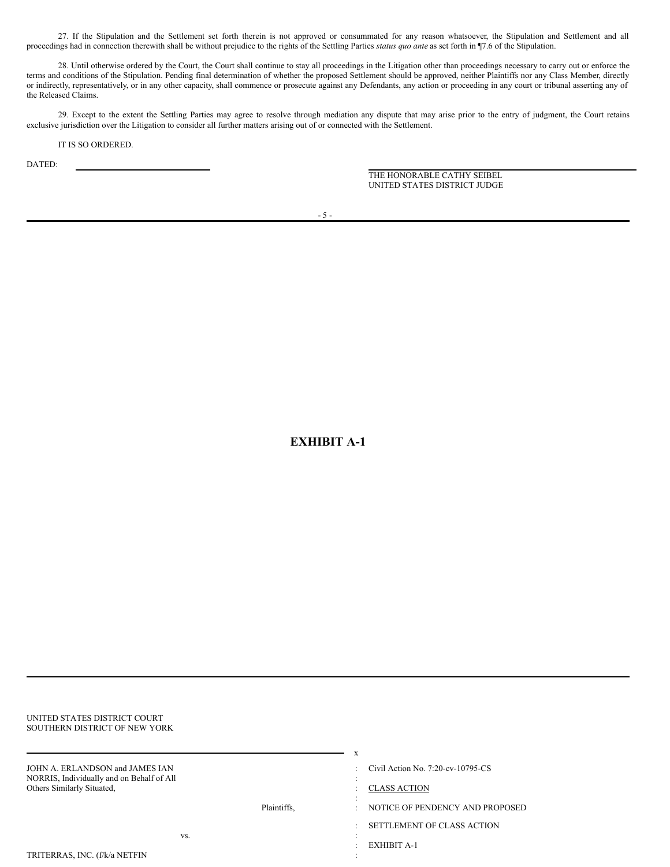27. If the Stipulation and the Settlement set forth therein is not approved or consummated for any reason whatsoever, the Stipulation and Settlement and all proceedings had in connection therewith shall be without prejudice to the rights of the Settling Parties *status quo ante* as set forth in ¶7.6 of the Stipulation.

28. Until otherwise ordered by the Court, the Court shall continue to stay all proceedings in the Litigation other than proceedings necessary to carry out or enforce the terms and conditions of the Stipulation. Pending final determination of whether the proposed Settlement should be approved, neither Plaintiffs nor any Class Member, directly or indirectly, representatively, or in any other capacity, shall commence or prosecute against any Defendants, any action or proceeding in any court or tribunal asserting any of the Released Claims.

29. Except to the extent the Settling Parties may agree to resolve through mediation any dispute that may arise prior to the entry of judgment, the Court retains exclusive jurisdiction over the Litigation to consider all further matters arising out of or connected with the Settlement.

IT IS SO ORDERED.

DATED:

THE HONORABLE CATHY SEIBEL UNITED STATES DISTRICT JUDGE

**EXHIBIT A-1**

| UNITED STATES DISTRICT COURT<br>SOUTHERN DISTRICT OF NEW YORK                                              |                    |                                                                                               |
|------------------------------------------------------------------------------------------------------------|--------------------|-----------------------------------------------------------------------------------------------|
| JOHN A. ERLANDSON and JAMES IAN<br>NORRIS, Individually and on Behalf of All<br>Others Similarly Situated, |                    | X<br>Civil Action No. 7:20-cv-10795-CS<br><b>CLASS ACTION</b>                                 |
| TRITERRAS, INC. (f/k/a NETFIN                                                                              | Plaintiffs.<br>VS. | NOTICE OF PENDENCY AND PROPOSED<br>$\sim$<br>SETTLEMENT OF CLASS ACTION<br><b>EXHIBIT A-1</b> |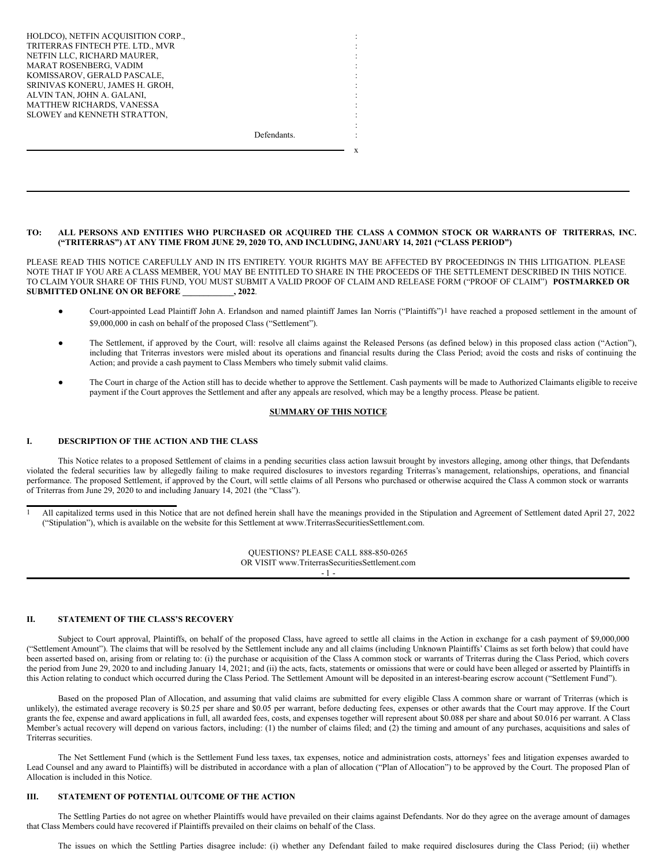| HOLDCO), NETFIN ACQUISITION CORP., |             |  |
|------------------------------------|-------------|--|
| TRITERRAS FINTECH PTE. LTD., MVR   |             |  |
| NETFIN LLC, RICHARD MAURER,        |             |  |
| MARAT ROSENBERG, VADIM             |             |  |
| KOMISSAROV, GERALD PASCALE,        |             |  |
| SRINIVAS KONERU, JAMES H. GROH,    |             |  |
| ALVIN TAN, JOHN A. GALANI,         |             |  |
| MATTHEW RICHARDS, VANESSA          |             |  |
| SLOWEY and KENNETH STRATTON,       |             |  |
|                                    |             |  |
|                                    | Defendants. |  |
|                                    |             |  |

TO: ALL PERSONS AND ENTITIES WHO PURCHASED OR ACQUIRED THE CLASS A COMMON STOCK OR WARRANTS OF TRITERRAS, INC. **("TRITERRAS") AT ANY TIME FROM JUNE 29, 2020 TO, AND INCLUDING, JANUARY 14, 2021 ("CLASS PERIOD")**

PLEASE READ THIS NOTICE CAREFULLY AND IN ITS ENTIRETY. YOUR RIGHTS MAY BE AFFECTED BY PROCEEDINGS IN THIS LITIGATION. PLEASE NOTE THAT IF YOU ARE A CLASS MEMBER, YOU MAY BE ENTITLED TO SHARE IN THE PROCEEDS OF THE SETTLEMENT DESCRIBED IN THIS NOTICE. TO CLAIM YOUR SHARE OF THIS FUND, YOU MUST SUBMIT A VALID PROOF OF CLAIM AND RELEASE FORM ("PROOF OF CLAIM") **POSTMARKED OR SUBMITTED ONLINE ON OR BEFORE \_\_\_\_\_\_\_\_\_\_\_\_, 2022**.

Court-appointed Lead Plaintiff John A. Erlandson and named plaintiff James Ian Norris ("Plaintiffs")<sup>1</sup> have reached a proposed settlement in the amount of \$9,000,000 in cash on behalf of the proposed Class ("Settlement").

x

- The Settlement, if approved by the Court, will: resolve all claims against the Released Persons (as defined below) in this proposed class action ("Action"), including that Triterras investors were misled about its operations and financial results during the Class Period; avoid the costs and risks of continuing the Action; and provide a cash payment to Class Members who timely submit valid claims.
- The Court in charge of the Action still has to decide whether to approve the Settlement. Cash payments will be made to Authorized Claimants eligible to receive payment if the Court approves the Settlement and after any appeals are resolved, which may be a lengthy process. Please be patient.

# **SUMMARY OF THIS NOTICE**

# **I. DESCRIPTION OF THE ACTION AND THE CLASS**

This Notice relates to a proposed Settlement of claims in a pending securities class action lawsuit brought by investors alleging, among other things, that Defendants violated the federal securities law by allegedly failing to make required disclosures to investors regarding Triterras's management, relationships, operations, and financial performance. The proposed Settlement, if approved by the Court, will settle claims of all Persons who purchased or otherwise acquired the Class A common stock or warrants of Triterras from June 29, 2020 to and including January 14, 2021 (the "Class").

1 All capitalized terms used in this Notice that are not defined herein shall have the meanings provided in the Stipulation and Agreement of Settlement dated April 27, 2022 ("Stipulation"), which is available on the website for this Settlement at www.TriterrasSecuritiesSettlement.com.

> QUESTIONS? PLEASE CALL 888-850-0265 OR VISIT www.TriterrasSecuritiesSettlement.com - 1 -

# **II. STATEMENT OF THE CLASS'S RECOVERY**

Subject to Court approval, Plaintiffs, on behalf of the proposed Class, have agreed to settle all claims in the Action in exchange for a cash payment of \$9,000,000 ("Settlement Amount"). The claims that will be resolved by the Settlement include any and all claims (including Unknown Plaintiffs' Claims as set forth below) that could have been asserted based on, arising from or relating to: (i) the purchase or acquisition of the Class A common stock or warrants of Triterras during the Class Period, which covers the period from June 29, 2020 to and including January 14, 2021; and (ii) the acts, facts, statements or omissions that were or could have been alleged or asserted by Plaintiffs in this Action relating to conduct which occurred during the Class Period. The Settlement Amount will be deposited in an interest-bearing escrow account ("Settlement Fund").

Based on the proposed Plan of Allocation, and assuming that valid claims are submitted for every eligible Class A common share or warrant of Triterras (which is unlikely), the estimated average recovery is \$0.25 per share and \$0.05 per warrant, before deducting fees, expenses or other awards that the Court may approve. If the Court grants the fee, expense and award applications in full, all awarded fees, costs, and expenses together will represent about \$0.088 per share and about \$0.016 per warrant. A Class Member's actual recovery will depend on various factors, including: (1) the number of claims filed; and (2) the timing and amount of any purchases, acquisitions and sales of Triterras securities.

The Net Settlement Fund (which is the Settlement Fund less taxes, tax expenses, notice and administration costs, attorneys' fees and litigation expenses awarded to Lead Counsel and any award to Plaintiffs) will be distributed in accordance with a plan of allocation ("Plan of Allocation") to be approved by the Court. The proposed Plan of Allocation is included in this Notice.

# **III. STATEMENT OF POTENTIAL OUTCOME OF THE ACTION**

The Settling Parties do not agree on whether Plaintiffs would have prevailed on their claims against Defendants. Nor do they agree on the average amount of damages that Class Members could have recovered if Plaintiffs prevailed on their claims on behalf of the Class.

The issues on which the Settling Parties disagree include: (i) whether any Defendant failed to make required disclosures during the Class Period; (ii) whether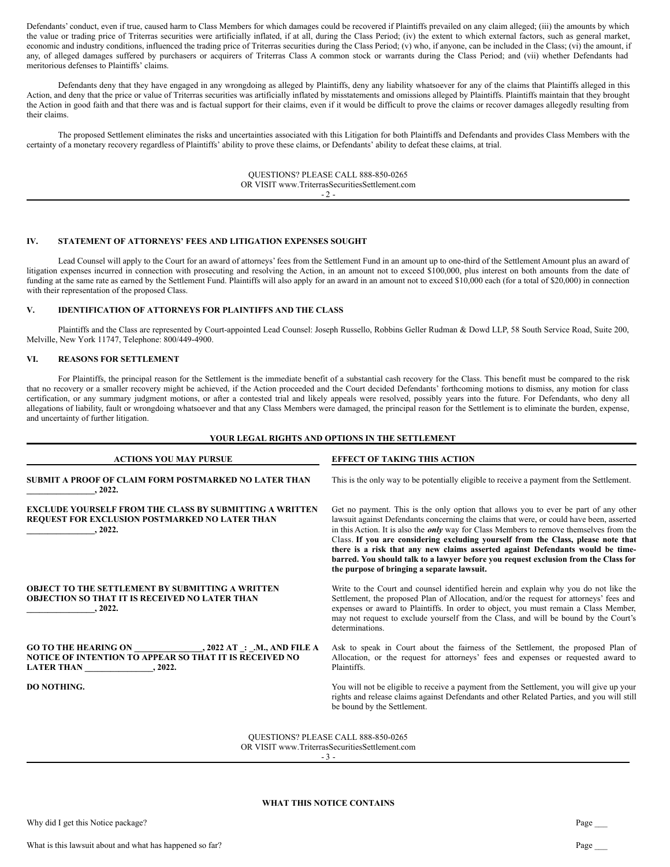Defendants' conduct, even if true, caused harm to Class Members for which damages could be recovered if Plaintiffs prevailed on any claim alleged; (iii) the amounts by which the value or trading price of Triterras securities were artificially inflated, if at all, during the Class Period; (iv) the extent to which external factors, such as general market, economic and industry conditions, influenced the trading price of Triterras securities during the Class Period; (v) who, if anyone, can be included in the Class; (vi) the amount, if any, of alleged damages suffered by purchasers or acquirers of Triterras Class A common stock or warrants during the Class Period; and (vii) whether Defendants had meritorious defenses to Plaintiffs' claims.

Defendants deny that they have engaged in any wrongdoing as alleged by Plaintiffs, deny any liability whatsoever for any of the claims that Plaintiffs alleged in this Action, and deny that the price or value of Triterras securities was artificially inflated by misstatements and omissions alleged by Plaintiffs. Plaintiffs maintain that they brought the Action in good faith and that there was and is factual support for their claims, even if it would be difficult to prove the claims or recover damages allegedly resulting from their claims.

The proposed Settlement eliminates the risks and uncertainties associated with this Litigation for both Plaintiffs and Defendants and provides Class Members with the certainty of a monetary recovery regardless of Plaintiffs' ability to prove these claims, or Defendants' ability to defeat these claims, at trial.

> QUESTIONS? PLEASE CALL 888-850-0265 OR VISIT www.TriterrasSecuritiesSettlement.com  $-2 -$

# **IV. STATEMENT OF ATTORNEYS' FEES AND LITIGATION EXPENSES SOUGHT**

Lead Counsel will apply to the Court for an award of attorneys' fees from the Settlement Fund in an amount up to one-third of the Settlement Amount plus an award of litigation expenses incurred in connection with prosecuting and resolving the Action, in an amount not to exceed \$100,000, plus interest on both amounts from the date of funding at the same rate as earned by the Settlement Fund. Plaintiffs will also apply for an award in an amount not to exceed \$10,000 each (for a total of \$20,000) in connection with their representation of the proposed Class.

# **V. IDENTIFICATION OF ATTORNEYS FOR PLAINTIFFS AND THE CLASS**

Plaintiffs and the Class are represented by Court-appointed Lead Counsel: Joseph Russello, Robbins Geller Rudman & Dowd LLP, 58 South Service Road, Suite 200, Melville, New York 11747, Telephone: 800/449-4900.

# **VI. REASONS FOR SETTLEMENT**

For Plaintiffs, the principal reason for the Settlement is the immediate benefit of a substantial cash recovery for the Class. This benefit must be compared to the risk that no recovery or a smaller recovery might be achieved, if the Action proceeded and the Court decided Defendants' forthcoming motions to dismiss, any motion for class certification, or any summary judgment motions, or after a contested trial and likely appeals were resolved, possibly years into the future. For Defendants, who deny all allegations of liability, fault or wrongdoing whatsoever and that any Class Members were damaged, the principal reason for the Settlement is to eliminate the burden, expense, and uncertainty of further litigation.

## **YOUR LEGAL RIGHTS AND OPTIONS IN THE SETTLEMENT**

| <b>ACTIONS YOU MAY PURSUE</b>                                                                                                                               | <b>EFFECT OF TAKING THIS ACTION</b>                                                                                                                                                                                                                                                                                                                                                                                                                                                                                                                                                             |
|-------------------------------------------------------------------------------------------------------------------------------------------------------------|-------------------------------------------------------------------------------------------------------------------------------------------------------------------------------------------------------------------------------------------------------------------------------------------------------------------------------------------------------------------------------------------------------------------------------------------------------------------------------------------------------------------------------------------------------------------------------------------------|
| SUBMIT A PROOF OF CLAIM FORM POSTMARKED NO LATER THAN<br>.2022.                                                                                             | This is the only way to be potentially eligible to receive a payment from the Settlement.                                                                                                                                                                                                                                                                                                                                                                                                                                                                                                       |
| <b>EXCLUDE YOURSELF FROM THE CLASS BY SUBMITTING A WRITTEN</b><br>REQUEST FOR EXCLUSION POSTMARKED NO LATER THAN<br>, 2022.                                 | Get no payment. This is the only option that allows you to ever be part of any other<br>lawsuit against Defendants concerning the claims that were, or could have been, asserted<br>in this Action. It is also the <i>only</i> way for Class Members to remove themselves from the<br>Class. If you are considering excluding yourself from the Class, please note that<br>there is a risk that any new claims asserted against Defendants would be time-<br>barred. You should talk to a lawyer before you request exclusion from the Class for<br>the purpose of bringing a separate lawsuit. |
| <b>OBJECT TO THE SETTLEMENT BY SUBMITTING A WRITTEN</b><br><b>OBJECTION SO THAT IT IS RECEIVED NO LATER THAN</b><br>.2022.                                  | Write to the Court and counsel identified herein and explain why you do not like the<br>Settlement, the proposed Plan of Allocation, and/or the request for attorneys' fees and<br>expenses or award to Plaintiffs. In order to object, you must remain a Class Member,<br>may not request to exclude yourself from the Class, and will be bound by the Court's<br>determinations.                                                                                                                                                                                                              |
| <b>GO TO THE HEARING ON</b><br>, 2022 AT : .M., AND FILE A<br><b>NOTICE OF INTENTION TO APPEAR SO THAT IT IS RECEIVED NO</b><br><b>LATER THAN</b><br>.2022. | Ask to speak in Court about the fairness of the Settlement, the proposed Plan of<br>Allocation, or the request for attorneys' fees and expenses or requested award to<br>Plaintiffs.                                                                                                                                                                                                                                                                                                                                                                                                            |
| <b>DO NOTHING.</b>                                                                                                                                          | You will not be eligible to receive a payment from the Settlement, you will give up your<br>rights and release claims against Defendants and other Related Parties, and you will still<br>be bound by the Settlement.                                                                                                                                                                                                                                                                                                                                                                           |
|                                                                                                                                                             | <b>OUESTIONS? PLEASE CALL 888-850-0265</b>                                                                                                                                                                                                                                                                                                                                                                                                                                                                                                                                                      |

OR VISIT www.TriterrasSecuritiesSettlement.com

- 3 -

#### **WHAT THIS NOTICE CONTAINS**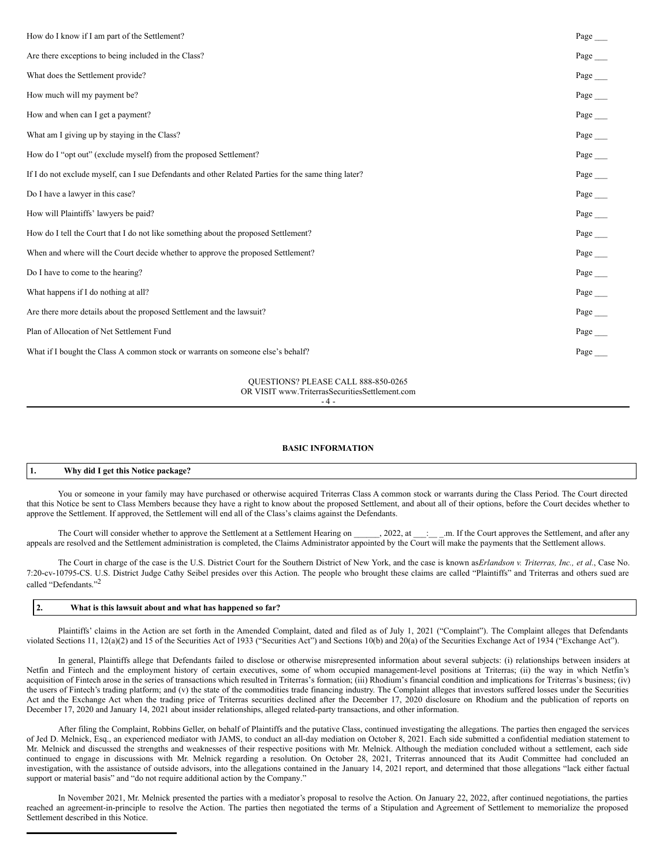<span id="page-18-0"></span>

| How do I know if I am part of the Settlement?                                                        | Page |
|------------------------------------------------------------------------------------------------------|------|
| Are there exceptions to being included in the Class?                                                 | Page |
| What does the Settlement provide?                                                                    | Page |
| How much will my payment be?                                                                         | Page |
| How and when can I get a payment?                                                                    | Page |
| What am I giving up by staying in the Class?                                                         | Page |
| How do I "opt out" (exclude myself) from the proposed Settlement?                                    | Page |
| If I do not exclude myself, can I sue Defendants and other Related Parties for the same thing later? | Page |
| Do I have a lawyer in this case?                                                                     | Page |
| How will Plaintiffs' lawyers be paid?                                                                | Page |
| How do I tell the Court that I do not like something about the proposed Settlement?                  | Page |
| When and where will the Court decide whether to approve the proposed Settlement?                     | Page |
| Do I have to come to the hearing?                                                                    | Page |
| What happens if I do nothing at all?                                                                 | Page |
| Are there more details about the proposed Settlement and the lawsuit?                                | Page |
| Plan of Allocation of Net Settlement Fund                                                            | Page |
| What if I bought the Class A common stock or warrants on someone else's behalf?                      | Page |
|                                                                                                      |      |

# QUESTIONS? PLEASE CALL 888-850-0265 OR VISIT www.TriterrasSecuritiesSettlement.com

#### $-4-$

# **BASIC INFORMATION**

# **1. Why did I get this Notice package?**

You or someone in your family may have purchased or otherwise acquired Triterras Class A common stock or warrants during the Class Period. The Court directed that this Notice be sent to Class Members because they have a right to know about the proposed Settlement, and about all of their options, before the Court decides whether to approve the Settlement. If approved, the Settlement will end all of the Class's claims against the Defendants.

The Court will consider whether to approve the Settlement at a Settlement Hearing on \_\_\_\_\_, 2022, at \_\_:\_\_\_\_\_.m. If the Court approves the Settlement, and after any appeals are resolved and the Settlement administration is completed, the Claims Administrator appointed by the Court will make the payments that the Settlement allows.

The Court in charge of the case is the U.S. District Court for the Southern District of New York, and the case is known as*Erlandson v. Triterras, Inc., et al.*, Case No. 7:20-cv-10795-CS. U.S. District Judge Cathy Seibel presides over this Action. The people who brought these claims are called "Plaintiffs" and Triterras and others sued are called "Defendants."<sup>2</sup>

# **2. What is this lawsuit about and what has happened so far?**

Plaintiffs' claims in the Action are set forth in the Amended Complaint, dated and filed as of July 1, 2021 ("Complaint"). The Complaint alleges that Defendants violated Sections 11, 12(a)(2) and 15 of the Securities Act of 1933 ("Securities Act") and Sections 10(b) and 20(a) of the Securities Exchange Act of 1934 ("Exchange Act").

In general, Plaintiffs allege that Defendants failed to disclose or otherwise misrepresented information about several subjects: (i) relationships between insiders at Netfin and Fintech and the employment history of certain executives, some of whom occupied management-level positions at Triterras; (ii) the way in which Netfin's acquisition of Fintech arose in the series of transactions which resulted in Triterras's formation; (iii) Rhodium's financial condition and implications for Triterras's business; (iv) the users of Fintech's trading platform; and (v) the state of the commodities trade financing industry. The Complaint alleges that investors suffered losses under the Securities Act and the Exchange Act when the trading price of Triterras securities declined after the December 17, 2020 disclosure on Rhodium and the publication of reports on December 17, 2020 and January 14, 2021 about insider relationships, alleged related-party transactions, and other information.

After filing the Complaint, Robbins Geller, on behalf of Plaintiffs and the putative Class, continued investigating the allegations. The parties then engaged the services of Jed D. Melnick, Esq., an experienced mediator with JAMS, to conduct an all-day mediation on October 8, 2021. Each side submitted a confidential mediation statement to Mr. Melnick and discussed the strengths and weaknesses of their respective positions with Mr. Melnick. Although the mediation concluded without a settlement, each side continued to engage in discussions with Mr. Melnick regarding a resolution. On October 28, 2021, Triterras announced that its Audit Committee had concluded an investigation, with the assistance of outside advisors, into the allegations contained in the January 14, 2021 report, and determined that those allegations "lack either factual support or material basis" and "do not require additional action by the Company."

In November 2021, Mr. Melnick presented the parties with a mediator's proposal to resolve the Action. On January 22, 2022, after continued negotiations, the parties reached an agreement-in-principle to resolve the Action. The parties then negotiated the terms of a Stipulation and Agreement of Settlement to memorialize the proposed Settlement described in this Notice.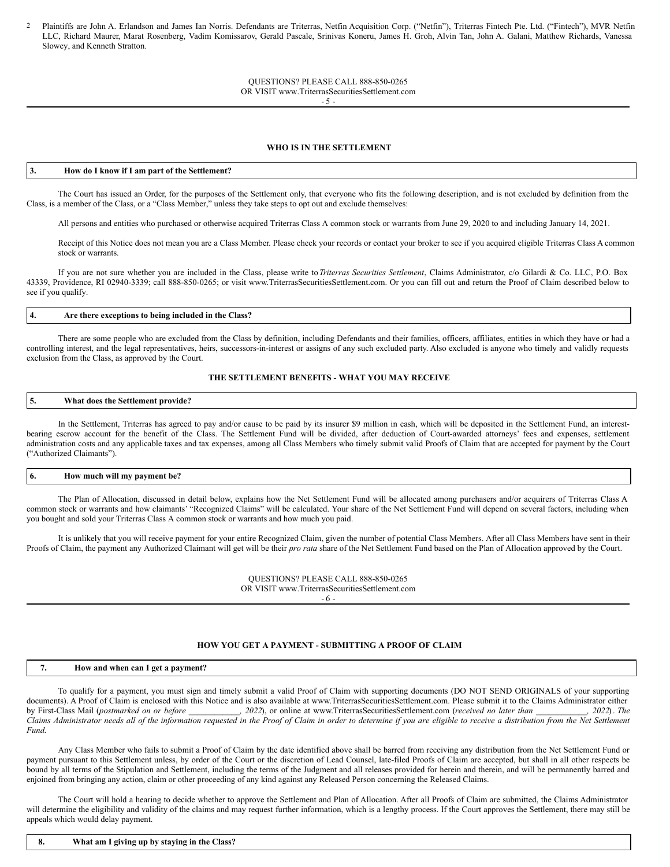2 Plaintiffs are John A. Erlandson and James Ian Norris. Defendants are Triterras, Netfin Acquisition Corp. ("Netfin"), Triterras Fintech Pte. Ltd. ("Fintech"), MVR Netfin LLC, Richard Maurer, Marat Rosenberg, Vadim Komissarov, Gerald Pascale, Srinivas Koneru, James H. Groh, Alvin Tan, John A. Galani, Matthew Richards, Vanessa Slowey, and Kenneth Stratton.

#### QUESTIONS? PLEASE CALL 888-850-0265 OR VISIT www.TriterrasSecuritiesSettlement.com - 5 -

## **WHO IS IN THE SETTLEMENT**

### **3. How do I know if I am part of the Settlement?**

The Court has issued an Order, for the purposes of the Settlement only, that everyone who fits the following description, and is not excluded by definition from the Class, is a member of the Class, or a "Class Member," unless they take steps to opt out and exclude themselves:

All persons and entities who purchased or otherwise acquired Triterras Class A common stock or warrants from June 29, 2020 to and including January 14, 2021.

Receipt of this Notice does not mean you are a Class Member. Please check your records or contact your broker to see if you acquired eligible Triterras Class A common stock or warrants.

If you are not sure whether you are included in the Class, please write to*Triterras Securities Settlement*, Claims Administrator, c/o Gilardi & Co. LLC, P.O. Box 43339, Providence, RI 02940-3339; call 888-850-0265; or visit www.TriterrasSecuritiesSettlement.com. Or you can fill out and return the Proof of Claim described below to see if you qualify.

#### **4. Are there exceptions to being included in the Class?**

There are some people who are excluded from the Class by definition, including Defendants and their families, officers, affiliates, entities in which they have or had a controlling interest, and the legal representatives, heirs, successors-in-interest or assigns of any such excluded party. Also excluded is anyone who timely and validly requests exclusion from the Class, as approved by the Court.

# **THE SETTLEMENT BENEFITS - WHAT YOU MAY RECEIVE**

# **5. What does the Settlement provide?**

In the Settlement, Triterras has agreed to pay and/or cause to be paid by its insurer \$9 million in cash, which will be deposited in the Settlement Fund, an interestbearing escrow account for the benefit of the Class. The Settlement Fund will be divided, after deduction of Court-awarded attorneys' fees and expenses, settlement administration costs and any applicable taxes and tax expenses, among all Class Members who timely submit valid Proofs of Claim that are accepted for payment by the Court ("Authorized Claimants").

#### **6. How much will my payment be?**

The Plan of Allocation, discussed in detail below, explains how the Net Settlement Fund will be allocated among purchasers and/or acquirers of Triterras Class A common stock or warrants and how claimants' "Recognized Claims" will be calculated. Your share of the Net Settlement Fund will depend on several factors, including when you bought and sold your Triterras Class A common stock or warrants and how much you paid.

It is unlikely that you will receive payment for your entire Recognized Claim, given the number of potential Class Members. After all Class Members have sent in their Proofs of Claim, the payment any Authorized Claimant will get will be their *pro rata* share of the Net Settlement Fund based on the Plan of Allocation approved by the Court.

> QUESTIONS? PLEASE CALL 888-850-0265 OR VISIT www.TriterrasSecuritiesSettlement.com - 6 -

# **HOW YOU GET A PAYMENT - SUBMITTING A PROOF OF CLAIM**

# **7. How and when can I get a payment?**

To qualify for a payment, you must sign and timely submit a valid Proof of Claim with supporting documents (DO NOT SEND ORIGINALS of your supporting documents). A Proof of Claim is enclosed with this Notice and is also available at www.TriterrasSecuritiesSettlement.com. Please submit it to the Claims Administrator either by First-Class Mail (postmarked on or before \_\_\_\_\_\_\_\_\_\_\_\_\_, 2022), or online at www.TriterrasSecuritiesSettlement.com (received no later than \_\_\_\_\_\_\_\_\_\_, 2022). The Claims Administrator needs all of the information requested in the Proof of Claim in order to determine if you are eligible to receive a distribution from the Net Settlement *Fund*.

Any Class Member who fails to submit a Proof of Claim by the date identified above shall be barred from receiving any distribution from the Net Settlement Fund or payment pursuant to this Settlement unless, by order of the Court or the discretion of Lead Counsel, late-filed Proofs of Claim are accepted, but shall in all other respects be bound by all terms of the Stipulation and Settlement, including the terms of the Judgment and all releases provided for herein and therein, and will be permanently barred and enjoined from bringing any action, claim or other proceeding of any kind against any Released Person concerning the Released Claims.

The Court will hold a hearing to decide whether to approve the Settlement and Plan of Allocation. After all Proofs of Claim are submitted, the Claims Administrator will determine the eligibility and validity of the claims and may request further information, which is a lengthy process. If the Court approves the Settlement, there may still be appeals which would delay payment.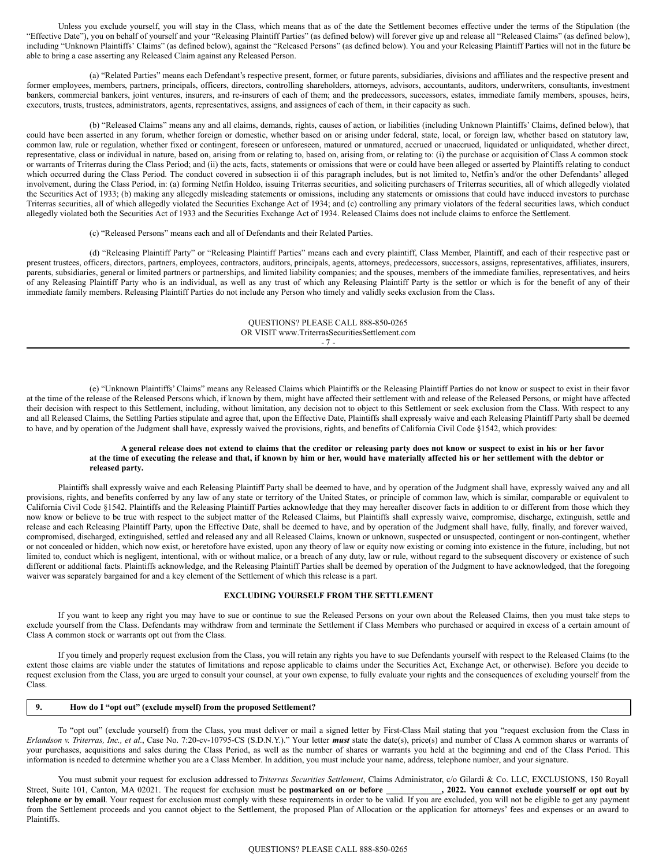Unless you exclude yourself, you will stay in the Class, which means that as of the date the Settlement becomes effective under the terms of the Stipulation (the "Effective Date"), you on behalf of yourself and your "Releasing Plaintiff Parties" (as defined below) will forever give up and release all "Released Claims" (as defined below), including "Unknown Plaintiffs' Claims" (as defined below), against the "Released Persons" (as defined below). You and your Releasing Plaintiff Parties will not in the future be able to bring a case asserting any Released Claim against any Released Person.

(a) "Related Parties" means each Defendant's respective present, former, or future parents, subsidiaries, divisions and affiliates and the respective present and former employees, members, partners, principals, officers, directors, controlling shareholders, attorneys, advisors, accountants, auditors, underwriters, consultants, investment bankers, commercial bankers, joint ventures, insurers, and re-insurers of each of them; and the predecessors, successors, estates, immediate family members, spouses, heirs, executors, trusts, trustees, administrators, agents, representatives, assigns, and assignees of each of them, in their capacity as such.

(b) "Released Claims" means any and all claims, demands, rights, causes of action, or liabilities (including Unknown Plaintiffs' Claims, defined below), that could have been asserted in any forum, whether foreign or domestic, whether based on or arising under federal, state, local, or foreign law, whether based on statutory law, common law, rule or regulation, whether fixed or contingent, foreseen or unforeseen, matured or unmatured, accrued or unaccrued, liquidated or unliquidated, whether direct, representative, class or individual in nature, based on, arising from or relating to, based on, arising from, or relating to: (i) the purchase or acquisition of Class A common stock or warrants of Triterras during the Class Period; and (ii) the acts, facts, statements or omissions that were or could have been alleged or asserted by Plaintiffs relating to conduct which occurred during the Class Period. The conduct covered in subsection ii of this paragraph includes, but is not limited to, Netfin's and/or the other Defendants' alleged involvement, during the Class Period, in: (a) forming Netfin Holdco, issuing Triterras securities, and soliciting purchasers of Triterras securities, all of which allegedly violated the Securities Act of 1933; (b) making any allegedly misleading statements or omissions, including any statements or omissions that could have induced investors to purchase Triterras securities, all of which allegedly violated the Securities Exchange Act of 1934; and (c) controlling any primary violators of the federal securities laws, which conduct allegedly violated both the Securities Act of 1933 and the Securities Exchange Act of 1934. Released Claims does not include claims to enforce the Settlement.

(c) "Released Persons" means each and all of Defendants and their Related Parties.

(d) "Releasing Plaintiff Party" or "Releasing Plaintiff Parties" means each and every plaintiff, Class Member, Plaintiff, and each of their respective past or present trustees, officers, directors, partners, employees, contractors, auditors, principals, agents, attorneys, predecessors, successors, assigns, representatives, affiliates, insurers, parents, subsidiaries, general or limited partners or partnerships, and limited liability companies; and the spouses, members of the immediate families, representatives, and heirs of any Releasing Plaintiff Party who is an individual, as well as any trust of which any Releasing Plaintiff Party is the settlor or which is for the benefit of any of their immediate family members. Releasing Plaintiff Parties do not include any Person who timely and validly seeks exclusion from the Class.

> QUESTIONS? PLEASE CALL 888-850-0265 OR VISIT www.TriterrasSecuritiesSettlement.com - 7 -

(e) "Unknown Plaintiffs' Claims" means any Released Claims which Plaintiffs or the Releasing Plaintiff Parties do not know or suspect to exist in their favor at the time of the release of the Released Persons which, if known by them, might have affected their settlement with and release of the Released Persons, or might have affected their decision with respect to this Settlement, including, without limitation, any decision not to object to this Settlement or seek exclusion from the Class. With respect to any and all Released Claims, the Settling Parties stipulate and agree that, upon the Effective Date, Plaintiffs shall expressly waive and each Releasing Plaintiff Party shall be deemed to have, and by operation of the Judgment shall have, expressly waived the provisions, rights, and benefits of California Civil Code §1542, which provides:

#### A general release does not extend to claims that the creditor or releasing party does not know or suspect to exist in his or her favor at the time of executing the release and that, if known by him or her, would have materially affected his or her settlement with the debtor or **released party.**

Plaintiffs shall expressly waive and each Releasing Plaintiff Party shall be deemed to have, and by operation of the Judgment shall have, expressly waived any and all provisions, rights, and benefits conferred by any law of any state or territory of the United States, or principle of common law, which is similar, comparable or equivalent to California Civil Code §1542. Plaintiffs and the Releasing Plaintiff Parties acknowledge that they may hereafter discover facts in addition to or different from those which they now know or believe to be true with respect to the subject matter of the Released Claims, but Plaintiffs shall expressly waive, compromise, discharge, extinguish, settle and release and each Releasing Plaintiff Party, upon the Effective Date, shall be deemed to have, and by operation of the Judgment shall have, fully, finally, and forever waived, compromised, discharged, extinguished, settled and released any and all Released Claims, known or unknown, suspected or unsuspected, contingent or non-contingent, whether or not concealed or hidden, which now exist, or heretofore have existed, upon any theory of law or equity now existing or coming into existence in the future, including, but not limited to, conduct which is negligent, intentional, with or without malice, or a breach of any duty, law or rule, without regard to the subsequent discovery or existence of such different or additional facts. Plaintiffs acknowledge, and the Releasing Plaintiff Parties shall be deemed by operation of the Judgment to have acknowledged, that the foregoing waiver was separately bargained for and a key element of the Settlement of which this release is a part.

#### **EXCLUDING YOURSELF FROM THE SETTLEMENT**

If you want to keep any right you may have to sue or continue to sue the Released Persons on your own about the Released Claims, then you must take steps to exclude yourself from the Class. Defendants may withdraw from and terminate the Settlement if Class Members who purchased or acquired in excess of a certain amount of Class A common stock or warrants opt out from the Class.

If you timely and properly request exclusion from the Class, you will retain any rights you have to sue Defendants yourself with respect to the Released Claims (to the extent those claims are viable under the statutes of limitations and repose applicable to claims under the Securities Act, Exchange Act, or otherwise). Before you decide to request exclusion from the Class, you are urged to consult your counsel, at your own expense, to fully evaluate your rights and the consequences of excluding yourself from the Class.

#### **9. How do I "opt out" (exclude myself) from the proposed Settlement?**

To "opt out" (exclude yourself) from the Class, you must deliver or mail a signed letter by First-Class Mail stating that you "request exclusion from the Class in *Erlandson v. Triterras, Inc., et al.*, Case No. 7:20-cv-10795-CS (S.D.N.Y.)." Your letter *must* state the date(s), price(s) and number of Class A common shares or warrants of your purchases, acquisitions and sales during the Class Period, as well as the number of shares or warrants you held at the beginning and end of the Class Period. This information is needed to determine whether you are a Class Member. In addition, you must include your name, address, telephone number, and your signature.

You must submit your request for exclusion addressed to *Triterras Securities Settlement*, Claims Administrator, c/o Gilardi & Co. LLC, EXCLUSIONS, 150 Royall uite 101, Canton, MA 02021. The request for exclusion must be Street, Suite 101, Canton, MA 02021. The request for exclusion must be postmarked on or before **telephone or by email**. Your request for exclusion must comply with these requirements in order to be valid. If you are excluded, you will not be eligible to get any payment from the Settlement proceeds and you cannot object to the Settlement, the proposed Plan of Allocation or the application for attorneys' fees and expenses or an award to Plaintiffs.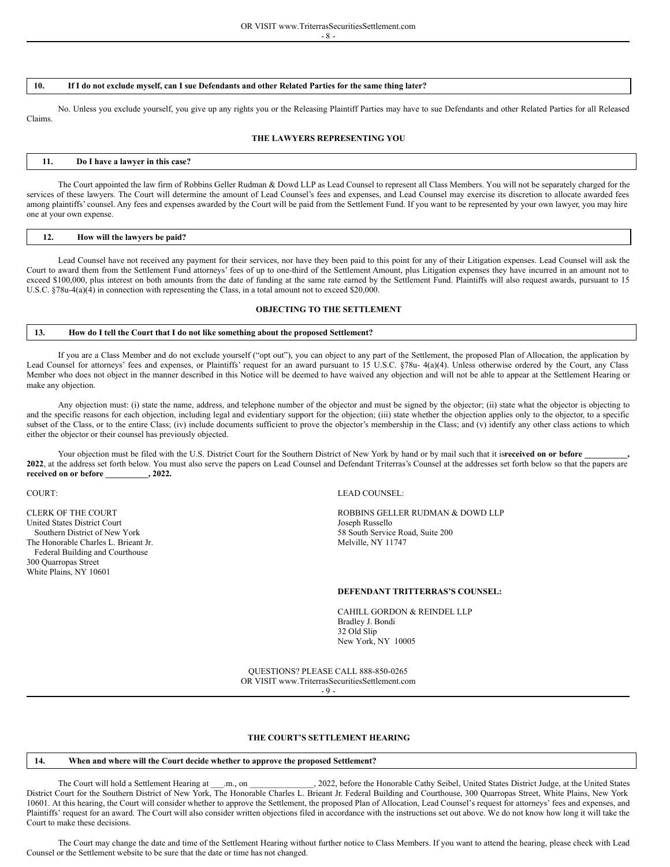- 8 -

# 10. If I do not exclude myself, can I sue Defendants and other Related Parties for the same thing later?

No. Unless you exclude yourself, you give up any rights you or the Releasing Plaintiff Parties may have to sue Defendants and other Related Parties for all Released Claims.

# **THE LAWYERS REPRESENTING YOU**

# **11. Do I have a lawyer in this case?**

The Court appointed the law firm of Robbins Geller Rudman & Dowd LLP as Lead Counsel to represent all Class Members. You will not be separately charged for the services of these lawyers. The Court will determine the amount of Lead Counsel's fees and expenses, and Lead Counsel may exercise its discretion to allocate awarded fees among plaintiffs' counsel. Any fees and expenses awarded by the Court will be paid from the Settlement Fund. If you want to be represented by your own lawyer, you may hire one at your own expense.

| $\frac{12}{2}$ | How will the lawyers be paid? |  |  |  |  |
|----------------|-------------------------------|--|--|--|--|
|----------------|-------------------------------|--|--|--|--|

Lead Counsel have not received any payment for their services, nor have they been paid to this point for any of their Litigation expenses. Lead Counsel will ask the Court to award them from the Settlement Fund attorneys' fees of up to one-third of the Settlement Amount, plus Litigation expenses they have incurred in an amount not to exceed \$100,000, plus interest on both amounts from the date of funding at the same rate earned by the Settlement Fund. Plaintiffs will also request awards, pursuant to 15 U.S.C. §78u-4(a)(4) in connection with representing the Class, in a total amount not to exceed \$20,000.

#### **OBJECTING TO THE SETTLEMENT**

#### **13. How do I tell the Court that I do not like something about the proposed Settlement?**

If you are a Class Member and do not exclude yourself ("opt out"), you can object to any part of the Settlement, the proposed Plan of Allocation, the application by Lead Counsel for attorneys' fees and expenses, or Plaintiffs' request for an award pursuant to 15 U.S.C. §78u- 4(a)(4). Unless otherwise ordered by the Court, any Class Member who does not object in the manner described in this Notice will be deemed to have waived any objection and will not be able to appear at the Settlement Hearing or make any objection.

Any objection must: (i) state the name, address, and telephone number of the objector and must be signed by the objector; (ii) state what the objector is objecting to and the specific reasons for each objection, including legal and evidentiary support for the objection; (iii) state whether the objection applies only to the objector, to a specific subset of the Class, or to the entire Class; (iv) include documents sufficient to prove the objector's membership in the Class; and (v) identify any other class actions to which either the objector or their counsel has previously objected.

Your objection must be filed with the U.S. District Court for the Southern District of New York by hand or by mail such that it isreceived on or before **2022**, at the address set forth below. You must also serve the papers on Lead Counsel and Defendant Triterras's Counsel at the addresses set forth below so that the papers are **received on or before \_\_\_\_\_\_\_\_\_\_, 2022.**

United States District Court<br>Southern District of New York The Honorable Charles L. Brieant Jr. Melville, NY 11747 Federal Building and Courthouse 300 Quarropas Street White Plains, NY 10601

#### COURT: LEAD COUNSEL:

CLERK OF THE COURT<br>
United States District Court<br>
United States District Court<br>
Conserved by Solid Museum of the States District Court 58 South Service Road, Suite 200

#### **DEFENDANT TRITTERRAS'S COUNSEL:**

CAHILL GORDON & REINDEL LLP Bradley J. Bondi 32 Old Slip New York, NY 10005

QUESTIONS? PLEASE CALL 888-850-0265 OR VISIT www.TriterrasSecuritiesSettlement.com  $-9 -$ 

#### **THE COURT'S SETTLEMENT HEARING**

# **14. When and where will the Court decide whether to approve the proposed Settlement?**

The Court will hold a Settlement Hearing at \_\_\_.m., on \_\_\_\_\_\_\_\_\_\_\_\_\_\_, 2022, before the Honorable Cathy Seibel, United States District Judge, at the United States District Court for the Southern District of New York, The Honorable Charles L. Brieant Jr. Federal Building and Courthouse, 300 Quarropas Street, White Plains, New York 10601. At this hearing, the Court will consider whether to approve the Settlement, the proposed Plan of Allocation, Lead Counsel's request for attorneys' fees and expenses, and Plaintiffs' request for an award. The Court will also consider written objections filed in accordance with the instructions set out above. We do not know how long it will take the Court to make these decisions.

The Court may change the date and time of the Settlement Hearing without further notice to Class Members. If you want to attend the hearing, please check with Lead Counsel or the Settlement website to be sure that the date or time has not changed.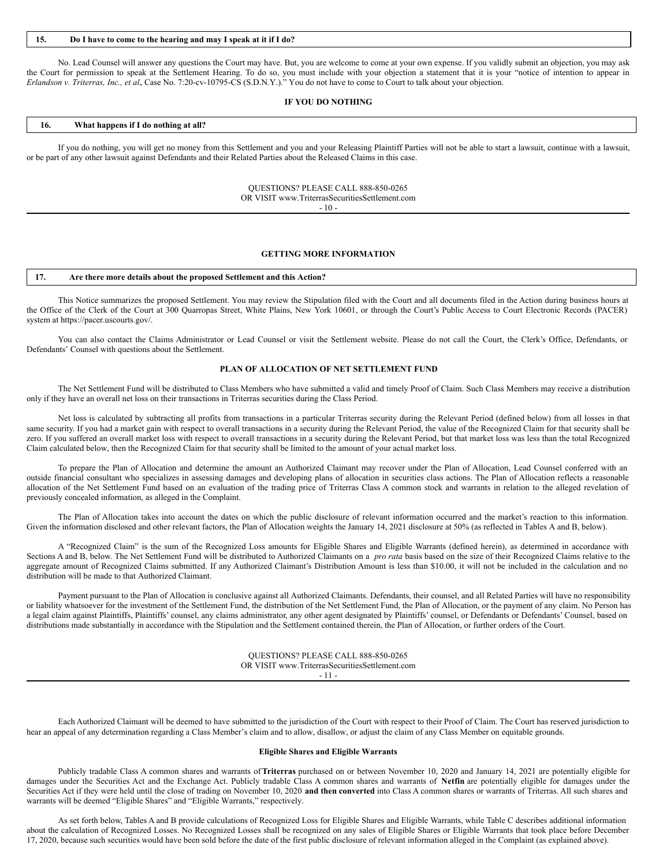#### **15. Do I have to come to the hearing and may I speak at it if I do?**

No. Lead Counsel will answer any questions the Court may have. But, you are welcome to come at your own expense. If you validly submit an objection, you may ask the Court for permission to speak at the Settlement Hearing. To do so, you must include with your objection a statement that it is your "notice of intention to appear in *Erlandson v. Triterras, Inc., et al.*, Case No. 7:20-cv-10795-CS (S.D.N.Y.)." You do not have to come to Court to talk about your objection.

#### **IF YOU DO NOTHING**

# **16. What happens if I do nothing at all?**

If you do nothing, you will get no money from this Settlement and you and your Releasing Plaintiff Parties will not be able to start a lawsuit, continue with a lawsuit, or be part of any other lawsuit against Defendants and their Related Parties about the Released Claims in this case.

> QUESTIONS? PLEASE CALL 888-850-0265 OR VISIT www.TriterrasSecuritiesSettlement.com  $-10-$

#### **GETTING MORE INFORMATION**

#### **17. Are there more details about the proposed Settlement and this Action?**

This Notice summarizes the proposed Settlement. You may review the Stipulation filed with the Court and all documents filed in the Action during business hours at the Office of the Clerk of the Court at 300 Quarropas Street, White Plains, New York 10601, or through the Court's Public Access to Court Electronic Records (PACER) system at https://pacer.uscourts.gov/.

You can also contact the Claims Administrator or Lead Counsel or visit the Settlement website. Please do not call the Court, the Clerk's Office, Defendants, or Defendants' Counsel with questions about the Settlement.

#### **PLAN OF ALLOCATION OF NET SETTLEMENT FUND**

The Net Settlement Fund will be distributed to Class Members who have submitted a valid and timely Proof of Claim. Such Class Members may receive a distribution only if they have an overall net loss on their transactions in Triterras securities during the Class Period.

Net loss is calculated by subtracting all profits from transactions in a particular Triterras security during the Relevant Period (defined below) from all losses in that same security. If you had a market gain with respect to overall transactions in a security during the Relevant Period, the value of the Recognized Claim for that security shall be zero. If you suffered an overall market loss with respect to overall transactions in a security during the Relevant Period, but that market loss was less than the total Recognized Claim calculated below, then the Recognized Claim for that security shall be limited to the amount of your actual market loss.

To prepare the Plan of Allocation and determine the amount an Authorized Claimant may recover under the Plan of Allocation, Lead Counsel conferred with an outside financial consultant who specializes in assessing damages and developing plans of allocation in securities class actions. The Plan of Allocation reflects a reasonable allocation of the Net Settlement Fund based on an evaluation of the trading price of Triterras Class A common stock and warrants in relation to the alleged revelation of previously concealed information, as alleged in the Complaint.

The Plan of Allocation takes into account the dates on which the public disclosure of relevant information occurred and the market's reaction to this information. Given the information disclosed and other relevant factors, the Plan of Allocation weights the January 14, 2021 disclosure at 50% (as reflected in Tables A and B, below).

A "Recognized Claim" is the sum of the Recognized Loss amounts for Eligible Shares and Eligible Warrants (defined herein), as determined in accordance with Sections A and B, below. The Net Settlement Fund will be distributed to Authorized Claimants on a *pro rata* basis based on the size of their Recognized Claims relative to the aggregate amount of Recognized Claims submitted. If any Authorized Claimant's Distribution Amount is less than \$10.00, it will not be included in the calculation and no distribution will be made to that Authorized Claimant.

Payment pursuant to the Plan of Allocation is conclusive against all Authorized Claimants. Defendants, their counsel, and all Related Parties will have no responsibility or liability whatsoever for the investment of the Settlement Fund, the distribution of the Net Settlement Fund, the Plan of Allocation, or the payment of any claim. No Person has a legal claim against Plaintiffs, Plaintiffs' counsel, any claims administrator, any other agent designated by Plaintiffs' counsel, or Defendants or Defendants' Counsel, based on distributions made substantially in accordance with the Stipulation and the Settlement contained therein, the Plan of Allocation, or further orders of the Court.

> QUESTIONS? PLEASE CALL 888-850-0265 OR VISIT www.TriterrasSecuritiesSettlement.com - 11 -

Each Authorized Claimant will be deemed to have submitted to the jurisdiction of the Court with respect to their Proof of Claim. The Court has reserved jurisdiction to hear an appeal of any determination regarding a Class Member's claim and to allow, disallow, or adjust the claim of any Class Member on equitable grounds.

#### **Eligible Shares and Eligible Warrants**

Publicly tradable Class A common shares and warrants of**Triterras** purchased on or between November 10, 2020 and January 14, 2021 are potentially eligible for damages under the Securities Act and the Exchange Act. Publicly tradable Class A common shares and warrants of **Netfin** are potentially eligible for damages under the Securities Act if they were held until the close of trading on November 10, 2020 **and then converted** into Class A common shares or warrants of Triterras. All such shares and warrants will be deemed "Eligible Shares" and "Eligible Warrants," respectively.

As set forth below, Tables A and B provide calculations of Recognized Loss for Eligible Shares and Eligible Warrants, while Table C describes additional information about the calculation of Recognized Losses. No Recognized Losses shall be recognized on any sales of Eligible Shares or Eligible Warrants that took place before December 17, 2020, because such securities would have been sold before the date of the first public disclosure of relevant information alleged in the Complaint (as explained above).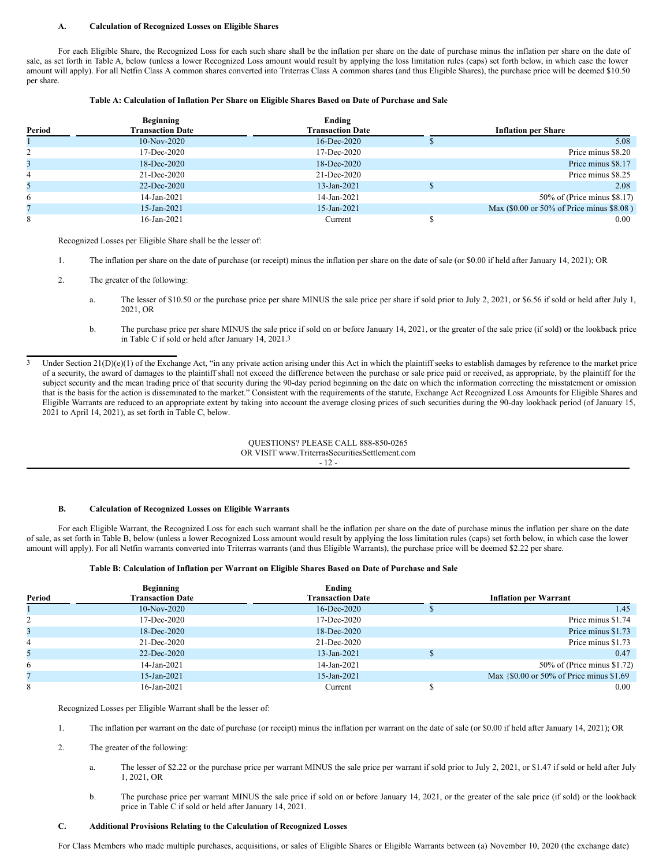#### **A. Calculation of Recognized Losses on Eligible Shares**

For each Eligible Share, the Recognized Loss for each such share shall be the inflation per share on the date of purchase minus the inflation per share on the date of sale, as set forth in Table A, below (unless a lower Recognized Loss amount would result by applying the loss limitation rules (caps) set forth below, in which case the lower amount will apply). For all Netfin Class A common shares converted into Triterras Class A common shares (and thus Eligible Shares), the purchase price will be deemed \$10.50 per share.

# **Table A: Calculation of Inflation Per Share on Eligible Shares Based on Date of Purchase and Sale**

|        | <b>Beginning</b>        | Ending                  |                                           |
|--------|-------------------------|-------------------------|-------------------------------------------|
| Period | <b>Transaction Date</b> | <b>Transaction Date</b> | <b>Inflation per Share</b>                |
|        | $10-Nov-2020$           | $16$ -Dec-2020          | 5.08                                      |
|        | 17-Dec-2020             | 17-Dec-2020             | Price minus \$8.20                        |
|        | 18-Dec-2020             | 18-Dec-2020             | Price minus \$8.17                        |
| 4      | 21-Dec-2020             | 21-Dec-2020             | Price minus \$8.25                        |
| 5      | 22-Dec-2020             | 13-Jan-2021             | 2.08                                      |
| 6      | 14-Jan-2021             | 14-Jan-2021             | 50% of (Price minus \$8.17)               |
|        | 15-Jan-2021             | 15-Jan-2021             | Max (\$0.00 or 50% of Price minus \$8.08) |
| 8      | 16-Jan-2021             | Current                 | 0.00                                      |

Recognized Losses per Eligible Share shall be the lesser of:

- 1. The inflation per share on the date of purchase (or receipt) minus the inflation per share on the date of sale (or \$0.00 if held after January 14, 2021); OR
- 2. The greater of the following:
	- a. The lesser of \$10.50 or the purchase price per share MINUS the sale price per share if sold prior to July 2, 2021, or \$6.56 if sold or held after July 1, 2021, OR
	- b. The purchase price per share MINUS the sale price if sold on or before January 14, 2021, or the greater of the sale price (if sold) or the lookback price in Table C if sold or held after January 14, 2021.3

Under Section  $21(D)(e)(1)$  of the Exchange Act, "in any private action arising under this Act in which the plaintiff seeks to establish damages by reference to the market price of a security, the award of damages to the plaintiff shall not exceed the difference between the purchase or sale price paid or received, as appropriate, by the plaintiff for the subject security and the mean trading price of that security during the 90-day period beginning on the date on which the information correcting the misstatement or omission that is the basis for the action is disseminated to the market." Consistent with the requirements of the statute, Exchange Act Recognized Loss Amounts for Eligible Shares and Eligible Warrants are reduced to an appropriate extent by taking into account the average closing prices of such securities during the 90-day lookback period (of January 15, 2021 to April 14, 2021), as set forth in Table C, below.

> QUESTIONS? PLEASE CALL 888-850-0265 OR VISIT www.TriterrasSecuritiesSettlement.com - 12 -

# **B. Calculation of Recognized Losses on Eligible Warrants**

For each Eligible Warrant, the Recognized Loss for each such warrant shall be the inflation per share on the date of purchase minus the inflation per share on the date of sale, as set forth in Table B, below (unless a lower Recognized Loss amount would result by applying the loss limitation rules (caps) set forth below, in which case the lower amount will apply). For all Netfin warrants converted into Triterras warrants (and thus Eligible Warrants), the purchase price will be deemed \$2.22 per share.

#### **Table B: Calculation of Inflation per Warrant on Eligible Shares Based on Date of Purchase and Sale**

|        | <b>Beginning</b>        | Ending                  |                                          |
|--------|-------------------------|-------------------------|------------------------------------------|
| Period | <b>Transaction Date</b> | <b>Transaction Date</b> | <b>Inflation per Warrant</b>             |
|        | $10-Nov-2020$           | $16$ -Dec-2020          | 1.45                                     |
|        | 17-Dec-2020             | 17-Dec-2020             | Price minus \$1.74                       |
| 3      | 18-Dec-2020             | 18-Dec-2020             | Price minus \$1.73                       |
| 4      | 21-Dec-2020             | 21-Dec-2020             | Price minus \$1.73                       |
| 5      | 22-Dec-2020             | 13-Jan-2021             | 0.47                                     |
| 6      | 14-Jan-2021             | 14-Jan-2021             | 50% of (Price minus \$1.72)              |
|        | 15-Jan-2021             | 15-Jan-2021             | Max {\$0.00 or 50% of Price minus \$1.69 |
| 8      | 16-Jan-2021             | Current                 | 0.00                                     |

Recognized Losses per Eligible Warrant shall be the lesser of:

- 1. The inflation per warrant on the date of purchase (or receipt) minus the inflation per warrant on the date of sale (or \$0.00 if held after January 14, 2021); OR
- 2. The greater of the following:
	- a. The lesser of \$2.22 or the purchase price per warrant MINUS the sale price per warrant if sold prior to July 2, 2021, or \$1.47 if sold or held after July 1, 2021, OR
	- b. The purchase price per warrant MINUS the sale price if sold on or before January 14, 2021, or the greater of the sale price (if sold) or the lookback price in Table C if sold or held after January 14, 2021.

#### **C. Additional Provisions Relating to the Calculation of Recognized Losses**

For Class Members who made multiple purchases, acquisitions, or sales of Eligible Shares or Eligible Warrants between (a) November 10, 2020 (the exchange date)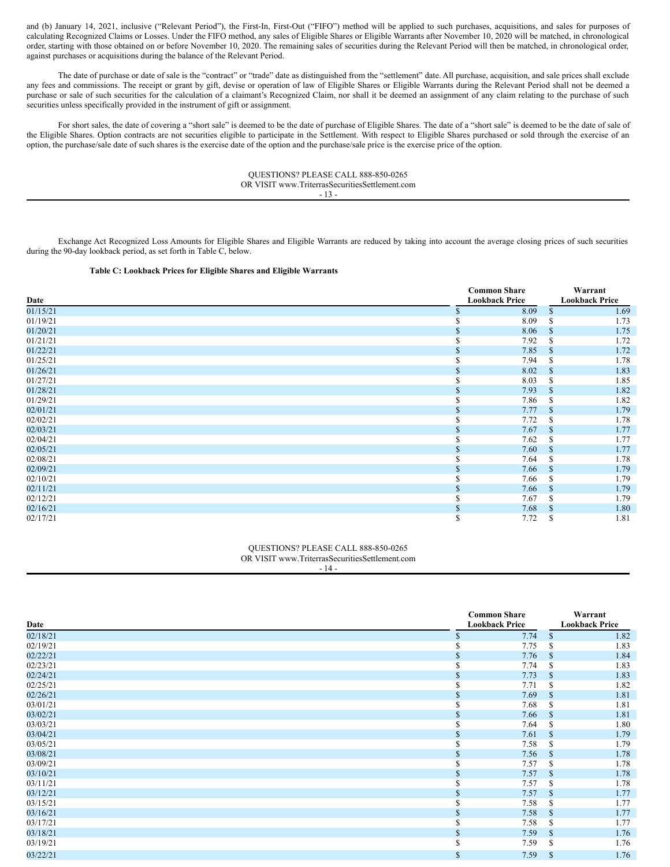and (b) January 14, 2021, inclusive ("Relevant Period"), the First-In, First-Out ("FIFO") method will be applied to such purchases, acquisitions, and sales for purposes of calculating Recognized Claims or Losses. Under the FIFO method, any sales of Eligible Shares or Eligible Warrants after November 10, 2020 will be matched, in chronological order, starting with those obtained on or before November 10, 2020. The remaining sales of securities during the Relevant Period will then be matched, in chronological order, against purchases or acquisitions during the balance of the Relevant Period.

The date of purchase or date of sale is the "contract" or "trade" date as distinguished from the "settlement" date. All purchase, acquisition, and sale prices shall exclude any fees and commissions. The receipt or grant by gift, devise or operation of law of Eligible Shares or Eligible Warrants during the Relevant Period shall not be deemed a purchase or sale of such securities for the calculation of a claimant's Recognized Claim, nor shall it be deemed an assignment of any claim relating to the purchase of such securities unless specifically provided in the instrument of gift or assignment.

For short sales, the date of covering a "short sale" is deemed to be the date of purchase of Eligible Shares. The date of a "short sale" is deemed to be the date of sale of the Eligible Shares. Option contracts are not securities eligible to participate in the Settlement. With respect to Eligible Shares purchased or sold through the exercise of an option, the purchase/sale date of such shares is the exercise date of the option and the purchase/sale price is the exercise price of the option.

> QUESTIONS? PLEASE CALL 888-850-0265 OR VISIT www.TriterrasSecuritiesSettlement.com - 13 -

Exchange Act Recognized Loss Amounts for Eligible Shares and Eligible Warrants are reduced by taking into account the average closing prices of such securities during the 90-day lookback period, as set forth in Table C, below.

# **Table C: Lookback Prices for Eligible Shares and Eligible Warrants**

|          |   | <b>Common Share</b>   |               | Warrant               |
|----------|---|-----------------------|---------------|-----------------------|
| Date     |   | <b>Lookback Price</b> |               | <b>Lookback Price</b> |
| 01/15/21 |   | 8.09                  | \$.           | 1.69                  |
| 01/19/21 |   | 8.09                  |               | 1.73                  |
| 01/20/21 |   | 8.06                  | <sup>\$</sup> | 1.75                  |
| 01/21/21 |   | 7.92                  |               | 1.72                  |
| 01/22/21 |   | 7.85                  | <sup>\$</sup> | 1.72                  |
| 01/25/21 |   | 7.94                  | S             | 1.78                  |
| 01/26/21 |   | 8.02                  | <sup>\$</sup> | 1.83                  |
| 01/27/21 |   | 8.03                  | S             | 1.85                  |
| 01/28/21 |   | 7.93                  | <sup>\$</sup> | 1.82                  |
| 01/29/21 | Ф | 7.86                  | <sup>\$</sup> | 1.82                  |
| 02/01/21 |   | 7.77                  | <sup>\$</sup> | 1.79                  |
| 02/02/21 |   | 7.72                  | <sup>\$</sup> | 1.78                  |
| 02/03/21 |   | 7.67                  | <sup>\$</sup> | 1.77                  |
| 02/04/21 |   | 7.62                  |               | 1.77                  |
| 02/05/21 |   | 7.60                  | <sup>\$</sup> | 1.77                  |
| 02/08/21 |   | 7.64                  | S             | 1.78                  |
| 02/09/21 |   | 7.66                  | <sup>\$</sup> | 1.79                  |
| 02/10/21 |   | 7.66                  | \$.           | 1.79                  |
| 02/11/21 |   | 7.66                  | <sup>\$</sup> | 1.79                  |
| 02/12/21 |   | 7.67                  | <sup>\$</sup> | 1.79                  |
| 02/16/21 |   | 7.68                  | <sup>\$</sup> | 1.80                  |
| 02/17/21 | ъ | 7.72                  | \$            | 1.81                  |

# QUESTIONS? PLEASE CALL 888-850-0265 OR VISIT www.TriterrasSecuritiesSettlement.com

- 14 -

| Date     |               | <b>Common Share</b><br><b>Lookback Price</b> |               | Warrant<br><b>Lookback Price</b> |
|----------|---------------|----------------------------------------------|---------------|----------------------------------|
| 02/18/21 |               | 7.74                                         | <sup>\$</sup> | 1.82                             |
| 02/19/21 |               | 7.75                                         | S             | 1.83                             |
| 02/22/21 |               | 7.76                                         | <sup>\$</sup> | 1.84                             |
| 02/23/21 |               | 7.74                                         | <sup>\$</sup> | 1.83                             |
| 02/24/21 | S             | 7.73                                         | <sup>\$</sup> | 1.83                             |
| 02/25/21 | ъ             | 7.71                                         | <sup>\$</sup> | 1.82                             |
| 02/26/21 | \$.           | 7.69                                         | <sup>\$</sup> | 1.81                             |
| 03/01/21 |               | 7.68                                         | \$.           | 1.81                             |
| 03/02/21 | S             | 7.66                                         | <sup>\$</sup> | 1.81                             |
| 03/03/21 |               | 7.64                                         | S             | 1.80                             |
| 03/04/21 | \$.           | 7.61                                         | <sup>\$</sup> | 1.79                             |
| 03/05/21 | J.            | 7.58                                         | <sup>\$</sup> | 1.79                             |
| 03/08/21 | <sup>\$</sup> | 7.56                                         | <sup>\$</sup> | 1.78                             |
| 03/09/21 | υэ            | 7.57                                         | <sup>\$</sup> | 1.78                             |
| 03/10/21 | $\mathbf S$   | 7.57                                         | <sup>\$</sup> | 1.78                             |
| 03/11/21 | J.            | 7.57                                         | <sup>\$</sup> | 1.78                             |
| 03/12/21 | \$.           | 7.57                                         | <sup>\$</sup> | 1.77                             |
| 03/15/21 | υэ            | 7.58                                         | S             | 1.77                             |
| 03/16/21 | S             | 7.58                                         | <sup>\$</sup> | 1.77                             |
| 03/17/21 | ъ             | 7.58                                         | -S            | 1.77                             |
| 03/18/21 | \$.           | 7.59                                         | <sup>\$</sup> | 1.76                             |
| 03/19/21 | ъ             | 7.59                                         | S.            | 1.76                             |
| 03/22/21 | $\mathbb{S}$  | 7.59                                         | $\mathcal{S}$ | 1.76                             |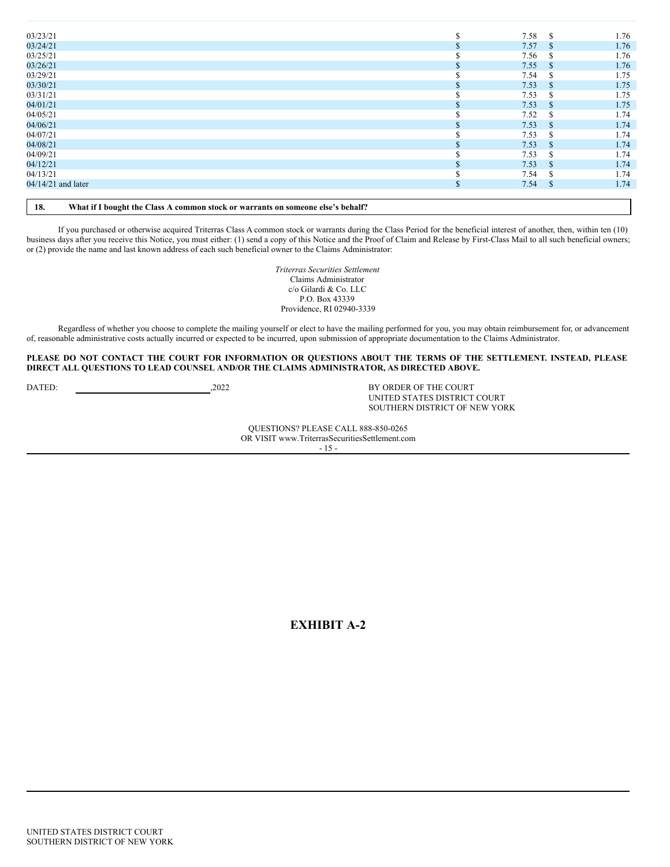| 03/23/21           |     | 7.58<br>-\$           | 1.76 |
|--------------------|-----|-----------------------|------|
| 03/24/21           |     | 7.57<br><sup>\$</sup> | 1.76 |
| 03/25/21           |     | 7.56<br>-S            | 1.76 |
| 03/26/21           |     | 7.55<br>$\mathcal{S}$ | 1.76 |
| 03/29/21           |     | 7.54<br>S             | 1.75 |
| 03/30/21           |     | 7.53<br>$\mathcal{S}$ | 1.75 |
| 03/31/21           |     | 7.53<br>-S            | 1.75 |
| 04/01/21           |     | 7.53<br>$\mathcal{S}$ | 1.75 |
| 04/05/21           |     | 7.52<br><sup>\$</sup> | 1.74 |
| 04/06/21           |     | 7.53<br><sup>\$</sup> | 1.74 |
| 04/07/21           |     | 7.53<br>-S            | 1.74 |
| 04/08/21           |     | 7.53<br><sup>\$</sup> | 1.74 |
| 04/09/21           |     | 7.53<br>\$.           | 1.74 |
| 04/12/21           |     | 7.53<br>$\mathcal{S}$ | 1.74 |
| 04/13/21           |     | 7.54<br><sup>\$</sup> | 1.74 |
| 04/14/21 and later | аĐ. | $\mathcal{S}$<br>7.54 | 1.74 |
|                    |     |                       |      |
|                    |     |                       |      |

**18. What if I bought the Class A common stock or warrants on someone else's behalf?**

If you purchased or otherwise acquired Triterras Class A common stock or warrants during the Class Period for the beneficial interest of another, then, within ten (10) business days after you receive this Notice, you must either: (1) send a copy of this Notice and the Proof of Claim and Release by First-Class Mail to all such beneficial owners; or (2) provide the name and last known address of each such beneficial owner to the Claims Administrator:

> *Triterras Securities Settlement* Claims Administrator c/o Gilardi & Co. LLC P.O. Box 43339 Providence, RI 02940-3339

Regardless of whether you choose to complete the mailing yourself or elect to have the mailing performed for you, you may obtain reimbursement for, or advancement of, reasonable administrative costs actually incurred or expected to be incurred, upon submission of appropriate documentation to the Claims Administrator.

PLEASE DO NOT CONTACT THE COURT FOR INFORMATION OR QUESTIONS ABOUT THE TERMS OF THE SETTLEMENT. INSTEAD, PLEASE **DIRECT ALL QUESTIONS TO LEAD COUNSEL AND/OR THE CLAIMS ADMINISTRATOR, AS DIRECTED ABOVE.**

DATED:  $2022$  BY ORDER OF THE COURT

UNITED STATES DISTRICT COURT SOUTHERN DISTRICT OF NEW YORK

QUESTIONS? PLEASE CALL 888-850-0265 OR VISIT www.TriterrasSecuritiesSettlement.com - 15 -

**EXHIBIT A-2**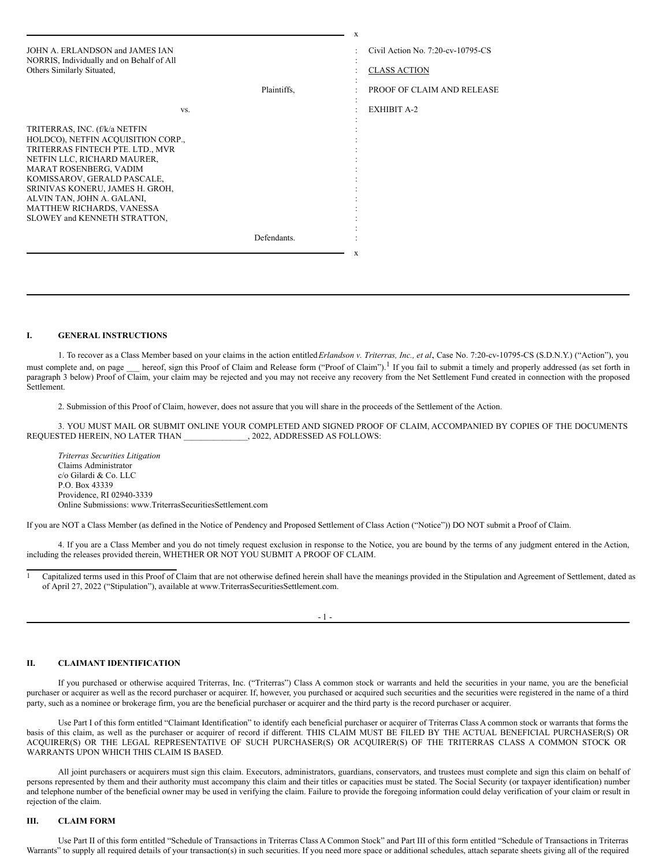|                                                                                                                                                                                                                                                                                                                               |             | $\mathbf x$                       |
|-------------------------------------------------------------------------------------------------------------------------------------------------------------------------------------------------------------------------------------------------------------------------------------------------------------------------------|-------------|-----------------------------------|
| JOHN A. ERLANDSON and JAMES IAN                                                                                                                                                                                                                                                                                               |             | Civil Action No. 7:20-cv-10795-CS |
| NORRIS, Individually and on Behalf of All<br>Others Similarly Situated,                                                                                                                                                                                                                                                       |             | <b>CLASS ACTION</b>               |
|                                                                                                                                                                                                                                                                                                                               | Plaintiffs. | PROOF OF CLAIM AND RELEASE        |
| VS.                                                                                                                                                                                                                                                                                                                           |             | <b>EXHIBIT A-2</b>                |
| TRITERRAS, INC. (f/k/a NETFIN<br>HOLDCO), NETFIN ACQUISITION CORP.,<br>TRITERRAS FINTECH PTE. LTD., MVR<br>NETFIN LLC, RICHARD MAURER,<br>MARAT ROSENBERG, VADIM<br>KOMISSAROV, GERALD PASCALE,<br>SRINIVAS KONERU, JAMES H. GROH,<br>ALVIN TAN, JOHN A. GALANI,<br>MATTHEW RICHARDS, VANESSA<br>SLOWEY and KENNETH STRATTON, |             |                                   |
|                                                                                                                                                                                                                                                                                                                               | Defendants. |                                   |
|                                                                                                                                                                                                                                                                                                                               |             | X                                 |

#### **I. GENERAL INSTRUCTIONS**

1. To recover as a Class Member based on your claims in the action entitled*Erlandson v. Triterras, Inc., et al.*, Case No. 7:20-cv-10795-CS (S.D.N.Y.) ("Action"), you must complete and, on page hereof, sign this Proof of Claim and Release form ("Proof of Claim").<sup>1</sup> If you fail to submit a timely and properly addressed (as set forth in paragraph 3 below) Proof of Claim, your claim may be rejected and you may not receive any recovery from the Net Settlement Fund created in connection with the proposed Settlement.

2. Submission of this Proof of Claim, however, does not assure that you will share in the proceeds of the Settlement of the Action.

3. YOU MUST MAIL OR SUBMIT ONLINE YOUR COMPLETED AND SIGNED PROOF OF CLAIM, ACCOMPANIED BY COPIES OF THE DOCUMENTS REQUESTED HEREIN, NO LATER THAN  $, 2022,$  ADDRESSED AS FOLLOWS:

*Triterras Securities Litigation* Claims Administrator c/o Gilardi & Co. LLC P.O. Box 43339 Providence, RI 02940-3339 Online Submissions: www.TriterrasSecuritiesSettlement.com

If you are NOT a Class Member (as defined in the Notice of Pendency and Proposed Settlement of Class Action ("Notice")) DO NOT submit a Proof of Claim.

4. If you are a Class Member and you do not timely request exclusion in response to the Notice, you are bound by the terms of any judgment entered in the Action, including the releases provided therein, WHETHER OR NOT YOU SUBMIT A PROOF OF CLAIM.

| _ |
|---|
|---|

# **II. CLAIMANT IDENTIFICATION**

If you purchased or otherwise acquired Triterras, Inc. ("Triterras") Class A common stock or warrants and held the securities in your name, you are the beneficial purchaser or acquirer as well as the record purchaser or acquirer. If, however, you purchased or acquired such securities and the securities were registered in the name of a third party, such as a nominee or brokerage firm, you are the beneficial purchaser or acquirer and the third party is the record purchaser or acquirer.

Use Part I of this form entitled "Claimant Identification" to identify each beneficial purchaser or acquirer of Triterras Class A common stock or warrants that forms the basis of this claim, as well as the purchaser or acquirer of record if different. THIS CLAIM MUST BE FILED BY THE ACTUAL BENEFICIAL PURCHASER(S) OR ACQUIRER(S) OR THE LEGAL REPRESENTATIVE OF SUCH PURCHASER(S) OR ACQUIRER(S) OF THE TRITERRAS CLASS A COMMON STOCK OR WARRANTS UPON WHICH THIS CLAIM IS BASED.

All joint purchasers or acquirers must sign this claim. Executors, administrators, guardians, conservators, and trustees must complete and sign this claim on behalf of persons represented by them and their authority must accompany this claim and their titles or capacities must be stated. The Social Security (or taxpayer identification) number and telephone number of the beneficial owner may be used in verifying the claim. Failure to provide the foregoing information could delay verification of your claim or result in rejection of the claim.

# **III. CLAIM FORM**

Use Part II of this form entitled "Schedule of Transactions in Triterras Class A Common Stock" and Part III of this form entitled "Schedule of Transactions in Triterras Warrants" to supply all required details of your transaction(s) in such securities. If you need more space or additional schedules, attach separate sheets giving all of the required

<sup>&</sup>lt;sup>1</sup> Capitalized terms used in this Proof of Claim that are not otherwise defined herein shall have the meanings provided in the Stipulation and Agreement of Settlement, dated as of April 27, 2022 ("Stipulation"), available at www.TriterrasSecuritiesSettlement.com.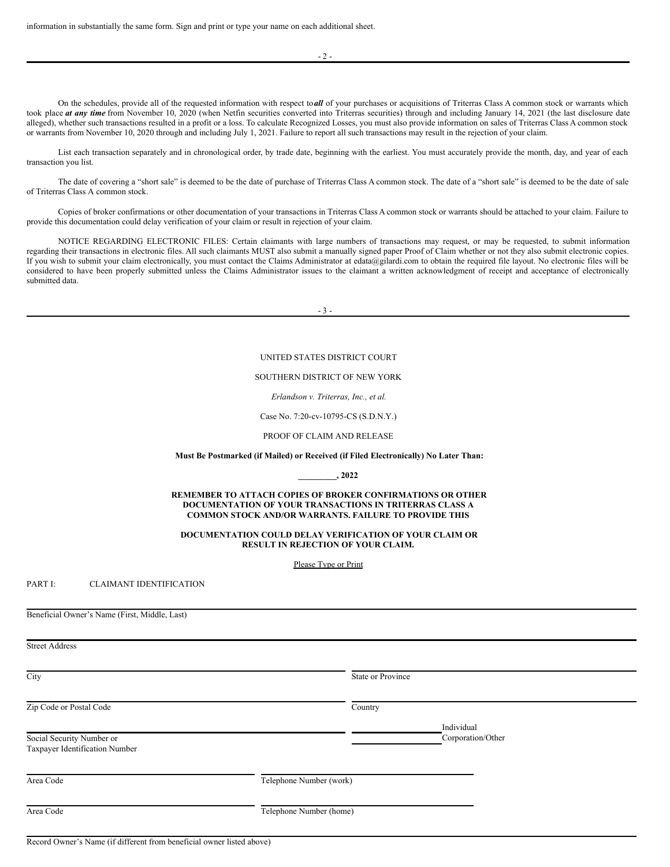On the schedules, provide all of the requested information with respect to*all* of your purchases or acquisitions of Triterras Class A common stock or warrants which took place **at any time** from November 10, 2020 (when Netfin securities converted into Triterras securities) through and including January 14, 2021 (the last disclosure date alleged), whether such transactions resulted in a profit or a loss. To calculate Recognized Losses, you must also provide information on sales of Triterras Class A common stock or warrants from November 10, 2020 through and including July 1, 2021. Failure to report all such transactions may result in the rejection of your claim.

List each transaction separately and in chronological order, by trade date, beginning with the earliest. You must accurately provide the month, day, and year of each transaction you list.

The date of covering a "short sale" is deemed to be the date of purchase of Triterras Class A common stock. The date of a "short sale" is deemed to be the date of sale of Triterras Class A common stock.

Copies of broker confirmations or other documentation of your transactions in Triterras Class A common stock or warrants should be attached to your claim. Failure to provide this documentation could delay verification of your claim or result in rejection of your claim.

NOTICE REGARDING ELECTRONIC FILES: Certain claimants with large numbers of transactions may request, or may be requested, to submit information regarding their transactions in electronic files. All such claimants MUST also submit a manually signed paper Proof of Claim whether or not they also submit electronic copies. If you wish to submit your claim electronically, you must contact the Claims Administrator at edata@gilardi.com to obtain the required file layout. No electronic files will be considered to have been properly submitted unless the Claims Administrator issues to the claimant a written acknowledgment of receipt and acceptance of electronically submitted data.

- 3 -

#### UNITED STATES DISTRICT COURT

#### SOUTHERN DISTRICT OF NEW YORK

#### *Erlandson v. Triterras, Inc., et al.*

Case No. 7:20-cv-10795-CS (S.D.N.Y.)

#### PROOF OF CLAIM AND RELEASE

#### **Must Be Postmarked (if Mailed) or Received (if Filed Electronically) No Later Than:**

**\_\_\_\_\_\_\_\_\_, 2022**

**REMEMBER TO ATTACH COPIES OF BROKER CONFIRMATIONS OR OTHER DOCUMENTATION OF YOUR TRANSACTIONS IN TRITERRAS CLASS A COMMON STOCK AND/OR WARRANTS. FAILURE TO PROVIDE THIS**

**DOCUMENTATION COULD DELAY VERIFICATION OF YOUR CLAIM OR RESULT IN REJECTION OF YOUR CLAIM.**

Please Type or Print

PART I: CLAIMANT IDENTIFICATION

Beneficial Owner's Name (First, Middle, Last)

Street Address

| Country |                                                    |                   |
|---------|----------------------------------------------------|-------------------|
|         | Individual<br>Corporation/Other                    |                   |
|         |                                                    |                   |
|         |                                                    |                   |
|         | Telephone Number (work)<br>Telephone Number (home) | State or Province |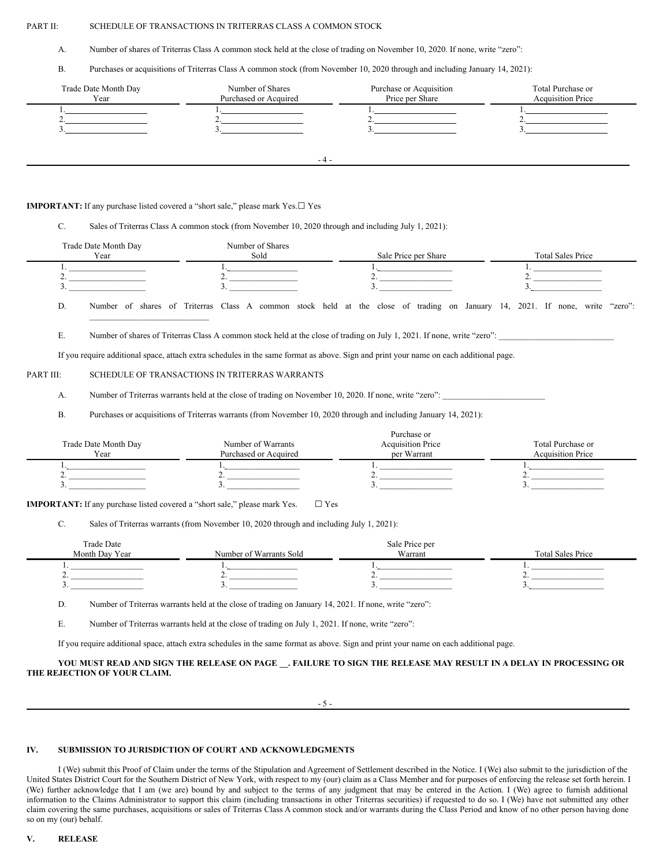# PART II: SCHEDULE OF TRANSACTIONS IN TRITERRAS CLASS A COMMON STOCK

A. Number of shares of Triterras Class A common stock held at the close of trading on November 10, 2020. If none, write "zero":

B. Purchases or acquisitions of Triterras Class A common stock (from November 10, 2020 through and including January 14, 2021):

| Trade Date Month Day<br>Year | Number of Shares<br>Purchased or Acquired | Purchase or Acquisition<br>Price per Share | Total Purchase or<br><b>Acquisition Price</b> |
|------------------------------|-------------------------------------------|--------------------------------------------|-----------------------------------------------|
|                              |                                           |                                            |                                               |
|                              |                                           |                                            |                                               |
|                              |                                           |                                            |                                               |
|                              |                                           |                                            |                                               |
|                              |                                           |                                            |                                               |
|                              | -4.                                       |                                            |                                               |

## **IMPORTANT:** If any purchase listed covered a "short sale," please mark Yes.☐ Yes

# C. Sales of Triterras Class A common stock (from November 10, 2020 through and including July 1, 2021):

|           | Trade Date Month Day<br>Year                                                            | Number of Shares<br>Sold                                                                               | Sale Price per Share                                                                                                                                                                                                                                                                                                                                                                                                                           | <b>Total Sales Price</b>                      |
|-----------|-----------------------------------------------------------------------------------------|--------------------------------------------------------------------------------------------------------|------------------------------------------------------------------------------------------------------------------------------------------------------------------------------------------------------------------------------------------------------------------------------------------------------------------------------------------------------------------------------------------------------------------------------------------------|-----------------------------------------------|
| 2.<br>3.  | <u> 1990 - Johann Barbara, martin a</u><br>the control of the control of the control of | the control of the control of the                                                                      | 1.<br>2. $\qquad \qquad$<br>3.                                                                                                                                                                                                                                                                                                                                                                                                                 |                                               |
| D.        |                                                                                         |                                                                                                        | Number of shares of Triterras Class A common stock held at the close of trading on January 14, 2021. If none, write "zero":                                                                                                                                                                                                                                                                                                                    |                                               |
| Ε.        |                                                                                         |                                                                                                        | Number of shares of Triterras Class A common stock held at the close of trading on July 1, 2021. If none, write "zero":                                                                                                                                                                                                                                                                                                                        |                                               |
|           |                                                                                         |                                                                                                        | If you require additional space, attach extra schedules in the same format as above. Sign and print your name on each additional page.                                                                                                                                                                                                                                                                                                         |                                               |
| PART III: |                                                                                         | SCHEDULE OF TRANSACTIONS IN TRITERRAS WARRANTS                                                         |                                                                                                                                                                                                                                                                                                                                                                                                                                                |                                               |
| A.        |                                                                                         |                                                                                                        | Number of Triterras warrants held at the close of trading on November 10, 2020. If none, write "zero":                                                                                                                                                                                                                                                                                                                                         |                                               |
| <b>B.</b> |                                                                                         |                                                                                                        | Purchases or acquisitions of Triterras warrants (from November 10, 2020 through and including January 14, 2021):                                                                                                                                                                                                                                                                                                                               |                                               |
|           | Trade Date Month Day<br>Year                                                            | Number of Warrants<br>Purchased or Acquired                                                            | Purchase or<br><b>Acquisition Price</b><br>per Warrant                                                                                                                                                                                                                                                                                                                                                                                         | Total Purchase or<br><b>Acquisition Price</b> |
| 3.        | 2.                                                                                      | 우리 사람들은 사람들의 사람들이 많다.                                                                                  | $\begin{tabular}{ c c c } \hline $1$. & \begin{tabular}{ c c c c } \hline \multicolumn{3}{ c }{\textbf{1}} & \multicolumn{3}{ c }{\textbf{1}} & \multicolumn{3}{ c }{\textbf{1}} & \multicolumn{3}{ c }{\textbf{1}} & \multicolumn{3}{ c }{\textbf{1}} & \multicolumn{3}{ c }{\textbf{1}} & \multicolumn{3}{ c }{\textbf{1}} & \multicolumn{3}{ c }{\textbf{1}} & \multicolumn{3}{ c }{\textbf{1}} & \multicolumn{3}{ c }{\textbf{1}} &$<br>2. | the control of the control of the control of  |
| C.        | <b>IMPORTANT:</b> If any purchase listed covered a "short sale," please mark Yes.       | $\Box$ Yes<br>Sales of Triterras warrants (from November 10, 2020 through and including July 1, 2021): |                                                                                                                                                                                                                                                                                                                                                                                                                                                |                                               |

| <b>Trade Date</b> |                         | Sale Price per |                          |
|-------------------|-------------------------|----------------|--------------------------|
| Month Day Year    | Number of Warrants Sold | Warrant        | <b>Total Sales Price</b> |
|                   |                         |                |                          |
|                   |                         | -              |                          |
|                   |                         |                |                          |

D. Number of Triterras warrants held at the close of trading on January 14, 2021. If none, write "zero":

E. Number of Triterras warrants held at the close of trading on July 1, 2021. If none, write "zero":

If you require additional space, attach extra schedules in the same format as above. Sign and print your name on each additional page.

# YOU MUST READ AND SIGN THE RELEASE ON PAGE \_\_. FAILURE TO SIGN THE RELEASE MAY RESULT IN A DELAY IN PROCESSING OR **THE REJECTION OF YOUR CLAIM.**

- 5 -

# **IV. SUBMISSION TO JURISDICTION OF COURT AND ACKNOWLEDGMENTS**

I (We) submit this Proof of Claim under the terms of the Stipulation and Agreement of Settlement described in the Notice. I (We) also submit to the jurisdiction of the United States District Court for the Southern District of New York, with respect to my (our) claim as a Class Member and for purposes of enforcing the release set forth herein. I (We) further acknowledge that I am (we are) bound by and subject to the terms of any judgment that may be entered in the Action. I (We) agree to furnish additional information to the Claims Administrator to support this claim (including transactions in other Triterras securities) if requested to do so. I (We) have not submitted any other claim covering the same purchases, acquisitions or sales of Triterras Class A common stock and/or warrants during the Class Period and know of no other person having done so on my (our) behalf.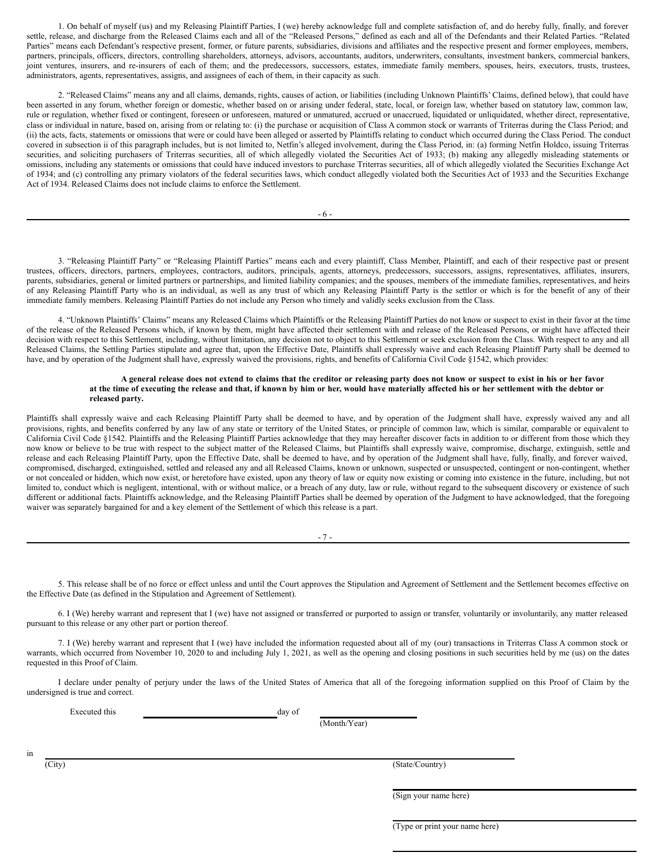1. On behalf of myself (us) and my Releasing Plaintiff Parties, I (we) hereby acknowledge full and complete satisfaction of, and do hereby fully, finally, and forever settle, release, and discharge from the Released Claims each and all of the "Released Persons," defined as each and all of the Defendants and their Related Parties. "Related Parties" means each Defendant's respective present, former, or future parents, subsidiaries, divisions and affiliates and the respective present and former employees, members, partners, principals, officers, directors, controlling shareholders, attorneys, advisors, accountants, auditors, underwriters, consultants, investment bankers, commercial bankers, joint ventures, insurers, and re-insurers of each of them; and the predecessors, successors, estates, immediate family members, spouses, heirs, executors, trusts, trustees, administrators, agents, representatives, assigns, and assignees of each of them, in their capacity as such.

2. "Released Claims" means any and all claims, demands, rights, causes of action, or liabilities (including Unknown Plaintiffs' Claims, defined below), that could have been asserted in any forum, whether foreign or domestic, whether based on or arising under federal, state, local, or foreign law, whether based on statutory law, common law, rule or regulation, whether fixed or contingent, foreseen or unforeseen, matured or unmatured, accrued or unaccrued, liquidated or unliquidated, whether direct, representative, class or individual in nature, based on, arising from or relating to: (i) the purchase or acquisition of Class A common stock or warrants of Triterras during the Class Period; and (ii) the acts, facts, statements or omissions that were or could have been alleged or asserted by Plaintiffs relating to conduct which occurred during the Class Period. The conduct covered in subsection ii of this paragraph includes, but is not limited to, Netfin's alleged involvement, during the Class Period, in: (a) forming Netfin Holdco, issuing Triterras securities, and soliciting purchasers of Triterras securities, all of which allegedly violated the Securities Act of 1933; (b) making any allegedly misleading statements or omissions, including any statements or omissions that could have induced investors to purchase Triterras securities, all of which allegedly violated the Securities Exchange Act of 1934; and (c) controlling any primary violators of the federal securities laws, which conduct allegedly violated both the Securities Act of 1933 and the Securities Exchange Act of 1934. Released Claims does not include claims to enforce the Settlement.

- 6 -

3. "Releasing Plaintiff Party" or "Releasing Plaintiff Parties" means each and every plaintiff, Class Member, Plaintiff, and each of their respective past or present trustees, officers, directors, partners, employees, contractors, auditors, principals, agents, attorneys, predecessors, successors, assigns, representatives, affiliates, insurers, parents, subsidiaries, general or limited partners or partnerships, and limited liability companies; and the spouses, members of the immediate families, representatives, and heirs of any Releasing Plaintiff Party who is an individual, as well as any trust of which any Releasing Plaintiff Party is the settlor or which is for the benefit of any of their immediate family members. Releasing Plaintiff Parties do not include any Person who timely and validly seeks exclusion from the Class.

4. "Unknown Plaintiffs' Claims" means any Released Claims which Plaintiffs or the Releasing Plaintiff Parties do not know or suspect to exist in their favor at the time of the release of the Released Persons which, if known by them, might have affected their settlement with and release of the Released Persons, or might have affected their decision with respect to this Settlement, including, without limitation, any decision not to object to this Settlement or seek exclusion from the Class. With respect to any and all Released Claims, the Settling Parties stipulate and agree that, upon the Effective Date, Plaintiffs shall expressly waive and each Releasing Plaintiff Party shall be deemed to have, and by operation of the Judgment shall have, expressly waived the provisions, rights, and benefits of California Civil Code §1542, which provides:

# A general release does not extend to claims that the creditor or releasing party does not know or suspect to exist in his or her favor at the time of executing the release and that, if known by him or her, would have materially affected his or her settlement with the debtor or **released party.**

Plaintiffs shall expressly waive and each Releasing Plaintiff Party shall be deemed to have, and by operation of the Judgment shall have, expressly waived any and all provisions, rights, and benefits conferred by any law of any state or territory of the United States, or principle of common law, which is similar, comparable or equivalent to California Civil Code §1542. Plaintiffs and the Releasing Plaintiff Parties acknowledge that they may hereafter discover facts in addition to or different from those which they now know or believe to be true with respect to the subject matter of the Released Claims, but Plaintiffs shall expressly waive, compromise, discharge, extinguish, settle and release and each Releasing Plaintiff Party, upon the Effective Date, shall be deemed to have, and by operation of the Judgment shall have, fully, finally, and forever waived, compromised, discharged, extinguished, settled and released any and all Released Claims, known or unknown, suspected or unsuspected, contingent or non-contingent, whether or not concealed or hidden, which now exist, or heretofore have existed, upon any theory of law or equity now existing or coming into existence in the future, including, but not limited to, conduct which is negligent, intentional, with or without malice, or a breach of any duty, law or rule, without regard to the subsequent discovery or existence of such different or additional facts. Plaintiffs acknowledge, and the Releasing Plaintiff Parties shall be deemed by operation of the Judgment to have acknowledged, that the foregoing waiver was separately bargained for and a key element of the Settlement of which this release is a part.

5. This release shall be of no force or effect unless and until the Court approves the Stipulation and Agreement of Settlement and the Settlement becomes effective on the Effective Date (as defined in the Stipulation and Agreement of Settlement).

6. I (We) hereby warrant and represent that I (we) have not assigned or transferred or purported to assign or transfer, voluntarily or involuntarily, any matter released pursuant to this release or any other part or portion thereof.

7. I (We) hereby warrant and represent that I (we) have included the information requested about all of my (our) transactions in Triterras Class A common stock or warrants, which occurred from November 10, 2020 to and including July 1, 2021, as well as the opening and closing positions in such securities held by me (us) on the dates requested in this Proof of Claim.

I declare under penalty of perjury under the laws of the United States of America that all of the foregoing information supplied on this Proof of Claim by the undersigned is true and correct.

Executed this day of

(Month/Year)

in

(City) (State/Country)

(Sign your name here)

(Type or print your name here)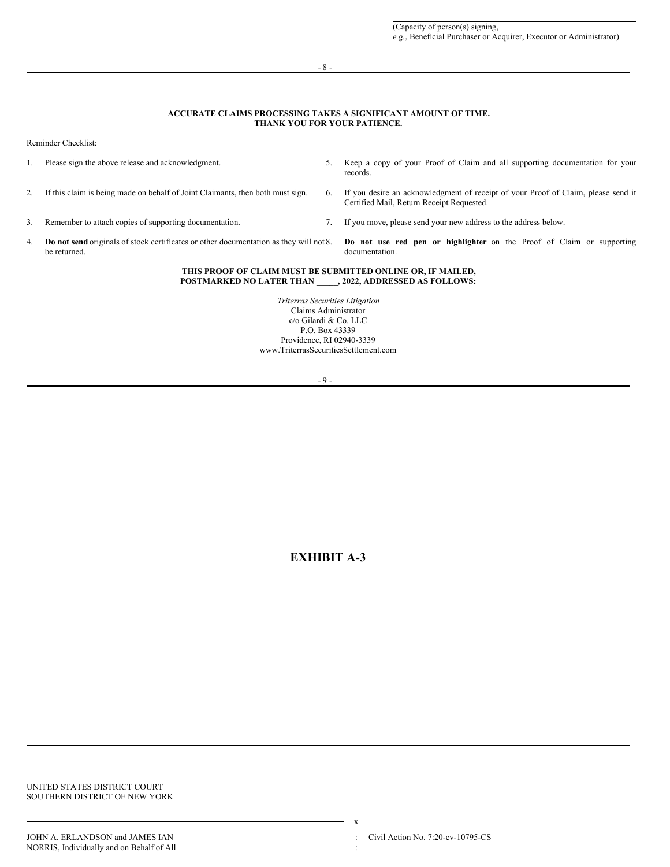- 8 -

# **ACCURATE CLAIMS PROCESSING TAKES A SIGNIFICANT AMOUNT OF TIME. THANK YOU FOR YOUR PATIENCE.**

Reminder Checklist:

|                                                                                                | Please sign the above release and acknowledgment.                                                                            |    | Keep a copy of your Proof of Claim and all supporting documentation for your<br>records.                                       |  |  |
|------------------------------------------------------------------------------------------------|------------------------------------------------------------------------------------------------------------------------------|----|--------------------------------------------------------------------------------------------------------------------------------|--|--|
|                                                                                                | If this claim is being made on behalf of Joint Claimants, then both must sign.                                               | 6. | If you desire an acknowledgment of receipt of your Proof of Claim, please send it<br>Certified Mail, Return Receipt Requested. |  |  |
| 3.                                                                                             | Remember to attach copies of supporting documentation.                                                                       |    | If you move, please send your new address to the address below.                                                                |  |  |
| 4.                                                                                             | <b>Do not send</b> originals of stock certificates or other documentation as they will not 8.<br>be returned.                |    | Do not use red pen or highlighter on the Proof of Claim or supporting<br>documentation.                                        |  |  |
|                                                                                                | THIS PROOF OF CLAIM MUST BE SUBMITTED ONLINE OR, IF MAILED,<br><b>POSTMARKED NO LATER THAN . 2022, ADDRESSED AS FOLLOWS:</b> |    |                                                                                                                                |  |  |
| Triterras Securities Litigation<br>Claims Administrator<br>$c/\alpha$ Gilardi & C $\alpha$ LLC |                                                                                                                              |    |                                                                                                                                |  |  |

c/o Gilardi & Co. LLC P.O. Box 43339 Providence, RI 02940-3339 www.TriterrasSecuritiesSettlement.com

- 9 -

**EXHIBIT A-3**

UNITED STATES DISTRICT COURT SOUTHERN DISTRICT OF NEW YORK

x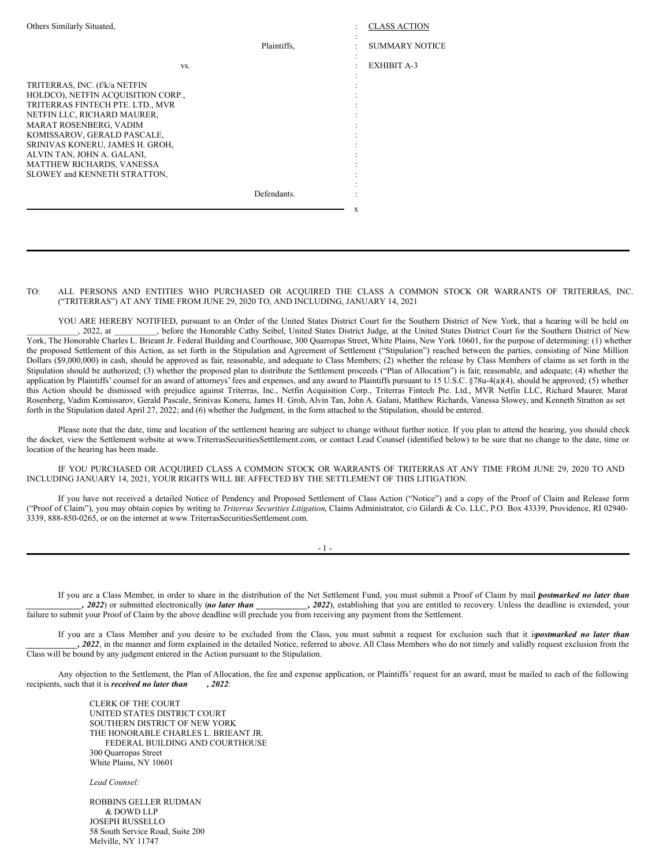| Others Similarly Situated,                                                                                                                                                                                                                                                                                                    |             | <b>CLASS ACTION</b>   |
|-------------------------------------------------------------------------------------------------------------------------------------------------------------------------------------------------------------------------------------------------------------------------------------------------------------------------------|-------------|-----------------------|
|                                                                                                                                                                                                                                                                                                                               | Plaintiffs. | <b>SUMMARY NOTICE</b> |
| VS.                                                                                                                                                                                                                                                                                                                           |             | <b>EXHIBIT A-3</b>    |
| TRITERRAS, INC. (f/k/a NETFIN<br>HOLDCO), NETFIN ACQUISITION CORP.,<br>TRITERRAS FINTECH PTE, LTD., MVR<br>NETFIN LLC, RICHARD MAURER,<br>MARAT ROSENBERG, VADIM<br>KOMISSAROV, GERALD PASCALE,<br>SRINIVAS KONERU, JAMES H. GROH,<br>ALVIN TAN, JOHN A. GALANI,<br>MATTHEW RICHARDS, VANESSA<br>SLOWEY and KENNETH STRATTON, |             |                       |
|                                                                                                                                                                                                                                                                                                                               | Defendants. |                       |
|                                                                                                                                                                                                                                                                                                                               |             | X                     |

#### TO: ALL PERSONS AND ENTITIES WHO PURCHASED OR ACQUIRED THE CLASS A COMMON STOCK OR WARRANTS OF TRITERRAS, INC. ("TRITERRAS") AT ANY TIME FROM JUNE 29, 2020 TO, AND INCLUDING, JANUARY 14, 2021

YOU ARE HEREBY NOTIFIED, pursuant to an Order of the United States District Court for the Southern District of New York, that a hearing will be held on \_\_\_\_\_\_\_\_\_\_\_\_, 2022, at \_\_\_\_\_\_\_\_\_\_, before the Honorable Cathy Seibel, United States District Judge, at the United States District Court for the Southern District of New York, The Honorable Charles L. Brieant Jr. Federal Building and Courthouse, 300 Quarropas Street, White Plains, New York 10601, for the purpose of determining: (1) whether the proposed Settlement of this Action, as set forth in the Stipulation and Agreement of Settlement ("Stipulation") reached between the parties, consisting of Nine Million Dollars (\$9,000,000) in cash, should be approved as fair, reasonable, and adequate to Class Members; (2) whether the release by Class Members of claims as set forth in the Stipulation should be authorized; (3) whether the proposed plan to distribute the Settlement proceeds ("Plan of Allocation") is fair, reasonable, and adequate; (4) whether the application by Plaintiffs' counsel for an award of attorneys' fees and expenses, and any award to Plaintiffs pursuant to 15 U.S.C. §78u-4(a)(4), should be approved; (5) whether this Action should be dismissed with prejudice against Triterras, Inc., Netfin Acquisition Corp., Triterras Fintech Pte. Ltd., MVR Netfin LLC, Richard Maurer, Marat Rosenberg, Vadim Komissarov, Gerald Pascale, Srinivas Koneru, James H. Groh, Alvin Tan, John A. Galani, Matthew Richards, Vanessa Slowey, and Kenneth Stratton as set forth in the Stipulation dated April 27, 2022; and (6) whether the Judgment, in the form attached to the Stipulation, should be entered.

Please note that the date, time and location of the settlement hearing are subject to change without further notice. If you plan to attend the hearing, you should check the docket, view the Settlement website at www.TriterrasSecuritiesSetttlement.com, or contact Lead Counsel (identified below) to be sure that no change to the date, time or location of the hearing has been made.

IF YOU PURCHASED OR ACQUIRED CLASS A COMMON STOCK OR WARRANTS OF TRITERRAS AT ANY TIME FROM JUNE 29, 2020 TO AND INCLUDING JANUARY 14, 2021, YOUR RIGHTS WILL BE AFFECTED BY THE SETTLEMENT OF THIS LITIGATION.

If you have not received a detailed Notice of Pendency and Proposed Settlement of Class Action ("Notice") and a copy of the Proof of Claim and Release form ("Proof of Claim"), you may obtain copies by writing to *Triterras Securities Litigation*, Claims Administrator, c/o Gilardi & Co. LLC, P.O. Box 43339, Providence, RI 02940- 3339, 888-850-0265, or on the internet at www.TriterrasSecuritiesSettlement.com.

- 1 -

If you are a Class Member, in order to share in the distribution of the Net Settlement Fund, you must submit a Proof of Claim by mail *p*( *ostmarked no later than \_\_\_\_\_\_\_\_\_\_\_\_\_, 2022*) or submitted electronically (*no later than \_\_\_\_\_\_\_\_\_\_\_\_, 2022*), establishing that you are entitled to recovery. Unless the deadline is extended, your failure to submit your Proof of Claim by the above deadline will preclude you from receiving any payment from the Settlement.

If you are a Class Member and you desire to be excluded from the Class, you must submit a request for exclusion such that it ispostmarked no later than *\_\_\_\_\_\_\_\_\_\_\_\_, 2022*, in the manner and form explained in the detailed Notice, referred to above. All Class Members who do not timely and validly request exclusion from the Class will be bound by any judgment entered in the Action pursuant to the Stipulation.

Any objection to the Settlement, the Plan of Allocation, the fee and expense application, or Plaintiffs' request for an award, must be mailed to each of the following recipients, such that it is *received no later than , 2022*:

> CLERK OF THE COURT UNITED STATES DISTRICT COURT SOUTHERN DISTRICT OF NEW YORK THE HONORABLE CHARLES L. BRIEANT JR. FEDERAL BUILDING AND COURTHOUSE 300 Quarropas Street White Plains, NY 10601

*Lead Counsel:*

ROBBINS GELLER RUDMAN & DOWD LLP JOSEPH RUSSELLO 58 South Service Road, Suite 200 Melville, NY 11747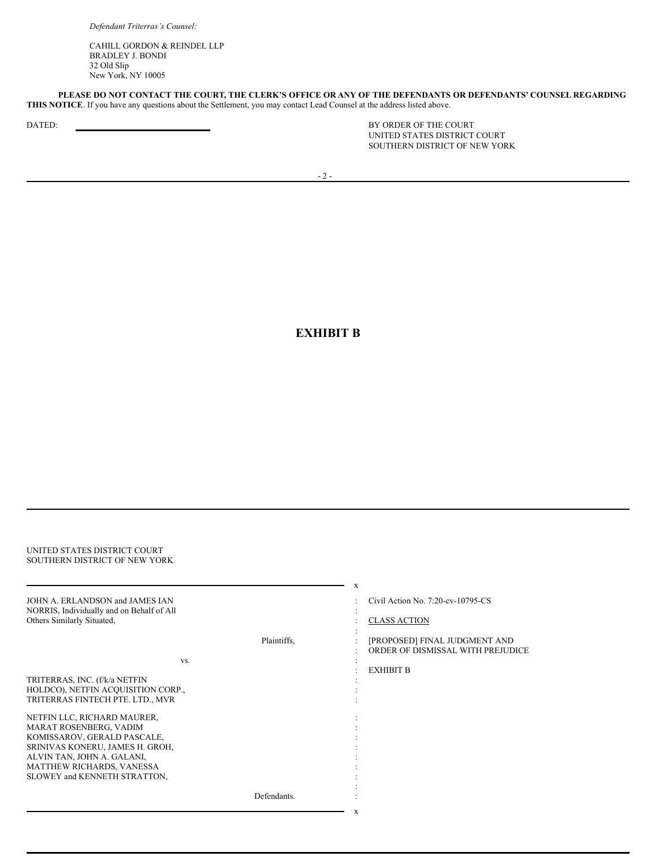*Defendant Triterras's Counsel:*

CAHILL GORDON & REINDEL LLP BRADLEY J. BONDI 32 Old Slip New York, NY 10005

PLEASE DO NOT CONTACT THE COURT, THE CLERK'S OFFICE OR ANY OF THE DEFENDANTS OR DEFENDANTS' COUNSEL REGARDING **THIS NOTICE**. If you have any questions about the Settlement, you may contact Lead Counsel at the address listed above.

DATED: BY ORDER OF THE COURT UNITED STATES DISTRICT COURT SOUTHERN DISTRICT OF NEW YORK

# **EXHIBIT B**

| UNITED STATES DISTRICT COURT<br>SOUTHERN DISTRICT OF NEW YORK                                              |             |                                                                                                |
|------------------------------------------------------------------------------------------------------------|-------------|------------------------------------------------------------------------------------------------|
| JOHN A. ERLANDSON and JAMES IAN<br>NORRIS, Individually and on Behalf of All<br>Others Similarly Situated, | Plaintiffs. | X<br>Civil Action No. 7:20-cv-10795-CS<br><b>CLASS ACTION</b><br>[PROPOSED] FINAL JUDGMENT AND |
| VS.                                                                                                        |             | ORDER OF DISMISSAL WITH PREJUDICE<br><b>EXHIBIT B</b>                                          |
| TRITERRAS, INC. (f/k/a NETFIN<br>HOLDCO), NETFIN ACQUISITION CORP.,<br>TRITERRAS FINTECH PTE. LTD., MVR    |             |                                                                                                |
| NETFIN LLC, RICHARD MAURER,<br>MARAT ROSENBERG, VADIM<br>KOMISSAROV, GERALD PASCALE,                       |             |                                                                                                |
| SRINIVAS KONERU, JAMES H. GROH,<br>ALVIN TAN, JOHN A. GALANI,<br>MATTHEW RICHARDS, VANESSA                 |             |                                                                                                |
| SLOWEY and KENNETH STRATTON,                                                                               | Defendants. |                                                                                                |
|                                                                                                            |             | X                                                                                              |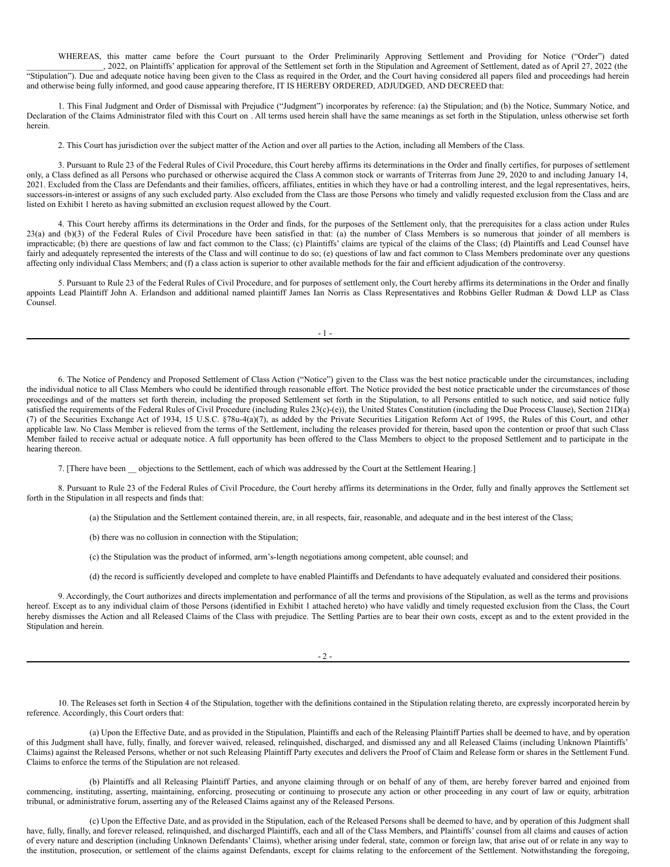WHEREAS, this matter came before the Court pursuant to the Order Preliminarily Approving Settlement and Providing for Notice ("Order") dated \_\_\_\_\_\_\_\_\_\_\_\_\_\_\_\_\_\_, 2022, on Plaintiffs' application for approval of the Settlement set forth in the Stipulation and Agreement of Settlement, dated as of April 27, 2022 (the "Stipulation"). Due and adequate notice having been given to the Class as required in the Order, and the Court having considered all papers filed and proceedings had herein and otherwise being fully informed, and good cause appearing therefore, IT IS HEREBY ORDERED, ADJUDGED, AND DECREED that:

1. This Final Judgment and Order of Dismissal with Prejudice ("Judgment") incorporates by reference: (a) the Stipulation; and (b) the Notice, Summary Notice, and Declaration of the Claims Administrator filed with this Court on . All terms used herein shall have the same meanings as set forth in the Stipulation, unless otherwise set forth herein.

2. This Court has jurisdiction over the subject matter of the Action and over all parties to the Action, including all Members of the Class.

3. Pursuant to Rule 23 of the Federal Rules of Civil Procedure, this Court hereby affirms its determinations in the Order and finally certifies, for purposes of settlement only, a Class defined as all Persons who purchased or otherwise acquired the Class A common stock or warrants of Triterras from June 29, 2020 to and including January 14, 2021. Excluded from the Class are Defendants and their families, officers, affiliates, entities in which they have or had a controlling interest, and the legal representatives, heirs, successors-in-interest or assigns of any such excluded party. Also excluded from the Class are those Persons who timely and validly requested exclusion from the Class and are listed on Exhibit 1 hereto as having submitted an exclusion request allowed by the Court.

4. This Court hereby affirms its determinations in the Order and finds, for the purposes of the Settlement only, that the prerequisites for a class action under Rules 23(a) and (b)(3) of the Federal Rules of Civil Procedure have been satisfied in that: (a) the number of Class Members is so numerous that joinder of all members is impracticable; (b) there are questions of law and fact common to the Class; (c) Plaintiffs' claims are typical of the claims of the Class; (d) Plaintiffs and Lead Counsel have fairly and adequately represented the interests of the Class and will continue to do so; (e) questions of law and fact common to Class Members predominate over any questions affecting only individual Class Members; and (f) a class action is superior to other available methods for the fair and efficient adjudication of the controversy.

5. Pursuant to Rule 23 of the Federal Rules of Civil Procedure, and for purposes of settlement only, the Court hereby affirms its determinations in the Order and finally appoints Lead Plaintiff John A. Erlandson and additional named plaintiff James Ian Norris as Class Representatives and Robbins Geller Rudman & Dowd LLP as Class Counsel.

- 1 -

6. The Notice of Pendency and Proposed Settlement of Class Action ("Notice") given to the Class was the best notice practicable under the circumstances, including the individual notice to all Class Members who could be identified through reasonable effort. The Notice provided the best notice practicable under the circumstances of those proceedings and of the matters set forth therein, including the proposed Settlement set forth in the Stipulation, to all Persons entitled to such notice, and said notice fully satisfied the requirements of the Federal Rules of Civil Procedure (including Rules 23(c)-(e)), the United States Constitution (including the Due Process Clause), Section 21D(a) (7) of the Securities Exchange Act of 1934, 15 U.S.C. §78u-4(a)(7), as added by the Private Securities Litigation Reform Act of 1995, the Rules of this Court, and other applicable law. No Class Member is relieved from the terms of the Settlement, including the releases provided for therein, based upon the contention or proof that such Class Member failed to receive actual or adequate notice. A full opportunity has been offered to the Class Members to object to the proposed Settlement and to participate in the hearing thereon.

7. [There have been objections to the Settlement, each of which was addressed by the Court at the Settlement Hearing.]

8. Pursuant to Rule 23 of the Federal Rules of Civil Procedure, the Court hereby affirms its determinations in the Order, fully and finally approves the Settlement set forth in the Stipulation in all respects and finds that:

(a) the Stipulation and the Settlement contained therein, are, in all respects, fair, reasonable, and adequate and in the best interest of the Class;

(b) there was no collusion in connection with the Stipulation;

(c) the Stipulation was the product of informed, arm's-length negotiations among competent, able counsel; and

(d) the record is sufficiently developed and complete to have enabled Plaintiffs and Defendants to have adequately evaluated and considered their positions.

9. Accordingly, the Court authorizes and directs implementation and performance of all the terms and provisions of the Stipulation, as well as the terms and provisions hereof. Except as to any individual claim of those Persons (identified in Exhibit 1 attached hereto) who have validly and timely requested exclusion from the Class, the Court hereby dismisses the Action and all Released Claims of the Class with prejudice. The Settling Parties are to bear their own costs, except as and to the extent provided in the Stipulation and herein.

- 2 -

10. The Releases set forth in Section 4 of the Stipulation, together with the definitions contained in the Stipulation relating thereto, are expressly incorporated herein by reference. Accordingly, this Court orders that:

(a) Upon the Effective Date, and as provided in the Stipulation, Plaintiffs and each of the Releasing Plaintiff Parties shall be deemed to have, and by operation of this Judgment shall have, fully, finally, and forever waived, released, relinquished, discharged, and dismissed any and all Released Claims (including Unknown Plaintiffs' Claims) against the Released Persons, whether or not such Releasing Plaintiff Party executes and delivers the Proof of Claim and Release form or shares in the Settlement Fund. Claims to enforce the terms of the Stipulation are not released.

(b) Plaintiffs and all Releasing Plaintiff Parties, and anyone claiming through or on behalf of any of them, are hereby forever barred and enjoined from commencing, instituting, asserting, maintaining, enforcing, prosecuting or continuing to prosecute any action or other proceeding in any court of law or equity, arbitration tribunal, or administrative forum, asserting any of the Released Claims against any of the Released Persons.

(c) Upon the Effective Date, and as provided in the Stipulation, each of the Released Persons shall be deemed to have, and by operation of this Judgment shall have, fully, finally, and forever released, relinquished, and discharged Plaintiffs, each and all of the Class Members, and Plaintiffs' counsel from all claims and causes of action of every nature and description (including Unknown Defendants' Claims), whether arising under federal, state, common or foreign law, that arise out of or relate in any way to the institution, prosecution, or settlement of the claims against Defendants, except for claims relating to the enforcement of the Settlement. Notwithstanding the foregoing,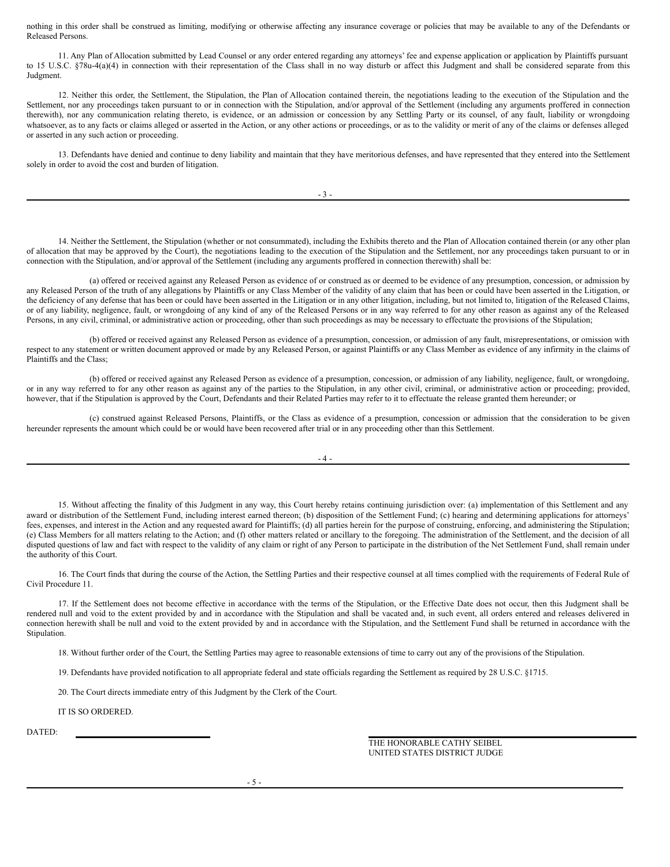nothing in this order shall be construed as limiting, modifying or otherwise affecting any insurance coverage or policies that may be available to any of the Defendants or Released Persons.

11. Any Plan of Allocation submitted by Lead Counsel or any order entered regarding any attorneys' fee and expense application or application by Plaintiffs pursuant to 15 U.S.C. §78u-4(a)(4) in connection with their representation of the Class shall in no way disturb or affect this Judgment and shall be considered separate from this Judgment.

12. Neither this order, the Settlement, the Stipulation, the Plan of Allocation contained therein, the negotiations leading to the execution of the Stipulation and the Settlement, nor any proceedings taken pursuant to or in connection with the Stipulation, and/or approval of the Settlement (including any arguments proffered in connection therewith), nor any communication relating thereto, is evidence, or an admission or concession by any Settling Party or its counsel, of any fault, liability or wrongdoing whatsoever, as to any facts or claims alleged or asserted in the Action, or any other actions or proceedings, or as to the validity or merit of any of the claims or defenses alleged or asserted in any such action or proceeding.

13. Defendants have denied and continue to deny liability and maintain that they have meritorious defenses, and have represented that they entered into the Settlement solely in order to avoid the cost and burden of litigation.

14. Neither the Settlement, the Stipulation (whether or not consummated), including the Exhibits thereto and the Plan of Allocation contained therein (or any other plan of allocation that may be approved by the Court), the negotiations leading to the execution of the Stipulation and the Settlement, nor any proceedings taken pursuant to or in connection with the Stipulation, and/or approval of the Settlement (including any arguments proffered in connection therewith) shall be:

(a) offered or received against any Released Person as evidence of or construed as or deemed to be evidence of any presumption, concession, or admission by any Released Person of the truth of any allegations by Plaintiffs or any Class Member of the validity of any claim that has been or could have been asserted in the Litigation, or the deficiency of any defense that has been or could have been asserted in the Litigation or in any other litigation, including, but not limited to, litigation of the Released Claims, or of any liability, negligence, fault, or wrongdoing of any kind of any of the Released Persons or in any way referred to for any other reason as against any of the Released Persons, in any civil, criminal, or administrative action or proceeding, other than such proceedings as may be necessary to effectuate the provisions of the Stipulation;

(b) offered or received against any Released Person as evidence of a presumption, concession, or admission of any fault, misrepresentations, or omission with respect to any statement or written document approved or made by any Released Person, or against Plaintiffs or any Class Member as evidence of any infirmity in the claims of Plaintiffs and the Class;

(b) offered or received against any Released Person as evidence of a presumption, concession, or admission of any liability, negligence, fault, or wrongdoing, or in any way referred to for any other reason as against any of the parties to the Stipulation, in any other civil, criminal, or administrative action or proceeding; provided, however, that if the Stipulation is approved by the Court, Defendants and their Related Parties may refer to it to effectuate the release granted them hereunder; or

(c) construed against Released Persons, Plaintiffs, or the Class as evidence of a presumption, concession or admission that the consideration to be given hereunder represents the amount which could be or would have been recovered after trial or in any proceeding other than this Settlement.

#### $-4 -$

15. Without affecting the finality of this Judgment in any way, this Court hereby retains continuing jurisdiction over: (a) implementation of this Settlement and any award or distribution of the Settlement Fund, including interest earned thereon; (b) disposition of the Settlement Fund; (c) hearing and determining applications for attorneys' fees, expenses, and interest in the Action and any requested award for Plaintiffs; (d) all parties herein for the purpose of construing, enforcing, and administering the Stipulation; (e) Class Members for all matters relating to the Action; and (f) other matters related or ancillary to the foregoing. The administration of the Settlement, and the decision of all disputed questions of law and fact with respect to the validity of any claim or right of any Person to participate in the distribution of the Net Settlement Fund, shall remain under the authority of this Court.

16. The Court finds that during the course of the Action, the Settling Parties and their respective counsel at all times complied with the requirements of Federal Rule of Civil Procedure 11.

17. If the Settlement does not become effective in accordance with the terms of the Stipulation, or the Effective Date does not occur, then this Judgment shall be rendered null and void to the extent provided by and in accordance with the Stipulation and shall be vacated and, in such event, all orders entered and releases delivered in connection herewith shall be null and void to the extent provided by and in accordance with the Stipulation, and the Settlement Fund shall be returned in accordance with the Stipulation.

18. Without further order of the Court, the Settling Parties may agree to reasonable extensions of time to carry out any of the provisions of the Stipulation.

19. Defendants have provided notification to all appropriate federal and state officials regarding the Settlement as required by 28 U.S.C. §1715.

20. The Court directs immediate entry of this Judgment by the Clerk of the Court.

IT IS SO ORDERED.

DATED:

THE HONORABLE CATHY SEIBEL UNITED STATES DISTRICT JUDGE